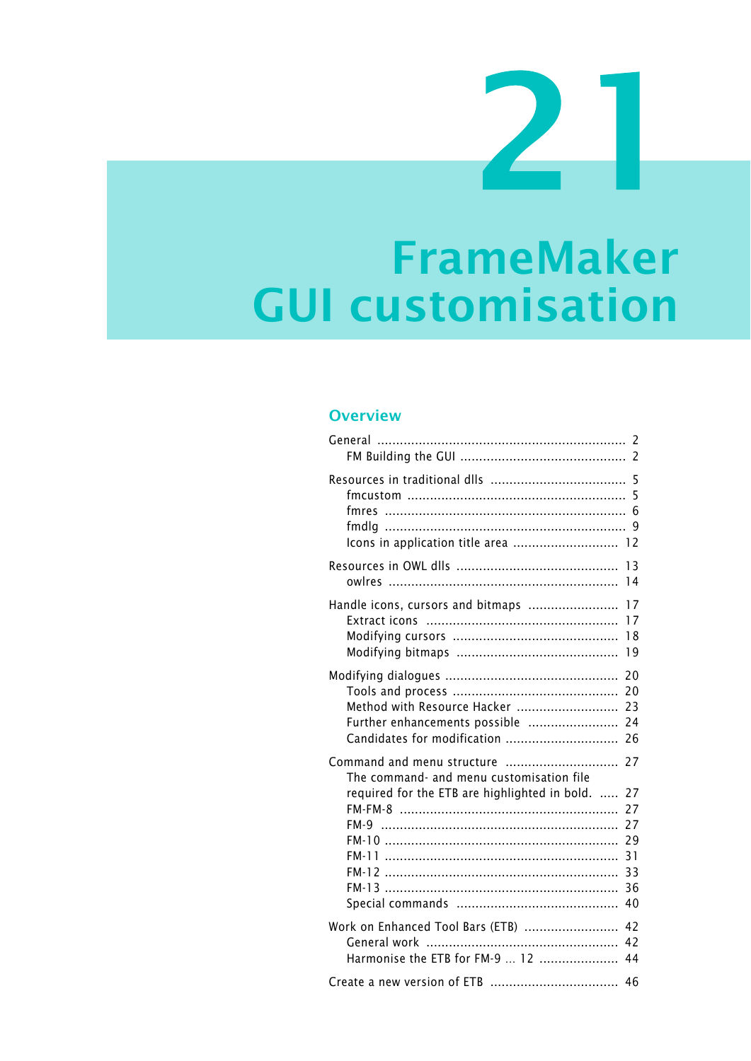# **FrameMaker GUI customisation**

#### **Overview**

| fmres<br>Icons in application title area  12                                                                                    | 5<br>5<br>6<br>9                                   |
|---------------------------------------------------------------------------------------------------------------------------------|----------------------------------------------------|
|                                                                                                                                 | 13                                                 |
|                                                                                                                                 | 14                                                 |
| Handle icons, cursors and bitmaps                                                                                               | 17                                                 |
|                                                                                                                                 | 17                                                 |
|                                                                                                                                 | 18                                                 |
|                                                                                                                                 | 19                                                 |
|                                                                                                                                 | 20                                                 |
|                                                                                                                                 | 20                                                 |
| Method with Resource Hacker                                                                                                     | 23                                                 |
| Further enhancements possible                                                                                                   | 24                                                 |
| Candidates for modification                                                                                                     | 26                                                 |
| Command and menu structure<br>The command- and menu customisation file<br>required for the ETB are highlighted in bold.<br>FM-9 | 27<br>27<br>27<br>27<br>29<br>31<br>33<br>36<br>40 |
| Work on Enhanced Tool Bars (ETB)                                                                                                | 42                                                 |
|                                                                                                                                 | 42                                                 |
| Harmonise the ETB for FM-9  12                                                                                                  | 44                                                 |
|                                                                                                                                 | 46                                                 |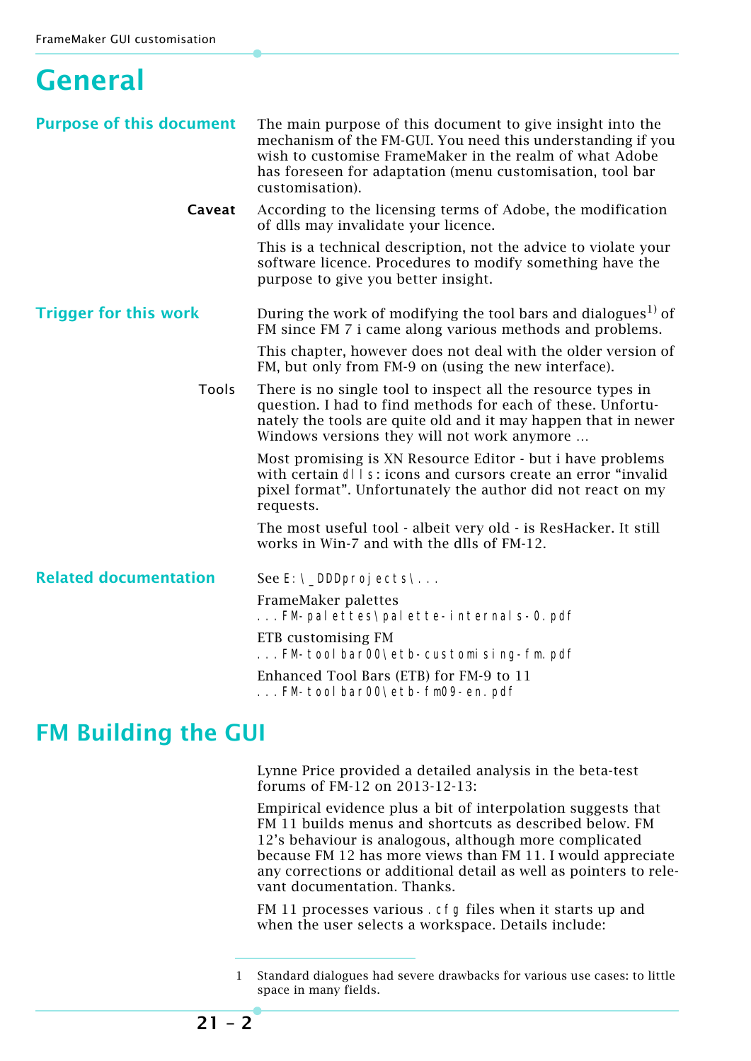### <span id="page-1-0"></span>**General**

| <b>Purpose of this document</b> | The main purpose of this document to give insight into the<br>mechanism of the FM-GUI. You need this understanding if you<br>wish to customise FrameMaker in the realm of what Adobe<br>has foreseen for adaptation (menu customisation, tool bar<br>customisation). |  |  |  |
|---------------------------------|----------------------------------------------------------------------------------------------------------------------------------------------------------------------------------------------------------------------------------------------------------------------|--|--|--|
| Caveat                          | According to the licensing terms of Adobe, the modification<br>of dlls may invalidate your licence.                                                                                                                                                                  |  |  |  |
|                                 | This is a technical description, not the advice to violate your<br>software licence. Procedures to modify something have the<br>purpose to give you better insight.                                                                                                  |  |  |  |
| <b>Trigger for this work</b>    | During the work of modifying the tool bars and dialogues <sup>1)</sup> of<br>FM since FM 7 i came along various methods and problems.                                                                                                                                |  |  |  |
|                                 | This chapter, however does not deal with the older version of<br>FM, but only from FM-9 on (using the new interface).                                                                                                                                                |  |  |  |
| Tools                           | There is no single tool to inspect all the resource types in<br>question. I had to find methods for each of these. Unfortu-<br>nately the tools are quite old and it may happen that in newer<br>Windows versions they will not work anymore                         |  |  |  |
|                                 | Most promising is XN Resource Editor - but i have problems<br>with certain dl I s: icons and cursors create an error "invalid"<br>pixel format". Unfortunately the author did not react on my<br>requests.                                                           |  |  |  |
|                                 | The most useful tool - albeit very old - is ResHacker. It still<br>works in Win-7 and with the dlls of FM-12.                                                                                                                                                        |  |  |  |
| <b>Related documentation</b>    | See E: \_DDDprojects\                                                                                                                                                                                                                                                |  |  |  |
|                                 | FrameMaker palettes<br>FM-palettes\palette-internals-0.pdf                                                                                                                                                                                                           |  |  |  |
|                                 | ETB customising FM<br>FM-tool bar00\etb-customising-fm.pdf                                                                                                                                                                                                           |  |  |  |
|                                 | Enhanced Tool Bars (ETB) for FM-9 to 11<br>FM-toolbar00\etb-fm09-en.pdf                                                                                                                                                                                              |  |  |  |

### <span id="page-1-1"></span>**FM Building the GUI**

Lynne Price provided a detailed analysis in the beta-test forums of FM-12 on 2013-12-13:

Empirical evidence plus a bit of interpolation suggests that FM 11 builds menus and shortcuts as described below. FM 12's behaviour is analogous, although more complicated because FM 12 has more views than FM 11. I would appreciate any corrections or additional detail as well as pointers to relevant documentation. Thanks.

FM 11 processes various . cfg files when it starts up and when the user selects a workspace. Details include:

<sup>1</sup> Standard dialogues had severe drawbacks for various use cases: to little space in many fields.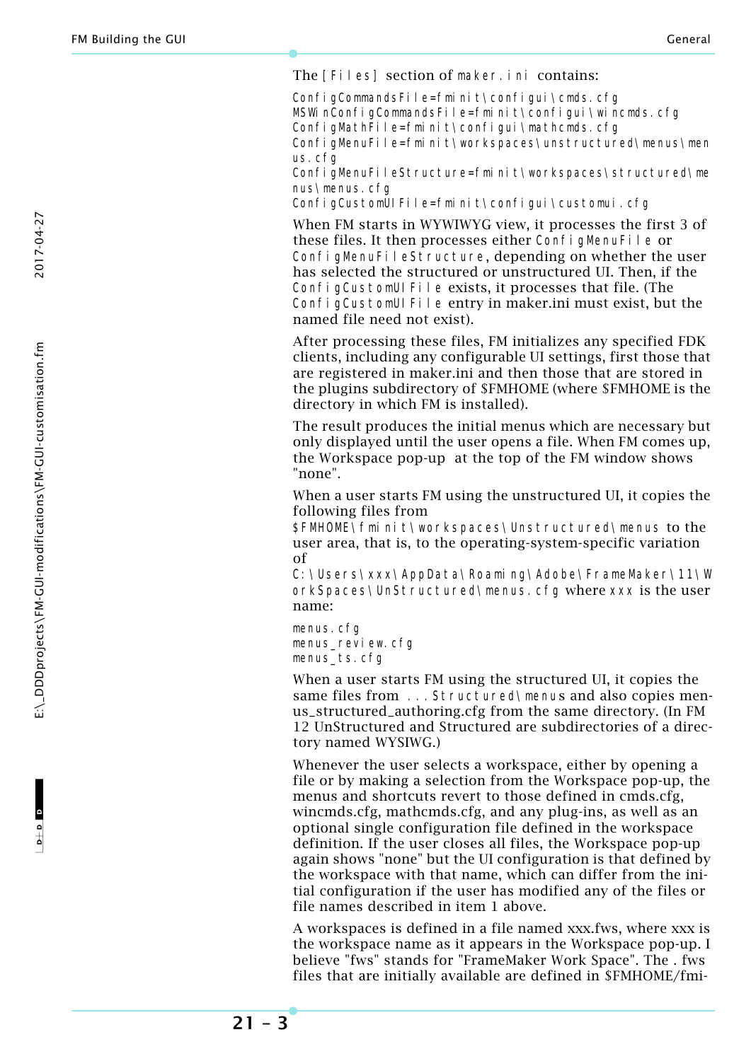The [Files] section of maker.ini contains:

ConfigCommandsFile=fminit\configui\cmds.cfg MSWinConfigCommandsFile=fminit\configui\wincmds.cfg ConfigMathFile=fminit\configui\mathcmds.cfg ConfigMenuFile=fminit\workspaces\unstructured\menus\men us.cfg

ConfigMenuFileStructure=fminit\workspaces\structured\me nus\menus.cfg

ConfigCustomUIFile=fminit\configui\customui.cfg

When FM starts in WYWIWYG view, it processes the first 3 of these files. It then processes either ConfigMenuFile or ConfigMenuFileStructure, depending on whether the user has selected the structured or unstructured UI. Then, if the ConfigCustomUIFile exists, it processes that file. (The ConfigCustomUIFile entry in maker.ini must exist, but the named file need not exist).

After processing these files, FM initializes any specified FDK clients, including any configurable UI settings, first those that are registered in maker.ini and then those that are stored in the plugins subdirectory of \$FMHOME (where \$FMHOME is the directory in which FM is installed).

The result produces the initial menus which are necessary but only displayed until the user opens a file. When FM comes up, the Workspace pop-up at the top of the FM window shows "none".

When a user starts FM using the unstructured UI, it copies the following files from

\$FMHOME\fminit\workspaces\Unstructured\menus to the user area, that is, to the operating-system-specific variation of

C:\Users\xxx\AppData\Roaming\Adobe\FrameMaker\11\W orkSpaces\UnStructured\menus.cfg where xxx is the user name:

menus.cfg menus\_review.cfg menus ts.cfg

When a user starts FM using the structured UI, it copies the same files from ... Structured\menus and also copies menus\_structured\_authoring.cfg from the same directory. (In FM 12 UnStructured and Structured are subdirectories of a directory named WYSIWG.)

Whenever the user selects a workspace, either by opening a file or by making a selection from the Workspace pop-up, the menus and shortcuts revert to those defined in cmds.cfg, wincmds.cfg, mathcmds.cfg, and any plug-ins, as well as an optional single configuration file defined in the workspace definition. If the user closes all files, the Workspace pop-up again shows "none" but the UI configuration is that defined by the workspace with that name, which can differ from the initial configuration if the user has modified any of the files or file names described in item 1 above.

A workspaces is defined in a file named xxx.fws, where xxx is the workspace name as it appears in the Workspace pop-up. I believe "fws" stands for "FrameMaker Work Space". The . fws files that are initially available are defined in \$FMHOME/fmi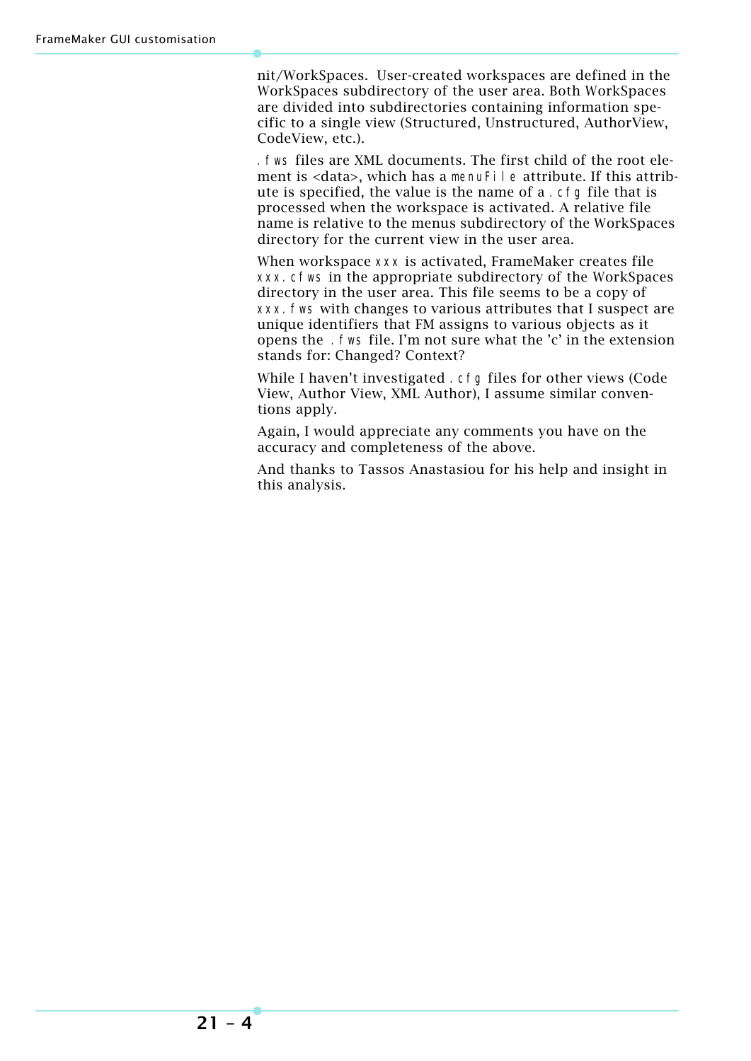nit/WorkSpaces. User-created workspaces are defined in the WorkSpaces subdirectory of the user area. Both WorkSpaces are divided into subdirectories containing information specific to a single view (Structured, Unstructured, AuthorView, CodeView, etc.).

.fws files are XML documents. The first child of the root element is <data>, which has a menuFile attribute. If this attribute is specified, the value is the name of a .cfg file that is processed when the workspace is activated. A relative file name is relative to the menus subdirectory of the WorkSpaces directory for the current view in the user area.

When workspace xxx is activated, FrameMaker creates file xxx.cfws in the appropriate subdirectory of the WorkSpaces directory in the user area. This file seems to be a copy of xxx.fws with changes to various attributes that I suspect are unique identifiers that FM assigns to various objects as it opens the .fws file. I'm not sure what the 'c' in the extension stands for: Changed? Context?

While I haven't investigated . cfg files for other views (Code View, Author View, XML Author), I assume similar conventions apply.

Again, I would appreciate any comments you have on the accuracy and completeness of the above.

And thanks to Tassos Anastasiou for his help and insight in this analysis.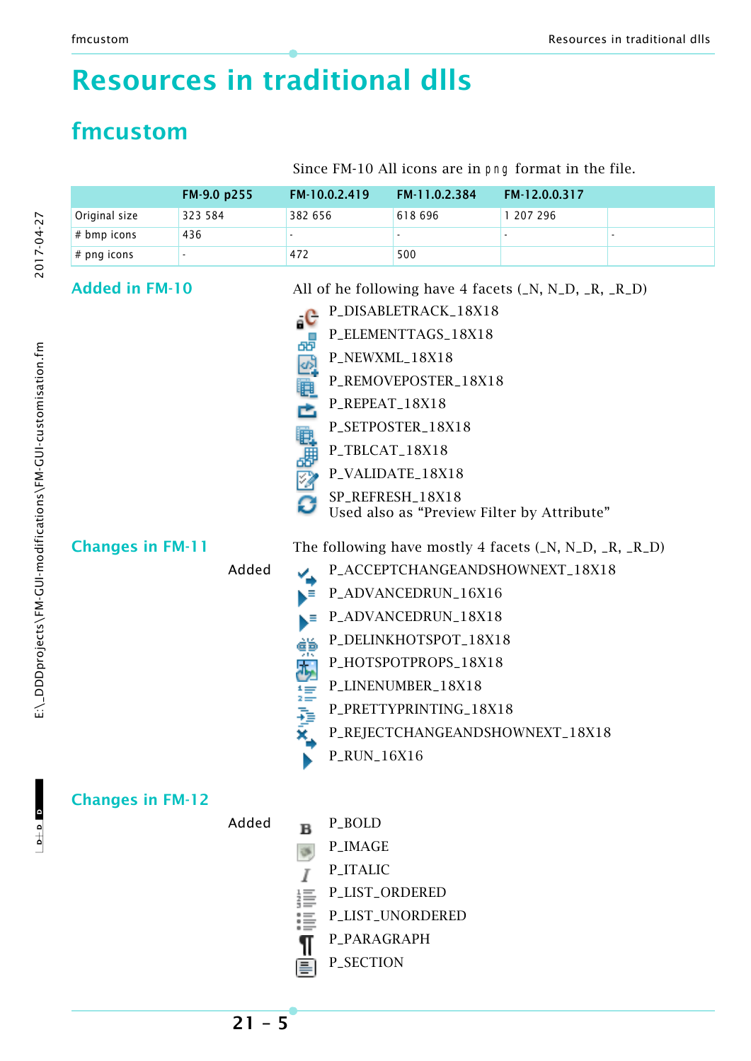# <span id="page-4-0"></span>**Resources in traditional dlls**

### <span id="page-4-1"></span>**fmcustom**

Since FM-10 All icons are in png format in the file.

|                         | FM-9.0 p255 | FM-10.0.2.419                                                            | FM-11.0.2.384                                                                                                                                      | FM-12.0.0.317                                                                                                                 |  |
|-------------------------|-------------|--------------------------------------------------------------------------|----------------------------------------------------------------------------------------------------------------------------------------------------|-------------------------------------------------------------------------------------------------------------------------------|--|
| Original size           | 323 584     | 382 656                                                                  | 618 696                                                                                                                                            | 1 207 296                                                                                                                     |  |
| # bmp icons             | 436         |                                                                          |                                                                                                                                                    |                                                                                                                               |  |
| # png icons             |             | 472                                                                      | 500                                                                                                                                                |                                                                                                                               |  |
| <b>Added in FM-10</b>   |             | $\circ$ C<br>暭<br>.<br>로<br>P_REPEAT_18X18<br>Ė<br>电步公<br>P_TBLCAT_18X18 | P_DISABLETRACK_18X18<br>P_ELEMENTTAGS_18X18<br>P_NEWXML_18X18<br>P_REMOVEPOSTER_18X18<br>P_SETPOSTER_18X18<br>P_VALIDATE_18X18<br>SP_REFRESH_18X18 | All of he following have 4 facets $(N, N, D, R, R, D)$<br>Used also as "Preview Filter by Attribute"                          |  |
| <b>Changes in FM-11</b> | Added       | Ξ<br>得<br>$\overline{d}_y$<br>【11】 / 11】 X。<br>P_RUN_16X16               | P_ADVANCEDRUN_16X16<br>P_ADVANCEDRUN_18X18<br>P_DELINKHOTSPOT_18X18<br>P_HOTSPOTPROPS_18X18<br>P_LINENUMBER_18X18<br>P_PRETTYPRINTING_18X18        | The following have mostly 4 facets $(N, N, D, R, R, D)$<br>P_ACCEPTCHANGEANDSHOWNEXT_18X18<br>P_REJECTCHANGEANDSHOWNEXT_18X18 |  |
| <b>Changes in FM-12</b> | Added       | P_BOLD<br>в<br>P_IMAGE<br>P_ITALIC<br>P_LIST_ORDERED<br>曇<br>P_PARAGRAPH | P_LIST_UNORDERED                                                                                                                                   |                                                                                                                               |  |

 $\mathbf{c}$  a  $\mathbf{c}$ 

 $-1$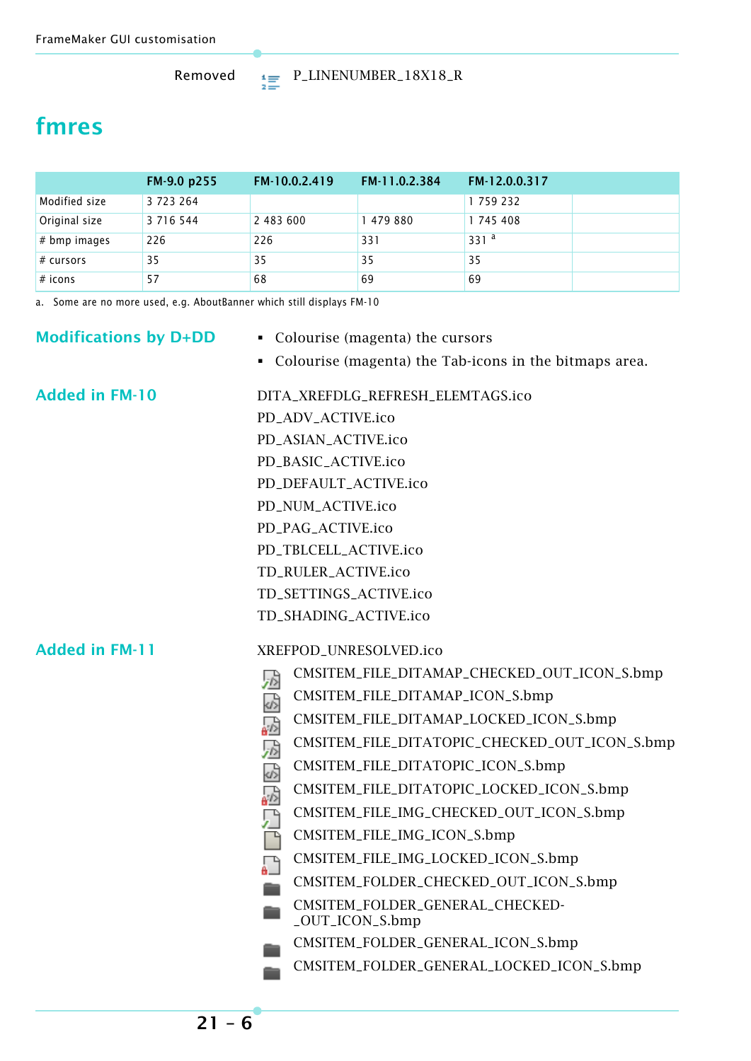### <span id="page-5-0"></span>**fmres**

|                | FM-9.0 p255   | FM-10.0.2.419 | FM-11.0.2.384 | FM-12.0.0.317 |  |
|----------------|---------------|---------------|---------------|---------------|--|
| Modified size  | 3 7 2 3 2 6 4 |               |               | 1759232       |  |
| Original size  | 3 7 1 6 5 4 4 | 2 483 600     | 1479880       | 1745408       |  |
| $#$ bmp images | 226           | 226           | 331           | 331 $a$       |  |
| # curves       | 35            | 35            | 35            | 35            |  |
| $#$ icons      | 57            | 68            | 69            | 69            |  |

a. Some are no more used, e.g. AboutBanner which still displays FM-10

### **Modifications by D+DD** Colourise (magenta) the cursors Colourise (magenta) the Tab-icons in the bitmaps area. Added in FM-10 DITA XREFDLG REFRESH ELEMTAGS.ico PD\_ADV\_ACTIVE.ico PD\_ASIAN\_ACTIVE.ico PD\_BASIC\_ACTIVE.ico PD\_DEFAULT\_ACTIVE.ico PD\_NUM\_ACTIVE.ico PD\_PAG\_ACTIVE.ico PD\_TBLCELL\_ACTIVE.ico TD\_RULER\_ACTIVE.ico TD\_SETTINGS\_ACTIVE.ico TD\_SHADING\_ACTIVE.ico **Added in FM-11** XREFPOD\_UNRESOLVED.ico CMSITEM\_FILE\_DITAMAP\_CHECKED\_OUT\_ICON\_S.bmp 异 CMSITEM\_FILE\_DITAMAP\_ICON\_S.bmp 85258585 CMSITEM\_FILE\_DITAMAP\_LOCKED\_ICON\_S.bmp CMSITEM\_FILE\_DITATOPIC\_CHECKED\_OUT\_ICON\_S.bmp CMSITEM\_FILE\_DITATOPIC\_ICON\_S.bmp CMSITEM\_FILE\_DITATOPIC\_LOCKED\_ICON\_S.bmp CMSITEM\_FILE\_IMG\_CHECKED\_OUT\_ICON\_S.bmp CMSITEM\_FILE\_IMG\_ICON\_S.bmp CMSITEM\_FILE\_IMG\_LOCKED\_ICON\_S.bmp CMSITEM\_FOLDER\_CHECKED\_OUT\_ICON\_S.bmp CMSITEM\_FOLDER\_GENERAL\_CHECKED- \_OUT\_ICON\_S.bmp CMSITEM\_FOLDER\_GENERAL\_ICON\_S.bmp CMSITEM\_FOLDER\_GENERAL\_LOCKED\_ICON\_S.bmp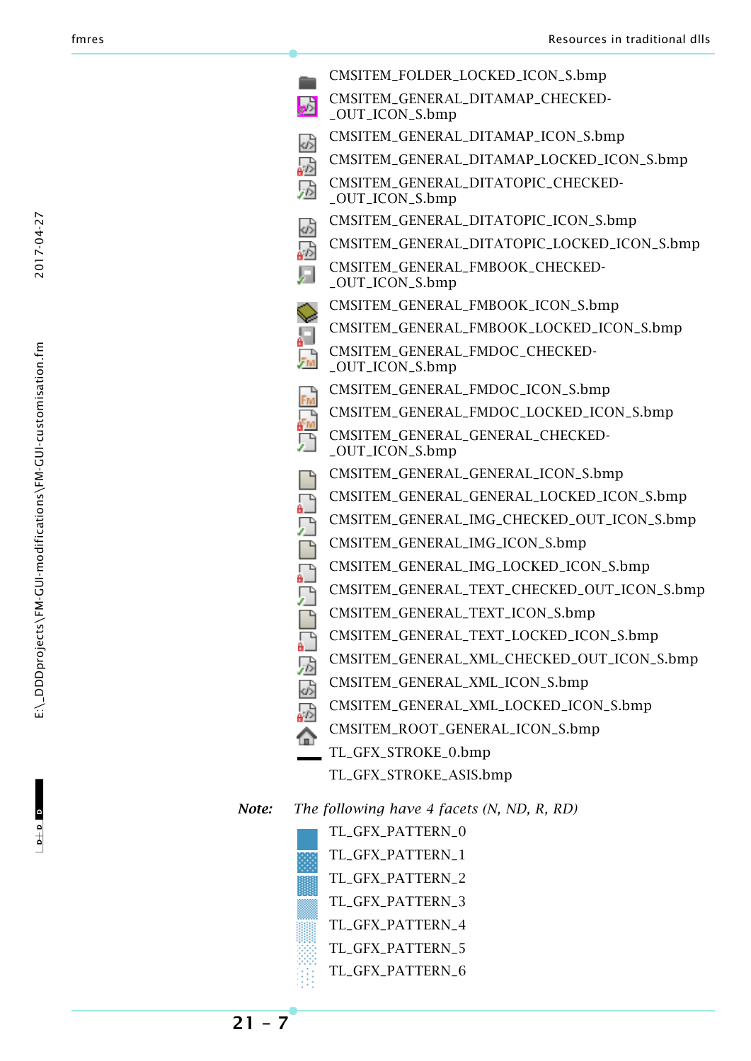2017-04-27

 $\mathbf{c}$  a  $\mathbf{c}$ 

 $\begin{array}{c|c} \multicolumn{3}{c|}{\multicolumn{3}{c|}{\multicolumn{3}{c|}{\multicolumn{3}{c}}}} \multicolumn{3}{c|}{\multicolumn{3}{c|}{\multicolumn{3}{c|}{\multicolumn{3}{c}}}} \multicolumn{3}{c|}{\multicolumn{3}{c|}{\multicolumn{3}{c|}{\multicolumn{3}{c}}}} \multicolumn{3}{c|}{\multicolumn{3}{c|}{\multicolumn{3}{c|}{\multicolumn{3}{c|}{\multicolumn{3}{c}}}}}} \multicolumn{3}{c|}{\multicolumn{3}{c|}{\multicolumn{3}{c|}{\multicolumn{3}{c|}{$ 

|         | CMSITEM_FOLDER_LOCKED_ICON_S.bmp                      |
|---------|-------------------------------------------------------|
| ъÅ      | CMSITEM_GENERAL_DITAMAP_CHECKED-<br>_OUT_ICON_S.bmp   |
|         | CMSITEM_GENERAL_DITAMAP_ICON_S.bmp                    |
|         | CMSITEM_GENERAL_DITAMAP_LOCKED_ICON_S.bmp             |
|         | CMSITEM_GENERAL_DITATOPIC_CHECKED-<br>_OUT_ICON_S.bmp |
|         | CMSITEM_GENERAL_DITATOPIC_ICON_S.bmp                  |
|         | CMSITEM_GENERAL_DITATOPIC_LOCKED_ICON_S.bmp           |
|         | CMSITEM_GENERAL_FMBOOK_CHECKED-<br>_OUT_ICON_S.bmp    |
|         | CMSITEM_GENERAL_FMBOOK_ICON_S.bmp                     |
|         | CMSITEM_GENERAL_FMBOOK_LOCKED_ICON_S.bmp              |
| .<br>Fm | CMSITEM_GENERAL_FMDOC_CHECKED-<br>_OUT_ICON_S.bmp     |
| Fm      | CMSITEM_GENERAL_FMDOC_ICON_S.bmp                      |
|         | CMSITEM_GENERAL_FMDOC_LOCKED_ICON_S.bmp               |
|         | CMSITEM_GENERAL_GENERAL_CHECKED-<br>_OUT_ICON_S.bmp   |
|         | CMSITEM_GENERAL_GENERAL_ICON_S.bmp                    |
|         | CMSITEM_GENERAL_GENERAL_LOCKED_ICON_S.bmp             |
|         | CMSITEM_GENERAL_IMG_CHECKED_OUT_ICON_S.bmp            |
|         | CMSITEM_GENERAL_IMG_ICON_S.bmp                        |
|         | CMSITEM_GENERAL_IMG_LOCKED_ICON_S.bmp                 |
|         | CMSITEM_GENERAL_TEXT_CHECKED_OUT_ICON_S.bmp           |
| р       | CMSITEM_GENERAL_TEXT_ICON_S.bmp                       |
|         | CMSITEM_GENERAL_TEXT_LOCKED_ICON_S.bmp                |
|         | CMSITEM_GENERAL_XML_CHECKED_OUT_ICON_S.bmp            |
|         | CMSITEM_GENERAL_XML_ICON_S.bmp                        |
|         | CMSITEM_GENERAL_XML_LOCKED_ICON_S.bmp                 |
| €       | CMSITEM_ROOT_GENERAL_ICON_S.bmp                       |
|         | TL_GFX_STROKE_0.bmp                                   |
|         | TL_GFX_STROKE_ASIS.bmp                                |

*Note: The following have 4 facets (N, ND, R, RD)*

TL\_GFX\_PATTERN\_0 TL\_GFX\_PATTERN\_1 TL\_GFX\_PATTERN\_2 TL\_GFX\_PATTERN\_3 TL\_GFX\_PATTERN\_4 TL\_GFX\_PATTERN\_5 TL\_GFX\_PATTERN\_6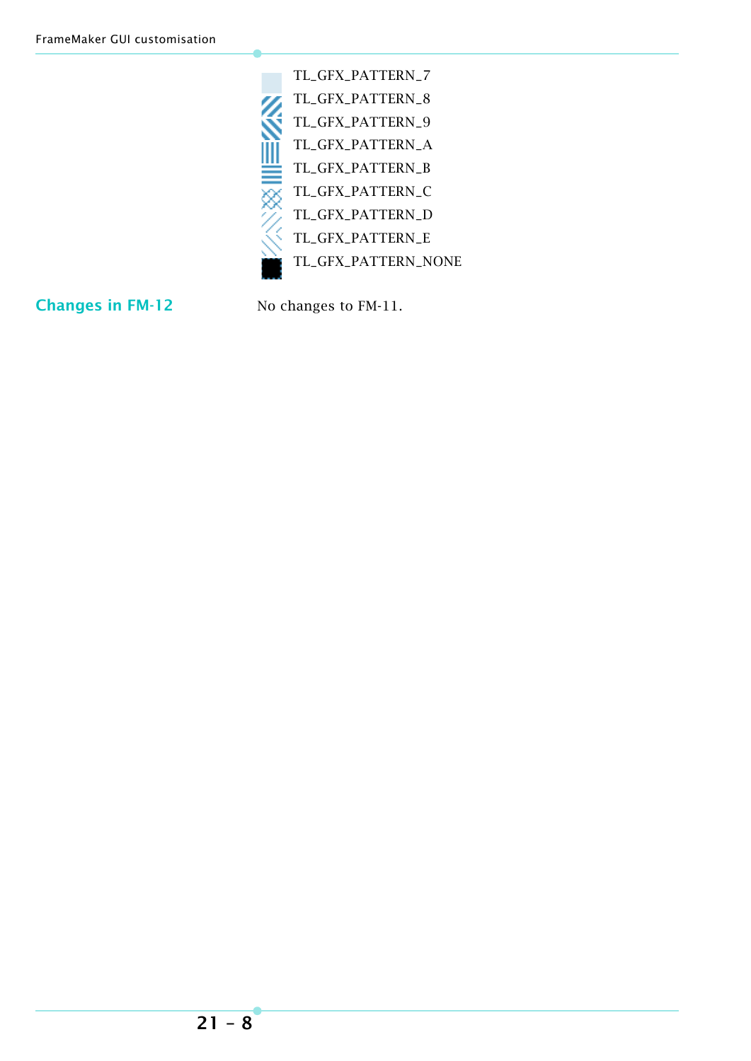| TL_GFX_PATTERN_7    |
|---------------------|
| TL_GFX_PATTERN_8    |
| TL_GFX_PATTERN 9    |
| TL_GFX_PATTERN_A    |
| TL_GFX_PATTERN_B    |
| TL_GFX_PATTERN_C    |
| TL_GFX_PATTERN_D    |
| TL_GFX_PATTERN_E    |
| TL_GFX_PATTERN_NONE |
|                     |

**Changes in FM-12** No changes to FM-11.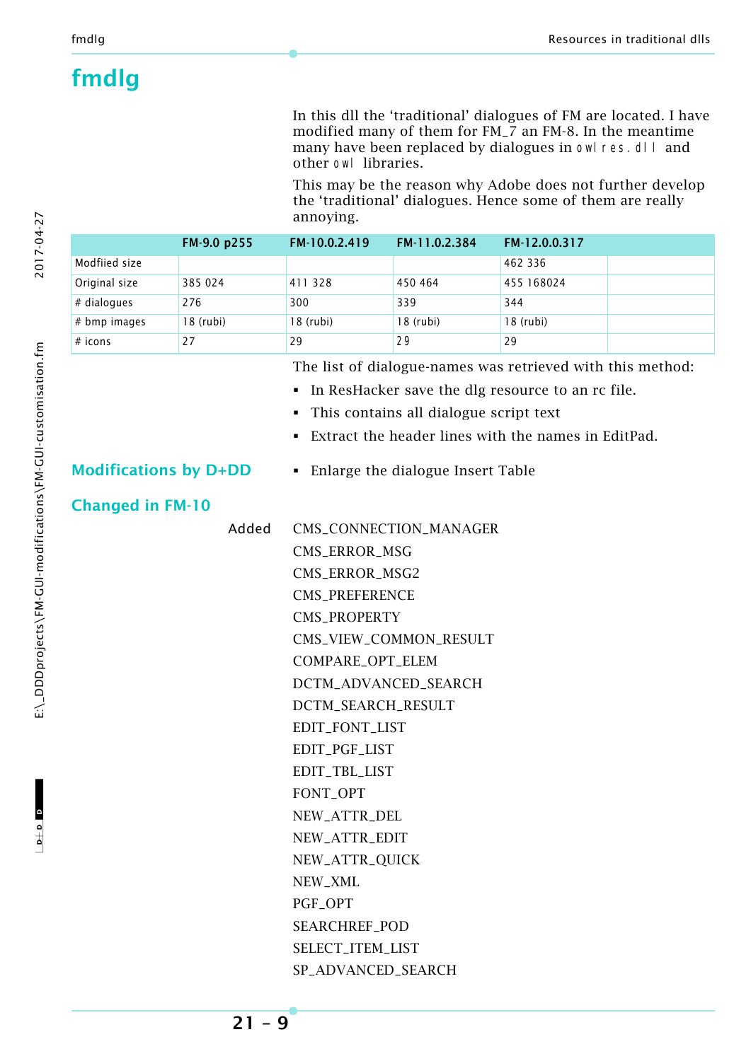### <span id="page-8-0"></span>**fmdlg**

In this dll the 'traditional' dialogues of FM are located. I have modified many of them for FM\_7 an FM-8. In the meantime many have been replaced by dialogues in owl res. dl I and other owl libraries.

This may be the reason why Adobe does not further develop the 'traditional' dialogues. Hence some of them are really annoying.

|                | FM-9.0 p255 | FM-10.0.2.419 | FM-11.0.2.384 | FM-12.0.0.317 |
|----------------|-------------|---------------|---------------|---------------|
| Modfiied size  |             |               |               | 462 336       |
| Original size  | 385 024     | 411 328       | 450 464       | 455 168024    |
| # dialogues    | 276         | 300           | 339           | 344           |
| $#$ bmp images | $18$ (rubi) | $18$ (rubi)   | 18 (rubi)     | 18 (rubi)     |
| $#$ icons      | 27          | 29            | 29            | 29            |

The list of dialogue-names was retrieved with this method:

- In ResHacker save the dlg resource to an rc file.
- This contains all dialogue script text
- Extract the header lines with the names in EditPad.

**Modifications by D+DD** • Enlarge the dialogue Insert Table

#### **Changed in FM-10**

| Added | CMS_CONNECTION_MANAGER |
|-------|------------------------|
|       | <b>CMS_ERROR_MSG</b>   |
|       | CMS_ERROR_MSG2         |
|       | <b>CMS_PREFERENCE</b>  |
|       | <b>CMS PROPERTY</b>    |
|       | CMS_VIEW_COMMON_RESULT |
|       | COMPARE_OPT_ELEM       |
|       | DCTM_ADVANCED_SEARCH   |
|       | DCTM_SEARCH_RESULT     |
|       | EDIT_FONT_LIST         |
|       | EDIT_PGF_LIST          |
|       | EDIT_TBL_LIST          |
|       | FONT_OPT               |
|       | NEW_ATTR_DEL           |
|       | NEW_ATTR_EDIT          |
|       | NEW_ATTR_QUICK         |
|       | NEW_XML                |
|       | PGF_OPT                |
|       | <b>SEARCHREF POD</b>   |
|       | SELECT_ITEM_LIST       |
|       | SP_ADVANCED_SEARCH     |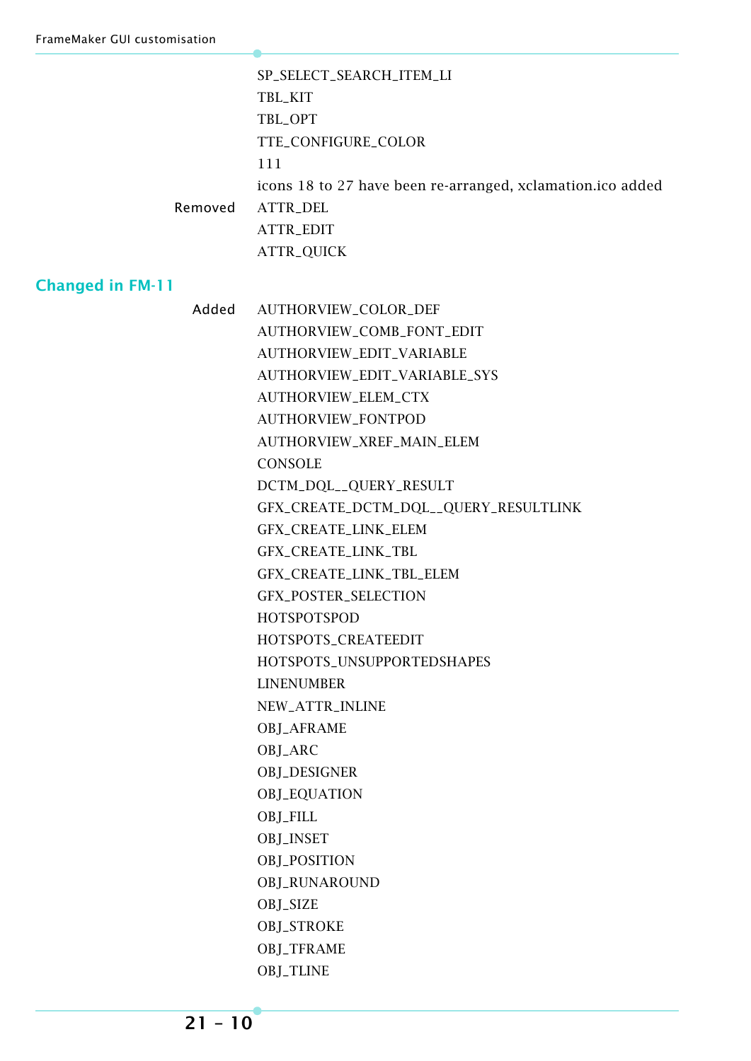|                         | SP_SELECT_SEARCH_ITEM_LI                                   |
|-------------------------|------------------------------------------------------------|
|                         | TBL_KIT                                                    |
|                         | TBL_OPT                                                    |
|                         | TTE_CONFIGURE_COLOR                                        |
|                         | 111                                                        |
|                         | icons 18 to 27 have been re-arranged, xclamation.ico added |
| Removed                 | ATTR_DEL                                                   |
|                         | ATTR_EDIT                                                  |
|                         | ATTR_QUICK                                                 |
| <b>Changed in FM-11</b> |                                                            |

### AUTHORVIEW\_COMB\_FONT\_EDIT AUTHORVIEW\_EDIT\_VARIABLE AUTHORVIEW\_EDIT\_VARIABLE\_SYS AUTHORVIEW\_ELEM\_CTX AUTHORVIEW\_FONTPOD AUTHORVIEW\_XREF\_MAIN\_ELEM **CONSOLE** DCTM\_DQL\_\_QUERY\_RESULT GFX\_CREATE\_DCTM\_DQL\_\_QUERY\_RESULTLINK GFX\_CREATE\_LINK\_ELEM GFX\_CREATE\_LINK\_TBL GFX\_CREATE\_LINK\_TBL\_ELEM GFX\_POSTER\_SELECTION HOTSPOTSPOD HOTSPOTS\_CREATEEDIT HOTSPOTS\_UNSUPPORTEDSHAPES LINENUMBER NEW\_ATTR\_INLINE OBJ\_AFRAME OBJ\_ARC OBJ\_DESIGNER OBJ\_EQUATION OBJ\_FILL OBJ\_INSET OBJ\_POSITION OBJ\_RUNAROUND OBJ\_SIZE OBJ\_STROKE OBJ\_TFRAME OBJ\_TLINE

Added AUTHORVIEW\_COLOR\_DEF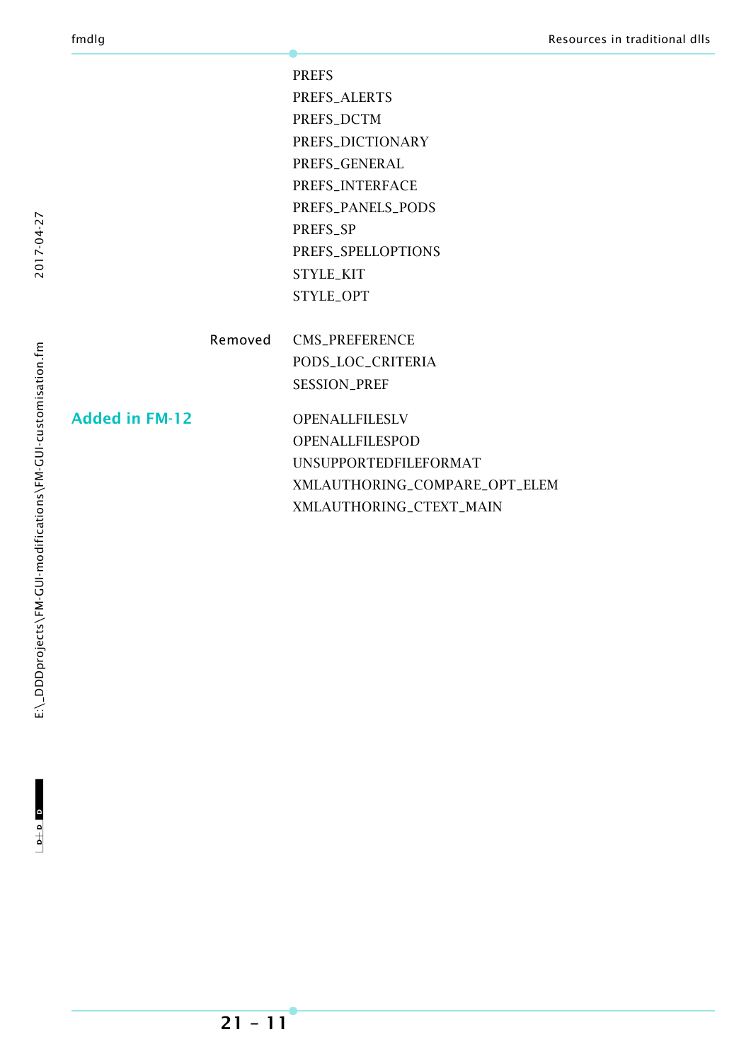PREFS PREFS\_ALERTS PREFS\_DCTM PREFS\_DICTIONARY PREFS\_GENERAL PREFS\_INTERFACE PREFS\_PANELS\_PODS PREFS\_SP PREFS\_SPELLOPTIONS STYLE\_KIT STYLE\_OPT

Removed CMS\_PREFERENCE PODS\_LOC\_CRITERIA SESSION\_PREF

Added in FM-12 OPENALLFILESLV OPENALLFILESPOD UNSUPPORTEDFILEFORMAT XMLAUTHORING\_COMPARE\_OPT\_ELEM XMLAUTHORING\_CTEXT\_MAIN

2017-04-27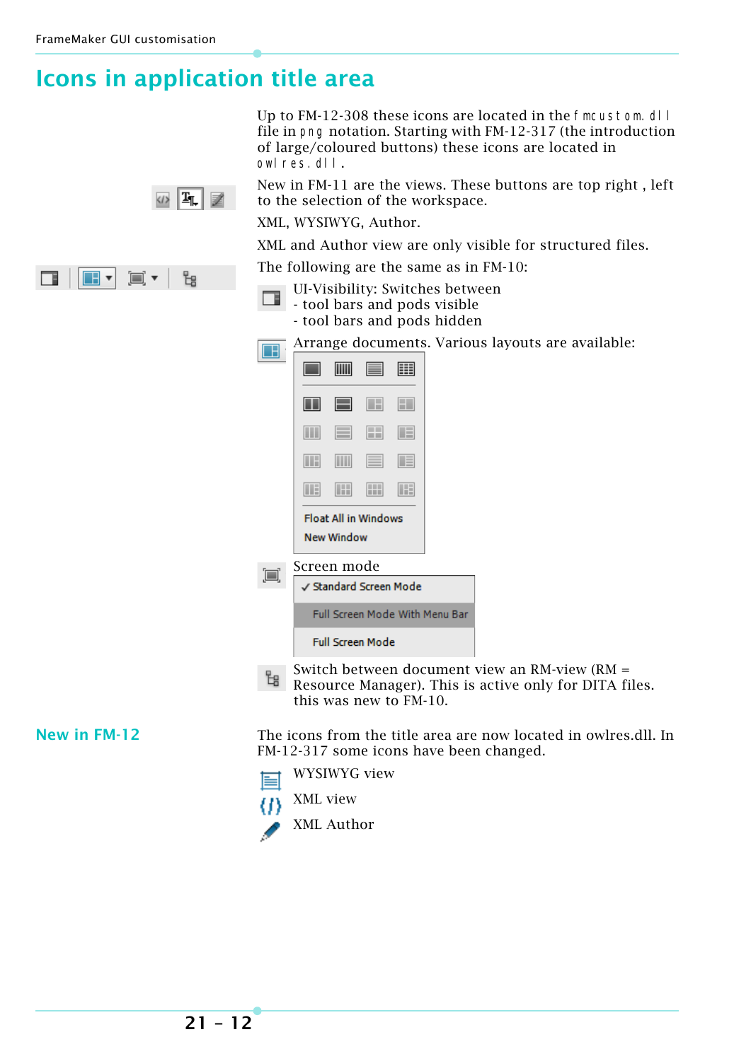п

 $\blacksquare$   $\blacksquare$ 

ම•

### <span id="page-11-0"></span>**Icons in application title area**

Up to FM-12-308 these icons are located in the fmcustom.dl I file in png notation. Starting with FM-12-317 (the introduction of large/coloured buttons) these icons are located in owlres.dll.

New in FM-11 are the views. These buttons are top right , left to the selection of the workspace.

XML, WYSIWYG, Author.

XML and Author view are only visible for structured files.

The following are the same as in FM-10:

- UI-Visibility: Switches between 口.
	- tool bars and pods visible - tool bars and pods hidden

Arrange documents. Various layouts are available:  $\Box$ 

|                                                  |          | 圁        | 囲 |
|--------------------------------------------------|----------|----------|---|
|                                                  | E        | $\Box$   | Η |
| $\Box$                                           | $\equiv$ | m        | 旧 |
| Œ                                                | III      | $\equiv$ | 頂 |
| Œ                                                | $\Box$   | H        | Œ |
| <b>Float All in Windows</b><br><b>New Window</b> |          |          |   |
| Screen mode                                      |          |          |   |

#### Screen mode io



Switch between document view an RM-view (RM = Resource Manager). This is active only for DITA files. this was new to FM-10.

**New in FM-12** The icons from the title area are now located in owlres.dll. In FM-12-317 some icons have been changed.

- WYSIWYG view  $=$
- XML view (1)





 $\circ$   $\boxed{T}$   $\boxed{2}$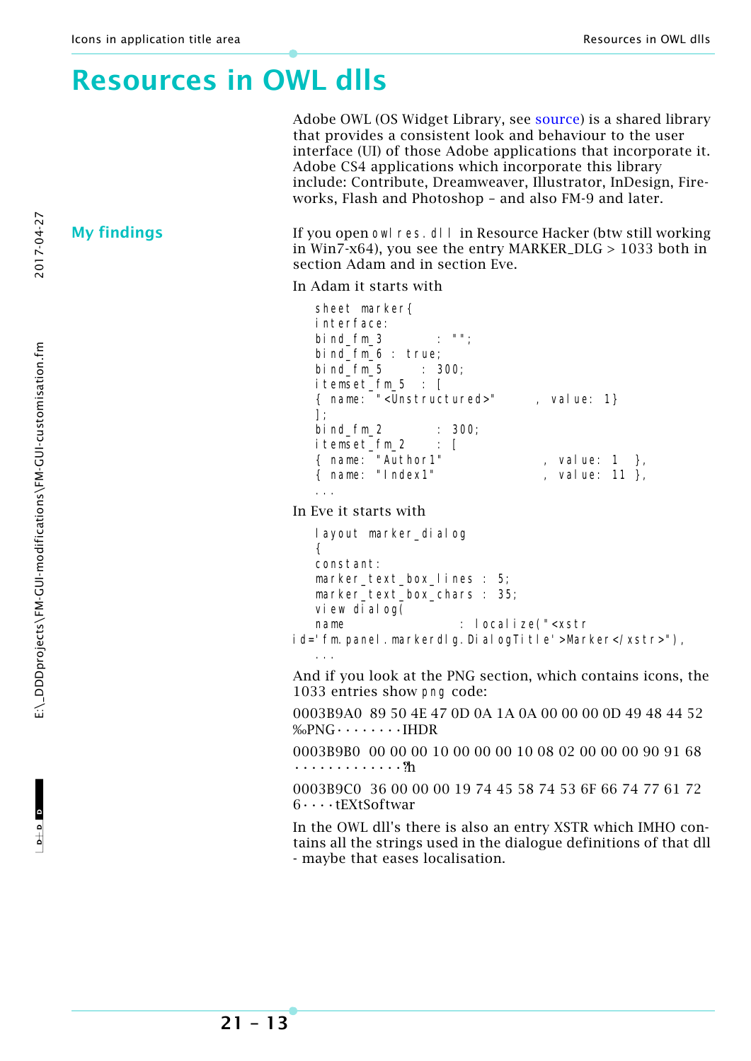### <span id="page-12-0"></span>**Resources in OWL dlls**

Adobe OWL (OS Widget Library, see [source](http://helpx.adobe.com/creative-suite/kb/troubleshoot-application-frame-document-window.html#main_Adobe_OS_Widget_Library__OWL_)) is a shared library that provides a consistent look and behaviour to the user interface (UI) of those Adobe applications that incorporate it. Adobe CS4 applications which incorporate this library include: Contribute, Dreamweaver, Illustrator, InDesign, Fireworks, Flash and Photoshop – and also FM-9 and later.

**My findings** If you open owl res. dll in Resource Hacker (btw still working in Win7-x64), you see the entry MARKER\_DLG > 1033 both in section Adam and in section Eve.

In Adam it starts with

```
 sheet marker{
 interface:
bind fm \, 3 \, : "";
bindfm_6: true;<br>bindfm_5: 300:
bind fm<sub>5</sub> itemset_fm_5 : [ 
 { name: "<Unstructured>" , value: 1}
 ];
 bind_fm_2 : 300; 
 itemset_fm_2 : [
{ name: "Author1" , value: 1 },
{ name: "Index1" , value: 11 },
 ...
```
In Eve it starts with

```
 layout marker_dialog
   {
   constant:
   marker_text_box_lines : 5;
   marker_text_box_chars : 35;
   view dialog(
  name : localize("<xstr
id='fm.panel.markerdlg.DialogTitle'>Marker</xstr>"),
 ...
```
And if you look at the PNG section, which contains icons, the 1033 entries show png code:

0003B9A0 89 50 4E 47 0D 0A 1A 0A 00 00 00 0D 49 48 44 52  $%$ PNG $\cdots$  $\cdots$ FIHDR

0003B9B0 00 00 00 10 00 00 00 10 08 02 00 00 00 90 91 68 •••••••••••••?h

0003B9C0 36 00 00 00 19 74 45 58 74 53 6F 66 74 77 61 72 6••••tEXtSoftwar

In the OWL dll's there is also an entry XSTR which IMHO contains all the strings used in the dialogue definitions of that dll - maybe that eases localisation.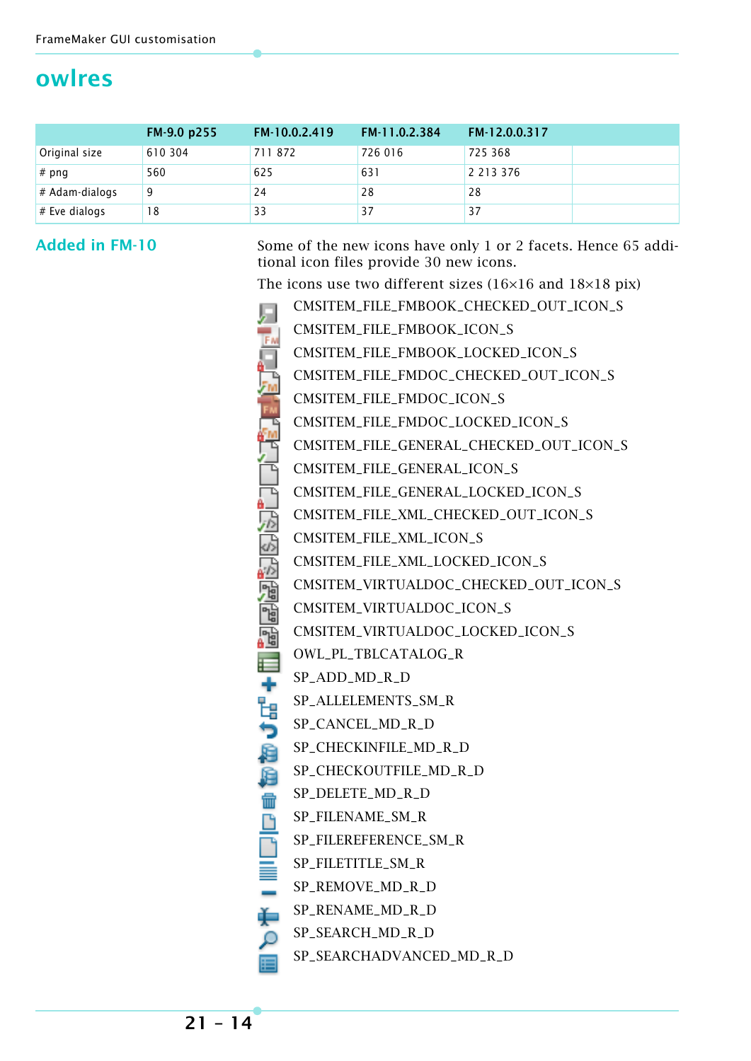### <span id="page-13-0"></span>**owlres**

|                  | FM-9.0 p255 | FM-10.0.2.419 | FM 11.0.2.384 | FM-12.0.0.317 |  |
|------------------|-------------|---------------|---------------|---------------|--|
| Original size    | 610 304     | 711872        | 726 016       | 725 368       |  |
| $#$ png          | 560         | 625           | 631           | 2 2 1 3 3 7 6 |  |
| $#$ Adam-dialogs | 9           | 24            | 28            | 28            |  |
| $#$ Eve dialogs  | 18          | 33            | 37            | 37            |  |

Added in FM-10 Some of the new icons have only 1 or 2 facets. Hence 65 additional icon files provide 30 new icons.

The icons use two different sizes (16×16 and 18×18 pix)

|       | THE ICONS USE TWO UNTERCITE SIZES (TOATO QUU TOATO PI |
|-------|-------------------------------------------------------|
|       | CMSITEM_FILE_FMBOOK_CHECKED_OUT_ICON_S                |
|       | CMSITEM_FILE_FMBOOK_ICON_S                            |
|       | CMSITEM_FILE_FMBOOK_LOCKED_ICON_S                     |
|       | CMSITEM_FILE_FMDOC_CHECKED_OUT_ICON_S                 |
|       | CMSITEM_FILE_FMDOC_ICON_S                             |
|       | CMSITEM_FILE_FMDOC_LOCKED_ICON_S                      |
|       | CMSITEM_FILE_GENERAL_CHECKED_OUT_ICON_S               |
|       | CMSITEM_FILE_GENERAL_ICON_S                           |
|       | CMSITEM_FILE_GENERAL_LOCKED_ICON_S                    |
|       | CMSITEM_FILE_XML_CHECKED_OUT_ICON_S                   |
|       | CMSITEM_FILE_XML_ICON_S                               |
|       | CMSITEM_FILE_XML_LOCKED_ICON_S                        |
|       | CMSITEM_VIRTUALDOC_CHECKED_OUT_ICON_S                 |
|       | CMSITEM_VIRTUALDOC_ICON_S                             |
|       | CMSITEM_VIRTUALDOC_LOCKED_ICON_S                      |
| ⋿     | OWL_PL_TBLCATALOG_R                                   |
|       | SP_ADD_MD_R_D                                         |
| トーロウ、 | SP_ALLELEMENTS_SM_R                                   |
|       | SP_CANCEL_MD_R_D                                      |
| Ð     | SP_CHECKINFILE_MD_R_D                                 |
| 眉     | SP_CHECKOUTFILE_MD_R_D                                |
| 冊     | SP_DELETE_MD_R_D                                      |
|       | SP_FILENAME_SM_R                                      |
|       | SP_FILEREFERENCE_SM_R                                 |
|       | SP_FILETITLE_SM_R                                     |
|       | SP_REMOVE_MD_R_D                                      |
| 山口三一声 | SP_RENAME_MD_R_D                                      |
| Ω     | SP_SEARCH_MD_R_D                                      |

SP\_SEARCHADVANCED\_MD\_R\_D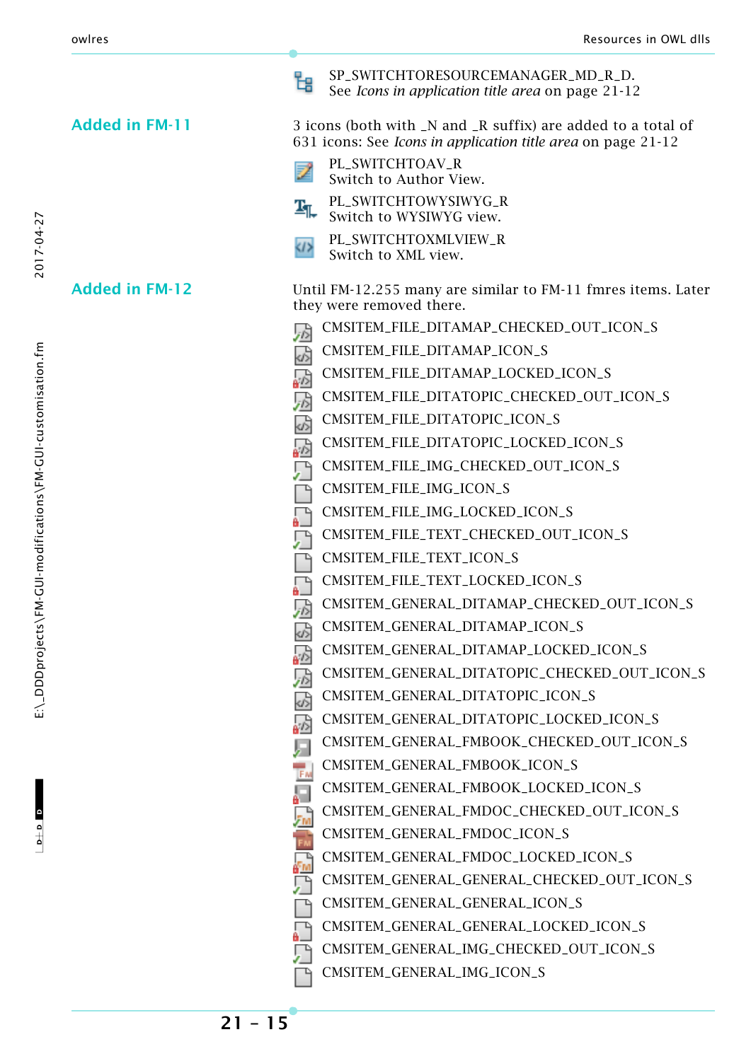#### Added in FM-11 3 icons (both with \_N and \_R suffix) are added to a total of

2017-04-27

 $\mathbf{c}$  a  $\mathbf{c}$ 

 $-1$ 

|                       | PL_SWITCHTOXMLVIEW_R<br>Switch to XML view.                                              |
|-----------------------|------------------------------------------------------------------------------------------|
| <b>Added in FM-12</b> | Until FM-12.255 many are similar to FM-11 fmres items. Later<br>they were removed there. |
|                       | CMSITEM_FILE_DITAMAP_CHECKED_OUT_ICON_S<br>园                                             |
|                       | CMSITEM_FILE_DITAMAP_ICON_S<br>$\overline{\phi}$                                         |
|                       | CMSITEM_FILE_DITAMAP_LOCKED_ICON_S<br>品                                                  |
|                       | CMSITEM_FILE_DITATOPIC_CHECKED_OUT_ICON_S<br>忈                                           |
|                       | CMSITEM_FILE_DITATOPIC_ICON_S<br>$\overrightarrow{d_2}$                                  |
|                       | CMSITEM_FILE_DITATOPIC_LOCKED_ICON_S<br>必                                                |
|                       | CMSITEM_FILE_IMG_CHECKED_OUT_ICON_S<br>凰                                                 |
|                       | CMSITEM_FILE_IMG_ICON_S                                                                  |
|                       | CMSITEM_FILE_IMG_LOCKED_ICON_S                                                           |
|                       | CMSITEM_FILE_TEXT_CHECKED_OUT_ICON_S                                                     |
|                       | CMSITEM_FILE_TEXT_ICON_S                                                                 |
|                       | CMSITEM_FILE_TEXT_LOCKED_ICON_S                                                          |
|                       | CMSITEM_GENERAL_DITAMAP_CHECKED_OUT_ICON_S<br>夃                                          |
|                       | CMSITEM_GENERAL_DITAMAP_ICON_S<br>$\frac{1}{\sqrt{2}}$                                   |
|                       | CMSITEM_GENERAL_DITAMAP_LOCKED_ICON_S<br>刕                                               |
|                       | CMSITEM_GENERAL_DITATOPIC_CHECKED_OUT_ICON_S<br>夃                                        |
|                       | CMSITEM_GENERAL_DITATOPIC_ICON_S<br>$\sigma$                                             |
|                       | CMSITEM_GENERAL_DITATOPIC_LOCKED_ICON_S<br>ゐ                                             |
|                       | CMSITEM_GENERAL_FMBOOK_CHECKED_OUT_ICON_S                                                |
|                       | CMSITEM_GENERAL_FMBOOK_ICON_S<br>JF M                                                    |
|                       | CMSITEM_GENERAL_FMBOOK_LOCKED_ICON_S<br>ا کا<br>А.                                       |
|                       | CMSITEM_GENERAL_FMDOC_CHECKED_OUT_ICON_S                                                 |
|                       | CMSITEM_GENERAL_FMDOC_ICON_S                                                             |
|                       | CMSITEM_GENERAL_FMDOC_LOCKED_ICON_S<br>ſш                                                |
|                       | CMSITEM_GENERAL_GENERAL_CHECKED_OUT_ICON_S                                               |
|                       | CMSITEM_GENERAL_GENERAL_ICON_S                                                           |
|                       | CMSITEM_GENERAL_GENERAL_LOCKED_ICON_S                                                    |
|                       | CMSITEM_GENERAL_IMG_CHECKED_OUT_ICON_S                                                   |
|                       | CMSITEM_GENERAL_IMG_ICON_S                                                               |
|                       |                                                                                          |

SP\_SWITCHTORESOURCEMANAGER\_MD\_R\_D. See *[Icons in application title area](#page-11-0)* on page 21-12

631 icons: See *[Icons in application title area](#page-11-0)* on page 21-12

PL\_SWITCHTOAV\_R Switch to Author View. PL\_SWITCHTOWYSIWYG\_R Switch to WYSIWYG view.

멶

B.

 $T_{\text{L}}$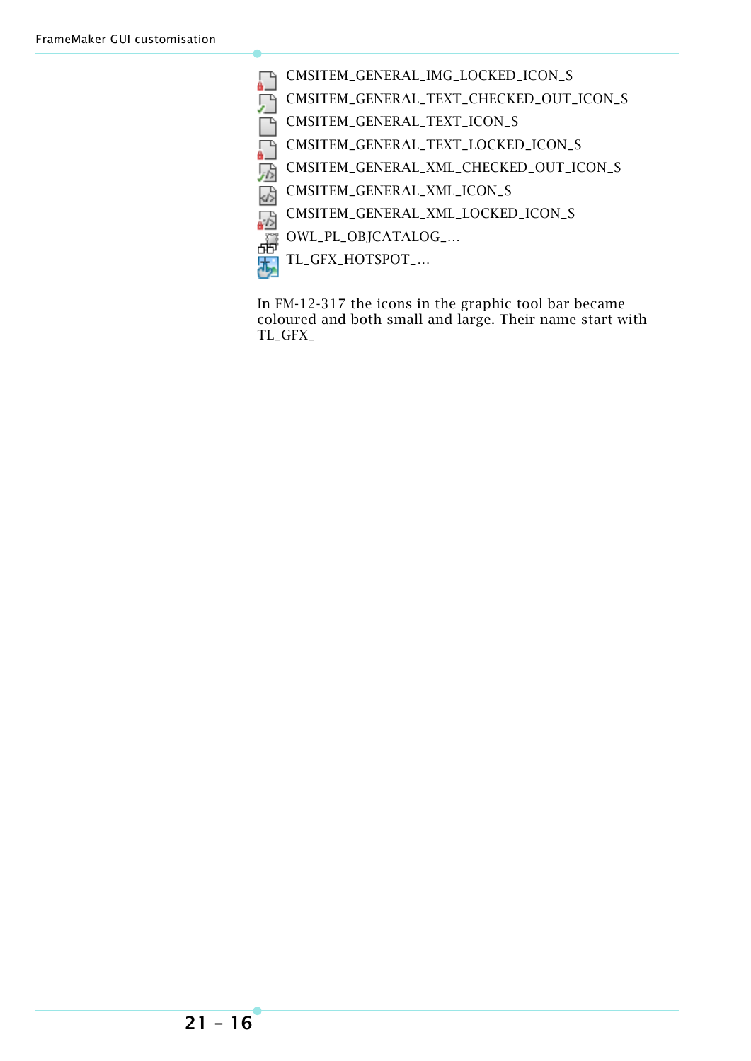- Ð CMSITEM\_GENERAL\_IMG\_LOCKED\_ICON\_S
	- CMSITEM\_GENERAL\_TEXT\_CHECKED\_OUT\_ICON\_S
- n<br>D CMSITEM\_GENERAL\_TEXT\_ICON\_S
- CMSITEM\_GENERAL\_TEXT\_LOCKED\_ICON\_S
- CMSITEM\_GENERAL\_XML\_CHECKED\_OUT\_ICON\_S
- **TEGE** CMSITEM\_GENERAL\_XML\_ICON\_S
- CMSITEM\_GENERAL\_XML\_LOCKED\_ICON\_S
- 命 OWL\_PL\_OBJCATALOG\_…
- TL\_GFX\_HOTSPOT\_… للوالع

In FM-12-317 the icons in the graphic tool bar became coloured and both small and large. Their name start with TL\_GFX\_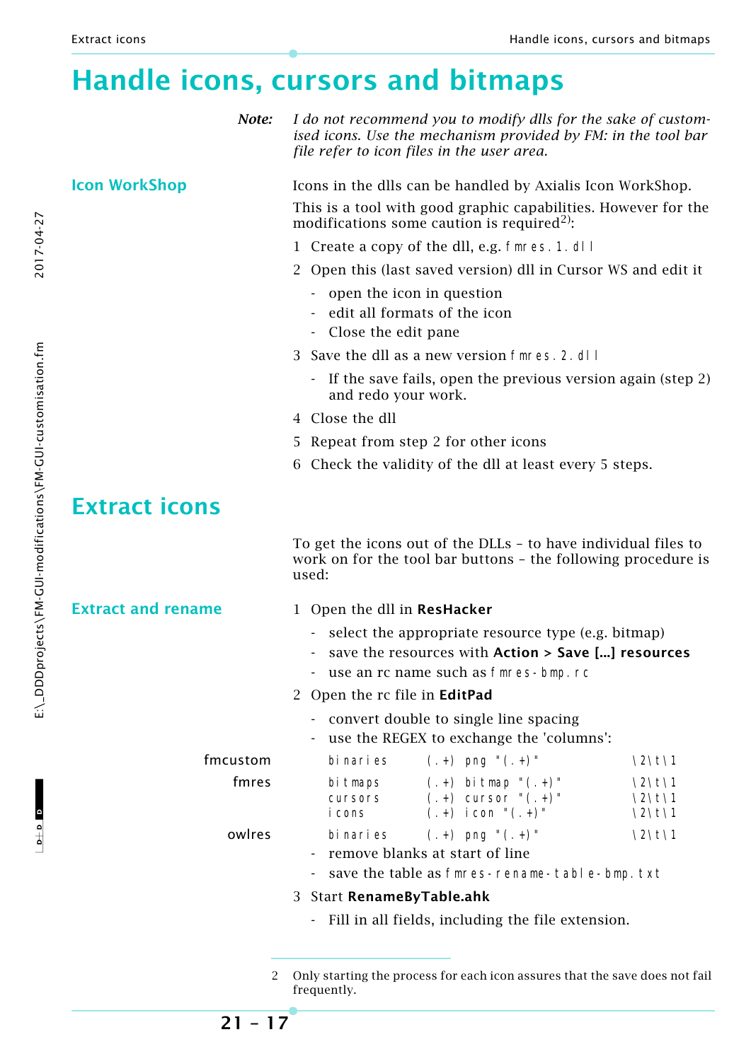### <span id="page-16-0"></span>**Handle icons, cursors and bitmaps**

*Note: I do not recommend you to modify dlls for the sake of customised icons. Use the mechanism provided by FM: in the tool bar file refer to icon files in the user area.*

**Icon WorkShop** Icons in the dlls can be handled by Axialis Icon WorkShop.

This is a tool with good graphic capabilities. However for the modifications some caution is required<sup>2)</sup>:

- 1 Create a copy of the dll, e.g. fmres.1.dll
- 2 Open this (last saved version) dll in Cursor WS and edit it
	- open the icon in question
	- edit all formats of the icon
	- Close the edit pane
- 3 Save the dll as a new version fmres.2.dll
	- If the save fails, open the previous version again (step  $2$ ) and redo your work.
- 4 Close the dll
- 5 Repeat from step 2 for other icons
- 6 Check the validity of the dll at least every 5 steps.

### <span id="page-16-1"></span>**Extract icons**

To get the icons out of the DLLs – to have individual files to work on for the tool bar buttons – the following procedure is used:

#### **Extract and rename** 1 Open the dll in **ResHacker**

- select the appropriate resource type (e.g. bitmap)
- save the resources with **Action > Save [...] resources**
- use an rc name such as fmres-bmp.rc
- 2 Open the rc file in **EditPad**
	- convert double to single line spacing
	- use the REGEX to exchange the 'columns':

| fmcustom | bi nari es                   | $(+)$ png " $(+)$ "                                                        | \2\t\1                       |
|----------|------------------------------|----------------------------------------------------------------------------|------------------------------|
| fmres    | bitmaps<br>cursors<br>i cons | $(+)$ bi tmap " $(+)$ "<br>$(+)$ cursor " $(+)$ "<br>$(+)$ i con " $(+)$ " | $\2\$ 1\<br>\2\t\1<br>\2\t\1 |
| owlres   | bi nari es                   | $(+)$ png " $(+)$ "<br>- remove blanks at start of line                    | \2\†\1                       |

- save the table as fmres-rename-table-bmp.txt
- 3 Start **RenameByTable.ahk**
	- Fill in all fields, including the file extension.

2017-04-27

<sup>2</sup> Only starting the process for each icon assures that the save does not fail frequently.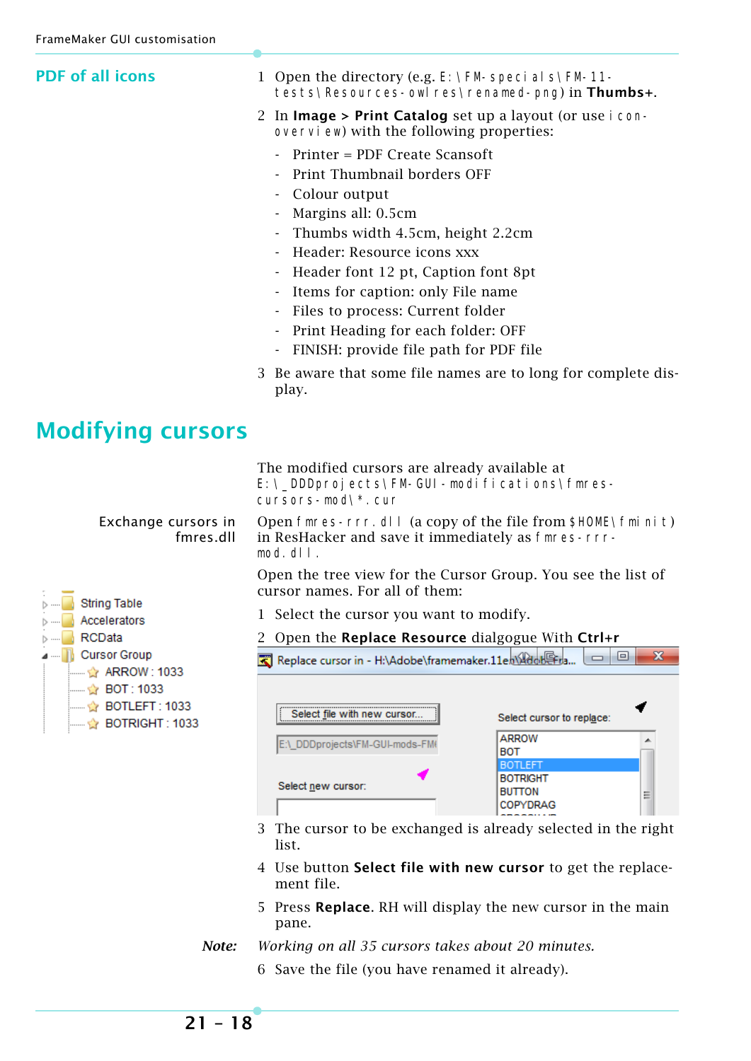<span id="page-17-0"></span>

| <b>PDF</b> of all icons                                                                   | 1 Open the directory (e.g. E: \FM-speci al s\FM-11-<br>tests\Resources-owlres\renamed-png) in Thumbs+.                                                                                                                                                                                                            |  |  |  |
|-------------------------------------------------------------------------------------------|-------------------------------------------------------------------------------------------------------------------------------------------------------------------------------------------------------------------------------------------------------------------------------------------------------------------|--|--|--|
|                                                                                           | 2 In Image > Print Catalog set up a layout (or use i con-<br>overvi ew) with the following properties:                                                                                                                                                                                                            |  |  |  |
|                                                                                           | Printer = PDF Create Scansoft<br>$\overline{\phantom{a}}$<br>Print Thumbnail borders OFF<br>Colour output<br>Margins all: 0.5cm<br>Thumbs width 4.5cm, height 2.2cm<br>Header: Resource icons xxx<br>Header font 12 pt, Caption font 8pt<br>Items for caption: only File name<br>Files to process: Current folder |  |  |  |
|                                                                                           | Print Heading for each folder: OFF                                                                                                                                                                                                                                                                                |  |  |  |
|                                                                                           | FINISH: provide file path for PDF file<br>$\overline{\phantom{a}}$<br>3 Be aware that some file names are to long for complete dis-<br>play.                                                                                                                                                                      |  |  |  |
| <b>Modifying cursors</b>                                                                  |                                                                                                                                                                                                                                                                                                                   |  |  |  |
|                                                                                           | The modified cursors are already available at<br>E: \_DDDprojects\FM-GUI-modifications\fmres-<br>cursors-mod\*.cur                                                                                                                                                                                                |  |  |  |
| Exchange cursors in<br>fmres.dll                                                          | Open fmres-rrr. dl I (a copy of the file from \$HOME\fmi ni t)<br>in ResHacker and save it immediately as fmres-rrr-<br>$mod.$ dl $l.$                                                                                                                                                                            |  |  |  |
|                                                                                           | Open the tree view for the Cursor Group. You see the list of<br>cursor names. For all of them:                                                                                                                                                                                                                    |  |  |  |
| <b>String Table</b><br>Accelerators<br>▷ ……                                               | 1 Select the cursor you want to modify.                                                                                                                                                                                                                                                                           |  |  |  |
| RCData                                                                                    | Open the Replace Resource dialgogue With Ctrl+r                                                                                                                                                                                                                                                                   |  |  |  |
| <b>Cursor Group</b>                                                                       | $\mathbf{x}$<br>回<br>Replace cursor in - H:\Adobe\framemaker.11en\AdobeFra.<br>$\Box$                                                                                                                                                                                                                             |  |  |  |
| ☆ ARROW : 1033<br>— ☆ ВОТ: 1033<br>$\mathbb{L}$ BOTLEFT : 1033<br>Mendered BOTRIGHT: 1033 | Select file with new cursor<br>Select cursor to replace:<br><b>ARROW</b><br>E:\_DDDprojects\FM-GUI-mods-FM(<br><b>BOT</b><br><b>BOTLEFT</b><br>Botright<br>Select new cursor:<br>BUTTON<br>Ξ<br>COPYDRAG                                                                                                          |  |  |  |
|                                                                                           | The cursor to be exchanged is already selected in the right<br>3<br>list.                                                                                                                                                                                                                                         |  |  |  |

- 4 Use button **Select file with new cursor** to get the replacement file.
- 5 Press **Replace**. RH will display the new cursor in the main pane.
- *Note: Working on all 35 cursors takes about 20 minutes.*
	- 6 Save the file (you have renamed it already).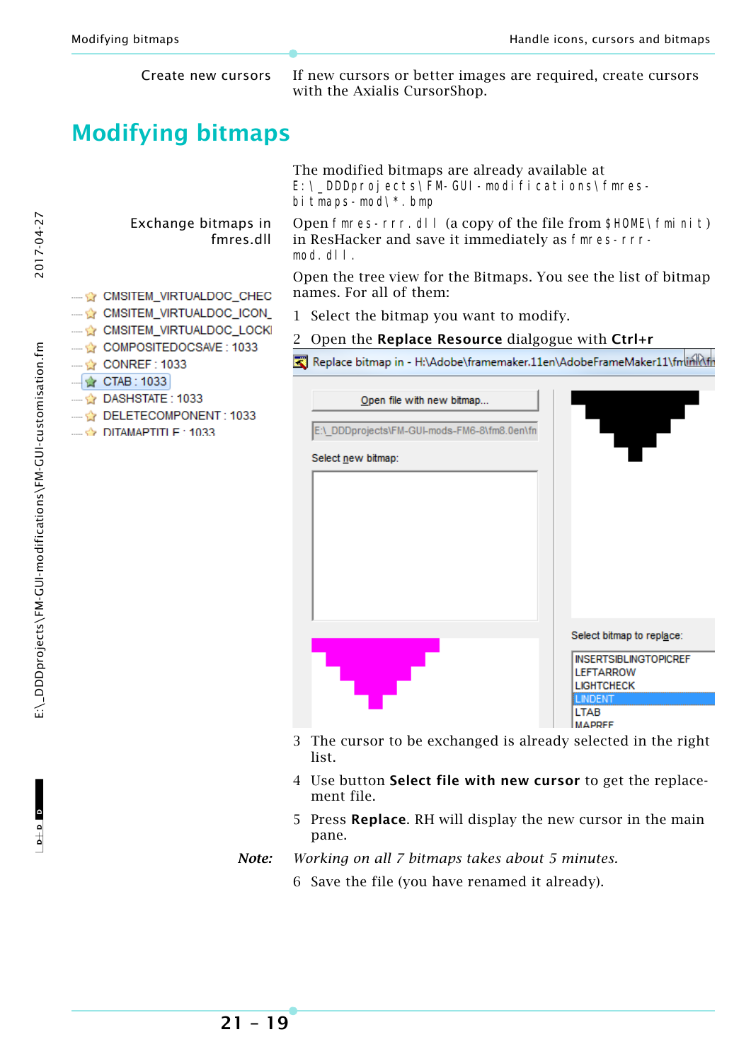<span id="page-18-0"></span>

**21 – 19**

- *Note: Working on all 7 bitmaps takes about 5 minutes.*
	- 6 Save the file (you have renamed it already).

2017-04-27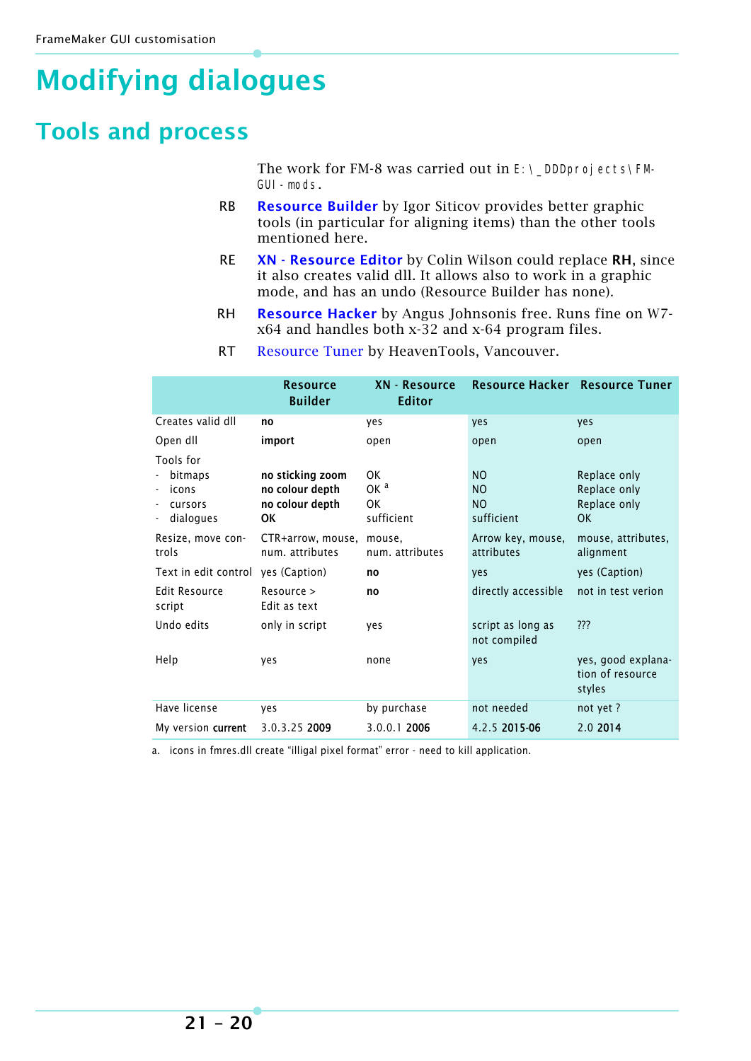# <span id="page-19-0"></span>**Modifying dialogues**

### <span id="page-19-1"></span>**Tools and process**

The work for FM-8 was carried out in  $E:\Leftrightarrow$  DDDprojects\FM-GUI-mods.

- RB **Resource Builder** by Igor Siticov provides better graphic tools (in particular for aligning items) than the other tools mentioned here.
- RE **XN Resource Editor** by Colin Wilson could replace **RH**, since it also creates valid dll. It allows also to work in a graphic mode, and has an undo (Resource Builder has none).
- RH **[Resource Hacker](http://www.angusj.com/resourcehacker/)** by Angus Johnsonis free. Runs fine on W7 x64 and handles both x-32 and x-64 program files.
- RT [Resource Tuner](http://www.heaventools.com/resource-tuner.htm) by HeavenTools, Vancouver.

|                                                       | <b>Resource</b><br><b>Builder</b>                            | XN - Resource<br><b>Editor</b>            |                                                       | Resource Hacker Resource Tuner                     |
|-------------------------------------------------------|--------------------------------------------------------------|-------------------------------------------|-------------------------------------------------------|----------------------------------------------------|
| Creates valid dll                                     | no                                                           | yes                                       | yes                                                   | yes                                                |
| Open dll                                              | import                                                       | open                                      | open                                                  | open                                               |
| Tools for<br>bitmaps<br>icons<br>cursors<br>dialogues | no sticking zoom<br>no colour depth<br>no colour depth<br>0K | 0K<br>OK <sup>a</sup><br>0K<br>sufficient | NO.<br>N <sub>O</sub><br>N <sub>O</sub><br>sufficient | Replace only<br>Replace only<br>Replace only<br>0K |
| Resize, move con-<br>trols                            | CTR+arrow, mouse,<br>num. attributes                         | mouse,<br>num. attributes                 | Arrow key, mouse,<br>attributes                       | mouse, attributes,<br>alignment                    |
| Text in edit control                                  | yes (Caption)                                                | no                                        | yes                                                   | yes (Caption)                                      |
| Edit Resource<br>script                               | Resource ><br>Edit as text                                   | no                                        | directly accessible                                   | not in test verion                                 |
| Undo edits                                            | only in script                                               | yes                                       | script as long as<br>not compiled                     | ???                                                |
| Help                                                  | ves                                                          | none                                      | yes                                                   | yes, good explana-<br>tion of resource<br>styles   |
| Have license                                          | yes                                                          | by purchase                               | not needed                                            | not yet?                                           |
| My version <b>current</b>                             | 3.0.3.25 2009                                                | 3.0.0.1 2006                              | 4.2.5 2015-06                                         | 2.0 2014                                           |

a. icons in fmres.dll create "illigal pixel format" error - need to kill application.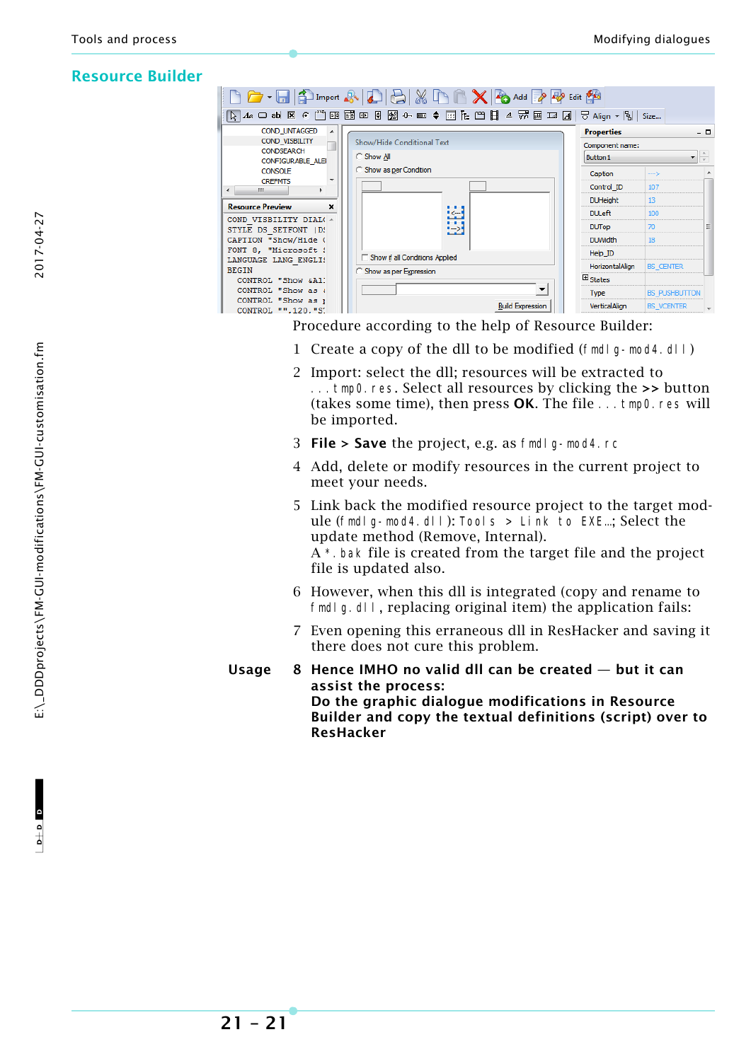#### **Resource Builder**

|                                                                  | $\begin{picture}(150,10) \put(0,0){\line(1,0){10}} \put(15,0){\line(1,0){10}} \put(15,0){\line(1,0){10}} \put(15,0){\line(1,0){10}} \put(15,0){\line(1,0){10}} \put(15,0){\line(1,0){10}} \put(15,0){\line(1,0){10}} \put(15,0){\line(1,0){10}} \put(15,0){\line(1,0){10}} \put(15,0){\line(1,0){10}} \put(15,0){\line(1,0){10}} \put(15,0){\line($ |                     |                     |     |
|------------------------------------------------------------------|-----------------------------------------------------------------------------------------------------------------------------------------------------------------------------------------------------------------------------------------------------------------------------------------------------------------------------------------------------|---------------------|---------------------|-----|
|                                                                  | $\overline{R}$ Az o ab 区 $\epsilon$ ‴ ⊞ E @ © 8 ⊗ ← ∞ ♦ ⊞ F 罒 B ₹ ∞ ⊞ ∡ ₩ ⊞ ∞ ⊿                                                                                                                                                                                                                                                                     | ᄝ Align ▼ 립   Size  |                     |     |
| COND UNTAGGED<br>▲                                               |                                                                                                                                                                                                                                                                                                                                                     | <b>Properties</b>   |                     | - 0 |
| COND VISBILITY                                                   | Show/Hide Conditional Text                                                                                                                                                                                                                                                                                                                          | Component name:     |                     |     |
| <b>CONDSEARCH</b><br><b>CONFIGURABLE ALEI</b>                    | C Show All                                                                                                                                                                                                                                                                                                                                          | Button <sub>1</sub> |                     |     |
| <b>CONSOLE</b>                                                   | C Show as per Condition                                                                                                                                                                                                                                                                                                                             | Caption             | $\rightarrow$       |     |
| $\overline{\phantom{a}}$<br><b>CREFMTS</b><br>m.<br>$\leftarrow$ |                                                                                                                                                                                                                                                                                                                                                     | Control ID          | 107                 |     |
|                                                                  |                                                                                                                                                                                                                                                                                                                                                     | <b>DUHeight</b>     | 13                  |     |
| <b>Resource Preview</b><br>×                                     | 妇                                                                                                                                                                                                                                                                                                                                                   | <b>DU</b> eft       | 100                 |     |
| COND VISBILITY DIAL( -<br>STYLE DS SETFONT   D!                  | 國                                                                                                                                                                                                                                                                                                                                                   | <b>DUTop</b>        | 70                  |     |
| CAPTION "Show/Hide (                                             |                                                                                                                                                                                                                                                                                                                                                     | <b>DUWidth</b>      | 18                  |     |
| FONT 8, "Microsoft !                                             | Show if all Conditions Applied                                                                                                                                                                                                                                                                                                                      | Help ID             |                     |     |
| LANGUAGE LANG ENGLI!<br><b>BEGIN</b>                             |                                                                                                                                                                                                                                                                                                                                                     | HorizontalAlign     | <b>BS CENTER</b>    |     |
| CONTROL "Show &A1!                                               | C Show as per Expression                                                                                                                                                                                                                                                                                                                            | $\boxplus$ States   |                     |     |
| CONTROL "Show as a                                               |                                                                                                                                                                                                                                                                                                                                                     | Type                | <b>BS PUSHBUTTO</b> |     |
| CONTROL "Show as ;<br>CONTROL "".120."S.                         | <b>Build Expression</b>                                                                                                                                                                                                                                                                                                                             | VerticalAlign       | <b>BS VCENTER</b>   |     |

Procedure according to the help of Resource Builder:

- 1 Create a copy of the dll to be modified (fmdlg-mod4.dll)
- 2 Import: select the dll; resources will be extracted to ...tmp0.res. Select all resources by clicking the **>>** button (takes some time), then press **OK**. The file ...tmp0.res will be imported.
- 3 **File > Save** the project, e.g. as fmdlg-mod4.rc
- 4 Add, delete or modify resources in the current project to meet your needs.
- 5 Link back the modified resource project to the target module (fmdlg-mod4.dll): Tools > Link to EXE…; Select the update method (Remove, Internal). A \*.bak file is created from the target file and the project file is updated also.
- 6 However, when this dll is integrated (copy and rename to fmdl g.dll, replacing original item) the application fails:
- 7 Even opening this erraneous dll in ResHacker and saving it there does not cure this problem.
- **Usage 8 Hence IMHO no valid dll can be created but it can assist the process: Do the graphic dialogue modifications in Resource Builder and copy the textual definitions (script) over to ResHacker**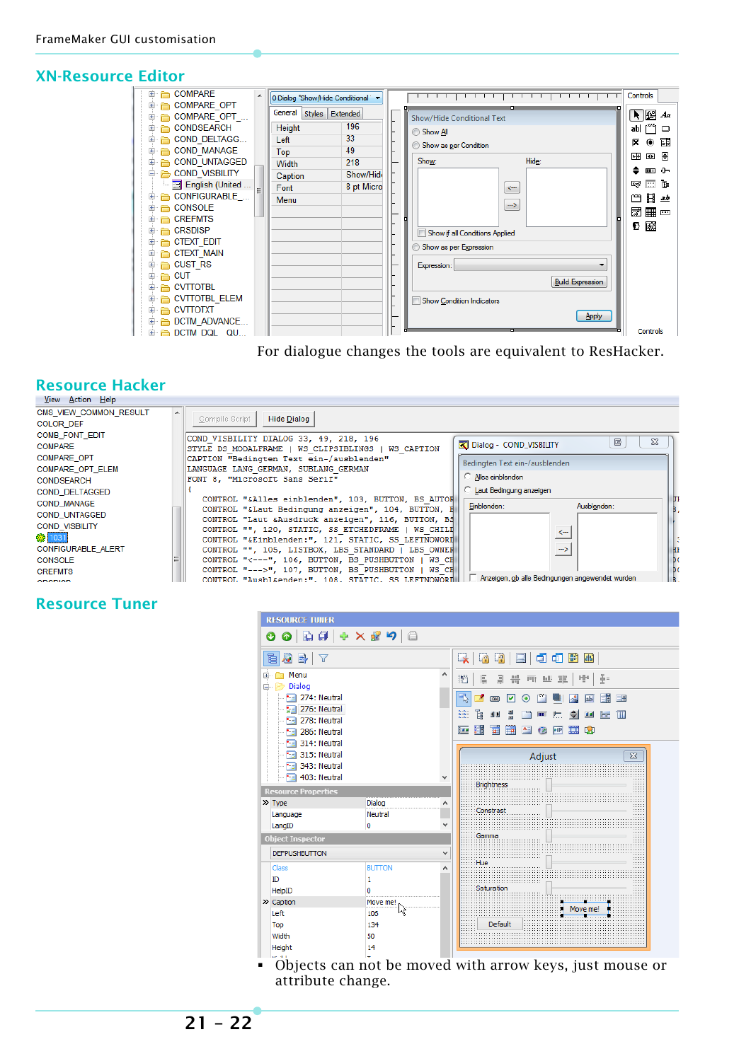#### **XN-Resource Editor**

| <b>E</b> COMPARE<br>0 Dialog "Show/Hide Conditional"                                                                                                                                                                                                                                                                                                                                                                                                                                                                                                                                                                                                                                                                                                                                                                                                       | Controls                                                                                                                                                                                  |
|------------------------------------------------------------------------------------------------------------------------------------------------------------------------------------------------------------------------------------------------------------------------------------------------------------------------------------------------------------------------------------------------------------------------------------------------------------------------------------------------------------------------------------------------------------------------------------------------------------------------------------------------------------------------------------------------------------------------------------------------------------------------------------------------------------------------------------------------------------|-------------------------------------------------------------------------------------------------------------------------------------------------------------------------------------------|
| <b>E</b> COMPARE OPT<br>General Styles Extended<br>⊕ COMPARE OPT<br>Show/Hide Conditional Text<br>196<br>Height<br><b>E</b> CONDSEARCH<br>Show All<br>33<br><b>E</b> COND DELTAGG<br>Left<br>Show as per Condition<br>49<br><b>E</b> COND MANAGE<br><b>Top</b><br>Hide:<br>Show:<br><b>E</b> COND UNTAGGED<br>218<br>Width<br><b>E-COND VISBILITY</b><br>Show/Hid<br>Caption<br>- English (United<br>8 pt Micro<br>Font<br>$\leftarrow$<br><b>⊕ CONFIGURABLE</b><br>Menu<br>$\rightarrow$<br>⊕ CONSOLE<br><b>CREFMTS</b><br>$+$<br><b>E</b> CRSDISP<br>$+$<br>Show if all Conditions Applied<br><b>E</b> CTEXT EDIT<br>Show as per Expression<br><b>E</b> CTEXT MAIN<br>$\oplus$ $\oplus$ CUST RS<br>Expression:<br>$\oplus$ $\oplus$ CUT<br><b>Build Expression</b><br>⊕ <del>∩</del> CVTTOTBL<br><b>E- E- CVTTOTBL ELEM</b><br>Show Condition Indicators | $\bigcup_{\alpha} B$ $A$ a<br>abi [""]<br>□<br>爾<br>⋉<br>$\bullet$<br>圖<br>丽<br><b>KIE</b><br>≘.<br>$+$<br><b>TILL</b><br>丽<br>ĪΕ<br>التي<br>Ħ<br>٣٦<br>ab<br>國冊<br>$\overline{}$<br>13 國 |

#### For dialogue changes the tools are equivalent to ResHacker.

### **Resource Hacker**



#### **Resource Tuner**



 Objects can not be moved with arrow keys, just mouse or attribute change.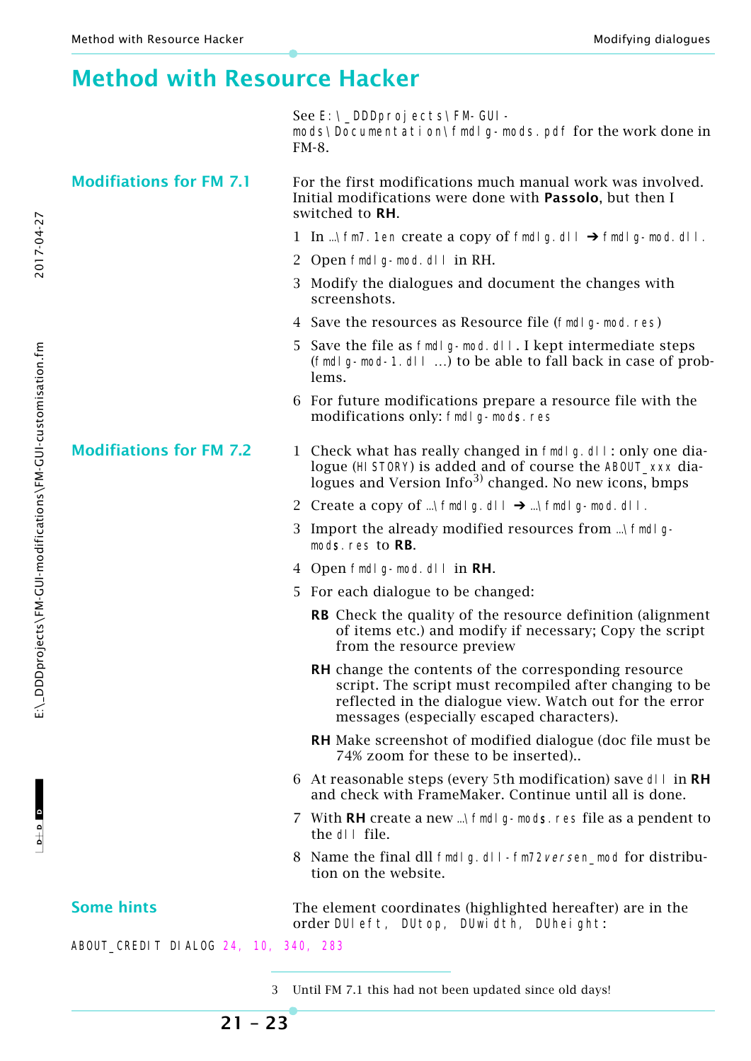### <span id="page-22-0"></span>**Method with Resource Hacker**

See E: \\_DDDprojects\FM-GUImods\Documentation\fmdlg-mods.pdf for the work done in FM-8.

**Modifiations for FM 7.1** For the first modifications much manual work was involved. Initial modifications were done with **Passolo**, but then I switched to **RH**.

- 1 In ... \fm7.1en create a copy of fmdlg.dll  $\rightarrow$  fmdlg-mod.dll.
- 2 Open fmdlg-mod.dll in RH.
- 3 Modify the dialogues and document the changes with screenshots.
- 4 Save the resources as Resource file (fmdlg-mod.res)
- 5 Save the file as fmdlg-mod.dll. I kept intermediate steps (fmdlg-mod-1.dll …) to be able to fall back in case of problems.
- 6 For future modifications prepare a resource file with the modifications only: fmdl g-mods.res

#### **Modifiations for FM 7.2** 1 Check what has really changed in fmdl q. dll: only one dialogue (HISTORY) is added and of course the ABOUT\_xxx dialogues and Version  $Info<sup>3</sup>$  changed. No new icons, bmps

- 2 Create a copy of …\fmdlg.dll  $\rightarrow$  …\fmdlg-mod.dll.
- 3 Import the already modified resources from …\fmdlgmods.res to **RB**.
- 4 Open fmdlg-mod.dll in **RH**.
- 5 For each dialogue to be changed:
	- **RB** Check the quality of the resource definition (alignment of items etc.) and modify if necessary; Copy the script from the resource preview
	- **RH** change the contents of the corresponding resource script. The script must recompiled after changing to be reflected in the dialogue view. Watch out for the error messages (especially escaped characters).
	- **RH** Make screenshot of modified dialogue (doc file must be 74% zoom for these to be inserted)..
- 6 At reasonable steps (every 5th modification) save dll in **RH** and check with FrameMaker. Continue until all is done.
- 7 With **RH** create a new …\fmdlg-mods.res file as a pendent to the dll file.
- 8 Name the final dll fmdlg.dll-fm72versen\_mod for distribution on the website.

**Some hints** The element coordinates (highlighted hereafter) are in the order DUleft, DUtop, DUwidth, DUheight:

ABOUT\_CREDIT DIALOG 24, 10, 340, 283

2017-04-27

**21 – 23**

<sup>3</sup> Until FM 7.1 this had not been updated since old days!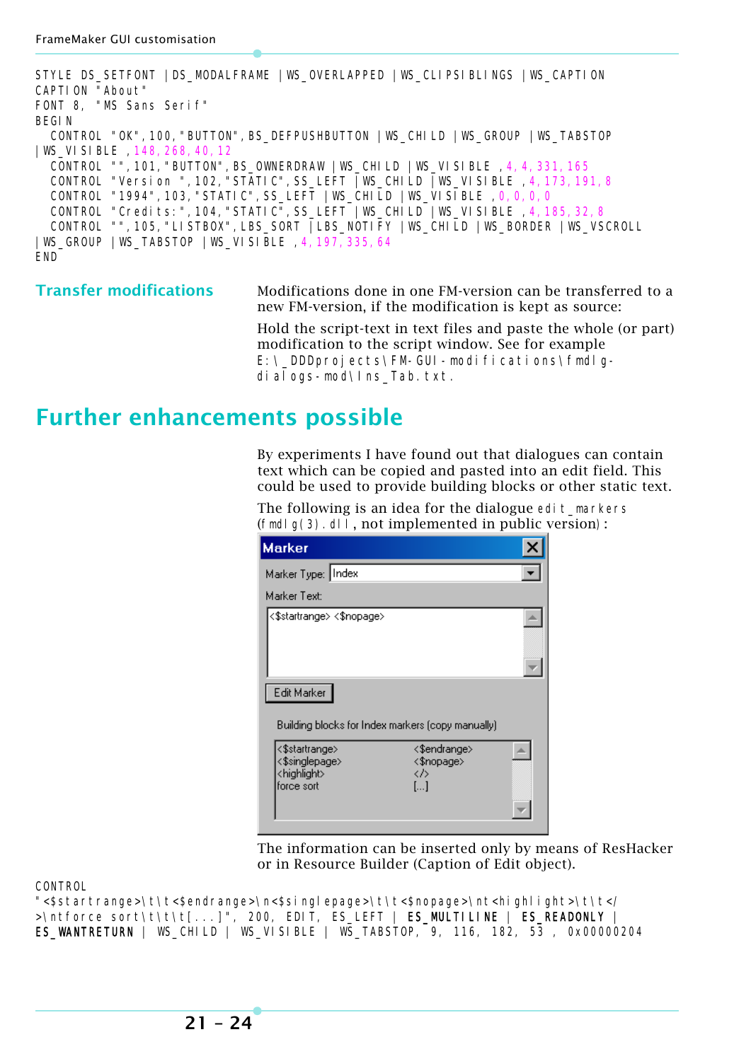STYLE DS\_SETFONT |DS\_MODALFRAME |WS\_OVERLAPPED |WS\_CLIPSIBLINGS |WS\_CAPTION CAPTION "About" FONT 8, "MS Sans Serif" BEGIN CONTROL "OK",100,"BUTTON",BS\_DEFPUSHBUTTON |WS\_CHILD |WS\_GROUP |WS\_TABSTOP |WS\_VISIBLE ,148,268,40,12 CONTROL "",101,"BUTTON",BS\_OWNERDRAW |WS\_CHILD |WS\_VISIBLE ,4,4,331,165 CONTROL "Version ",102,"STATIC",SS\_LEFT |WS\_CHILD |WS\_VISIBLE ,4,173,191,8 CONTROL "1994",103,"STATIC",SS\_LEFT |WS\_CHILD |WS\_VISIBLE ,0,0,0,0 CONTROL "Credits:", 104, "STATIC", SS\_LEFT |WS\_CHILD |WS\_VISIBLE 4, 185, 32, 8 CONTROL "",105,"LISTBOX",LBS\_SORT |LBS\_NOTIFY |WS\_CHILD |WS\_BORDER |WS\_VSCROLL |WS\_GROUP |WS\_TABSTOP |WS\_VISIBLE ,4,197,335,64 END

**Transfer modifications** Modifications done in one FM-version can be transferred to a new FM-version, if the modification is kept as source:

Hold the script-text in text files and paste the whole (or part) modification to the script window. See for example E: \ DDDprojects\FM-GUI-modifications\fmdlqdialogs-mod\Ins\_Tab.txt.

### <span id="page-23-0"></span>**Further enhancements possible**

By experiments I have found out that dialogues can contain text which can be copied and pasted into an edit field. This could be used to provide building blocks or other static text.

The following is an idea for the dialogue edit markers (fmdlg(3).dll, not implemented in public version):

| <b>Marker</b>                                                              |                                                             |  |
|----------------------------------------------------------------------------|-------------------------------------------------------------|--|
| Marker Type: Index                                                         |                                                             |  |
| Marker Text:                                                               |                                                             |  |
| <\$startrange> <\$nopage>                                                  |                                                             |  |
| Edit Marker<br>Building blocks for Index markers (copy manually)           |                                                             |  |
| <\$startrange><br><\$singlepage><br><highlight><br/>force sort</highlight> | <\$endrange><br><\$nopaqe><br>くか<br>$\left[ \ldots \right]$ |  |

The information can be inserted only by means of ResHacker or in Resource Builder (Caption of Edit object).

CONTROL

"<\$startrange>\t\t<\$endrange>\n<\$singlepage>\t\t<\$nopage>\nt<highlight>\t\t</ >\ntforce sort\t\t\t[...]", 200, EDIT, ES\_LEFT | ES\_MULTILINE | ES\_READONLY | ES WANTRETURN | WS CHILD | WS VISIBLE | WS TABSTOP, 9, 116, 182, 53 , 0x00000204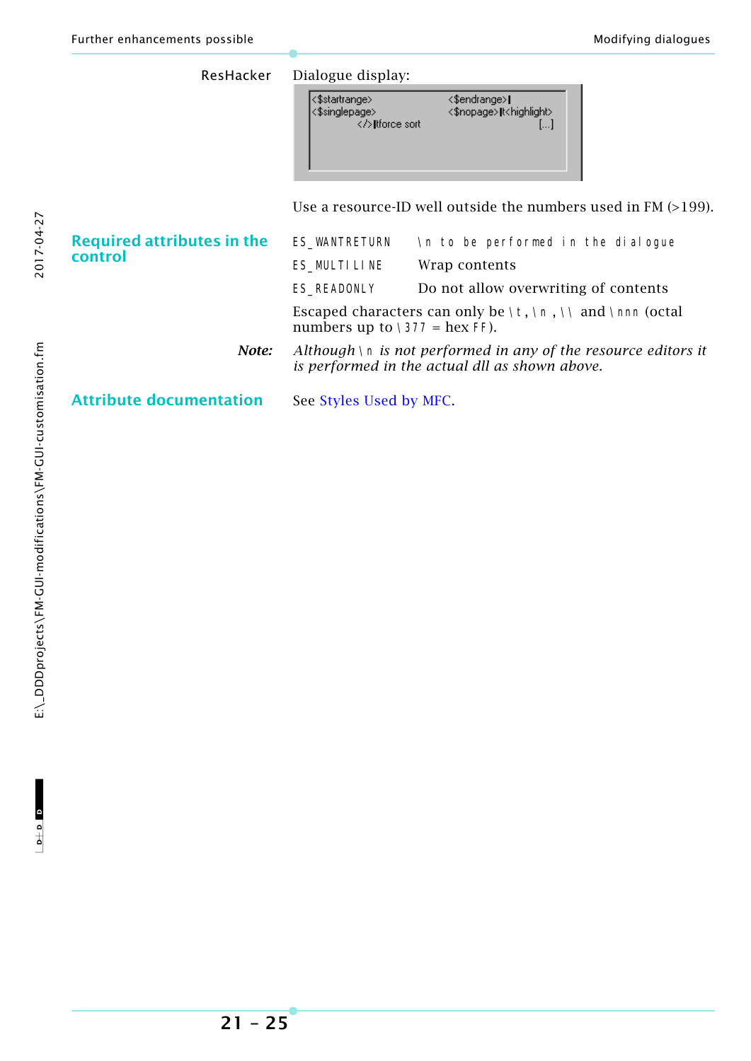| ResHacker                         | Dialogue display:                                                                                                   |                                                               |  |  |
|-----------------------------------|---------------------------------------------------------------------------------------------------------------------|---------------------------------------------------------------|--|--|
|                                   | <\$startrange><br><\$singlepage><br>Itforce sort                                                                    | <\$endrange> <br><\$nopage> t <highlight><br/>l]</highlight>  |  |  |
|                                   |                                                                                                                     | Use a resource-ID well outside the numbers used in FM (>199). |  |  |
| <b>Required attributes in the</b> | ES_WANTRETURN                                                                                                       | In to be performed in the dialogue                            |  |  |
| control                           | ES_MULTILINE                                                                                                        | Wrap contents                                                 |  |  |
|                                   | ES_READONLY                                                                                                         | Do not allow overwriting of contents                          |  |  |
|                                   | Escaped characters can only be \t, \n, \\ and \nnn (octal<br>numbers up to $\377$ = hex FF).                        |                                                               |  |  |
| Note:                             | Although $\ln$ is not performed in any of the resource editors it<br>is performed in the actual dll as shown above. |                                                               |  |  |
| <b>Attribute documentation</b>    | See Styles Used by MFC.                                                                                             |                                                               |  |  |

2017-04-27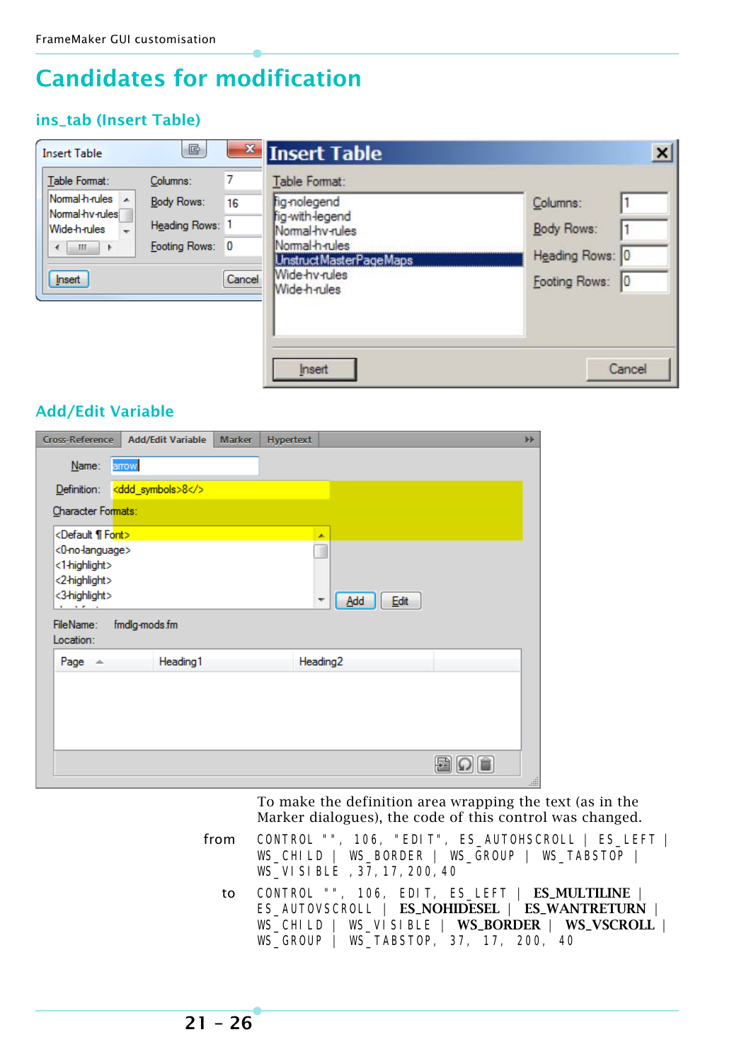### <span id="page-25-0"></span>**Candidates for modification**

#### **ins\_tab (Insert Table)**

| <b>Insert Table</b>                                                                                      | G                                                                   |                   | $\mathbf{x}$ Insert Table                                                                                                                                 | $\boldsymbol{\mathsf{x}}$                                  |
|----------------------------------------------------------------------------------------------------------|---------------------------------------------------------------------|-------------------|-----------------------------------------------------------------------------------------------------------------------------------------------------------|------------------------------------------------------------|
| Table Format:<br>Normal-h-rules A<br>Normal hy-rules<br>Wide-h-rules<br>÷<br>-111<br>- 11<br>∢<br>Insert | Columns:<br><b>Body Rows:</b><br>Heading Rows: 1<br>Footing Rows: 0 | 7<br>16<br>Cancel | Table Format:<br>fig-nolegend<br>fig-with-legend<br>Normal-hy-rules<br>Normal-h-rules<br>Unstruct MasterPage Maps<br><b>Wide-hv-rules</b><br>Wide-h-rules | Columns:<br>Body Rows:<br>Heading Rows: 0<br>Footing Rows: |
|                                                                                                          |                                                                     |                   | Insert                                                                                                                                                    | Cancel                                                     |

#### **Add/Edit Variable**

| <b>Cross-Reference</b>                                                       | <b>Add/Edit Variable</b>     | <b>Marker</b> | Hypertext |                  | ÞÞ.           |
|------------------------------------------------------------------------------|------------------------------|---------------|-----------|------------------|---------------|
| Name:                                                                        | arrow                        |               |           |                  |               |
| Definition:                                                                  | <ddd_symbols>8</ddd_symbols> |               |           |                  |               |
| Character Formats:                                                           |                              |               |           |                  |               |
| <default font="" ¶=""></default>                                             |                              |               |           | ۸                |               |
| <0-no-language><br><1-highlight><br><2-highlight><br><3-highlight><br>$\sim$ |                              |               |           | Add<br>Edit<br>▼ |               |
| FileName:<br>Location:                                                       | fmdlg-mods.fm                |               |           |                  |               |
| Page $\triangle$                                                             | Heading1                     |               |           | Heading2         |               |
|                                                                              |                              |               |           |                  |               |
|                                                                              |                              |               |           |                  | $\frac{1}{2}$ |

To make the definition area wrapping the text (as in the Marker dialogues), the code of this control was changed.

- from CONTROL "", 106, "EDIT", ES\_AUTOHSCROLL | ES\_LEFT | WS\_CHILD | WS\_BORDER | WS\_GROUP | WS\_TABSTOP | WS\_VISIBLE ,37,17,200,40
	- to CONTROL "", 106, EDIT, ES\_LEFT | **ES\_MULTILINE** | ES\_AUTOVSCROLL | **ES\_NOHIDESEL** | **ES\_WANTRETURN** | WS\_CHILD | WS\_VISIBLE | **WS\_BORDER** | **WS\_VSCROLL** | WS\_GROUP | WS\_TABSTOP, 37, 17, 200, 40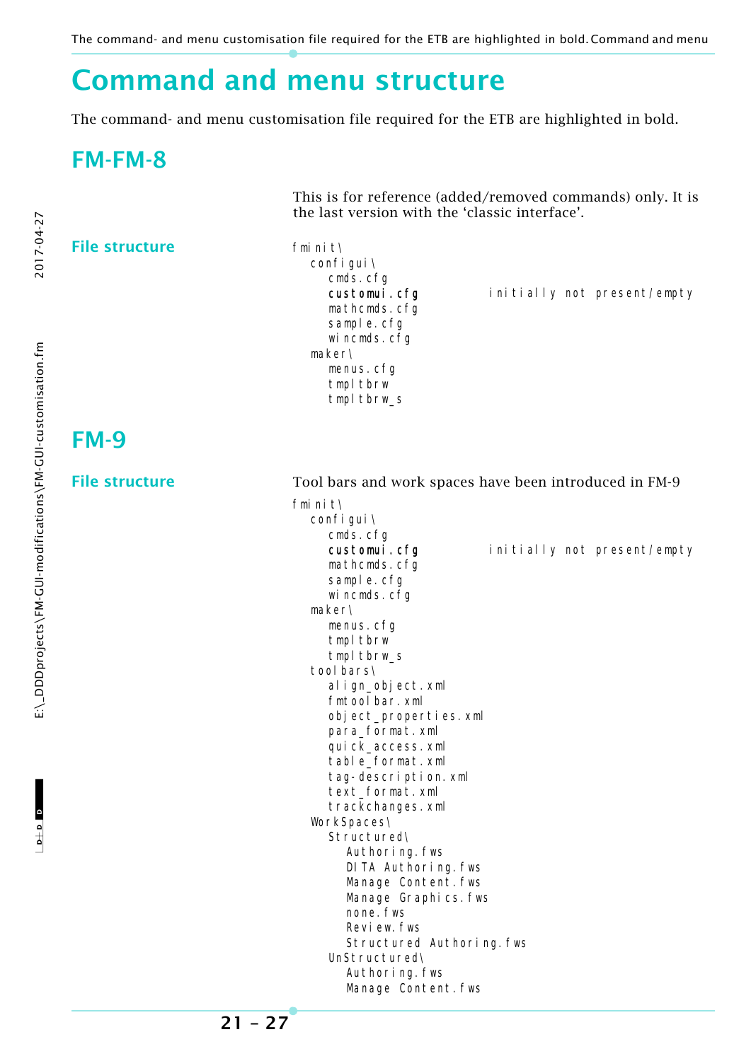The command- and menu customisation file required for the ETB are highlighted in bold.Command and menu

### <span id="page-26-0"></span>**Command and menu structure**

<span id="page-26-1"></span>The command- and menu customisation file required for the ETB are highlighted in bold.

### <span id="page-26-2"></span>**FM-FM-8**

This is for reference (added/removed commands) only. It is the last version with the 'classic interface'.

#### File structure fminit\

configui\ cmds.cfg customui.cfg initially not present/empty mathcmds.cfg sample.cfg wincmds.cfg maker\ menus.cfg tmpl tbrw tmpl tbrw s

### <span id="page-26-3"></span>**FM-9**

**File structure** Tool bars and work spaces have been introduced in FM-9 fminit\ configui\

cmds.cfg customui.cfg initially not present/empty mathcmds.cfg sample.cfg wincmds.cfg maker\ menus.cfg tmpl tbrw tmpl tbrw\_s tool bars\ align\_object.xml fmtoolbar.xml object\_properties.xml para\_format.xml quick\_access.xml table\_format.xml tag-description.xml text\_format.xml trackchanges.xml WorkSpaces\ Structured\ Authoring.fws DITA Authoring.fws Manage Content. fws Manage Graphics.fws none. fws Review.fws Structured Authoring.fws UnStructured\ Authoring.fws Manage Content.fws

**21 – 27**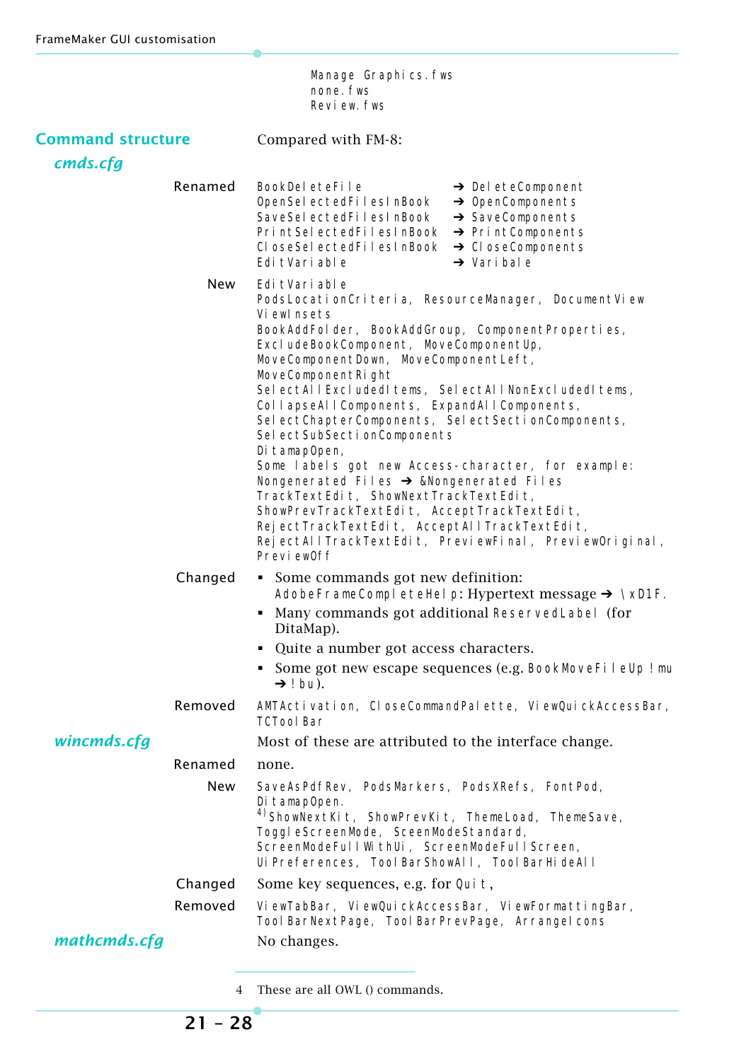Manage Graphics.fws none. fws Review.fws

| <b>Command structure</b><br>cmds.cfg |            | Compared with FM-8:                                                                                                                                                                                                                                                                                                                                                                                                                                                                                                                                                                                                                                                                                                                                                            |
|--------------------------------------|------------|--------------------------------------------------------------------------------------------------------------------------------------------------------------------------------------------------------------------------------------------------------------------------------------------------------------------------------------------------------------------------------------------------------------------------------------------------------------------------------------------------------------------------------------------------------------------------------------------------------------------------------------------------------------------------------------------------------------------------------------------------------------------------------|
|                                      | Renamed    | BookDeleteFile<br>$\rightarrow$ DeleteComponent<br>OpenSelectedFilesInBook<br>$\rightarrow$ OpenComponents<br>$\rightarrow$ SaveComponents<br>SaveSel ectedFilesInBook<br>PrintSelectedFilesInBook → PrintComponents<br>CloseSelectedFilesInBook → CloseComponents<br>$\rightarrow$ Vari bal e<br>Edi tVari able                                                                                                                                                                                                                                                                                                                                                                                                                                                               |
|                                      | <b>New</b> | Edi tVari able<br>PodsLocationCriteria, ResourceManager, DocumentView<br>Viewlnsets<br>BookAddFolder, BookAddGroup, ComponentProperties,<br>ExcludeBookComponent, MoveComponentUp,<br>MoveComponentDown, MoveComponentLeft,<br>MoveComponentRight<br>SelectAllExcludedItems, SelectAllNonExcludedItems,<br>CollapseAllComponents, ExpandAllComponents,<br>SelectChapterComponents, SelectSectionComponents,<br>Sel ectSubSecti onComponents<br>Di tamapOpen,<br>Some labels got new Access-character, for example:<br>Nongenerated Files → &Nongenerated Files<br>TrackTextEdit, ShowNextTrackTextEdit,<br>ShowPrevTrackTextEdit, AcceptTrackTextEdit,<br>RejectTrackTextEdit, AcceptAllTrackTextEdit,<br>RejectAllTrackTextEdit, PreviewFinal, PreviewOriginal,<br>Preview0ff |
|                                      | Changed    | • Some commands got new definition:<br>AdobeFrameCompleteHelp: Hypertext message $\rightarrow \Delta$<br>Many commands got additional ReservedLabel (for<br>DitaMap).<br>Quite a number got access characters.<br>Some got new escape sequences (e.g. BookMoveFileUp ! mu<br>$\rightarrow$ ! bu).                                                                                                                                                                                                                                                                                                                                                                                                                                                                              |
|                                      | Removed    | AMTActivation, CloseCommandPalette, ViewQuickAccessBar,<br><b>TCTool Bar</b>                                                                                                                                                                                                                                                                                                                                                                                                                                                                                                                                                                                                                                                                                                   |
| wincmds.cfg                          |            | Most of these are attributed to the interface change.                                                                                                                                                                                                                                                                                                                                                                                                                                                                                                                                                                                                                                                                                                                          |
|                                      | Renamed    | none.                                                                                                                                                                                                                                                                                                                                                                                                                                                                                                                                                                                                                                                                                                                                                                          |
|                                      | New        | SaveAsPdfRev, PodsMarkers, PodsXRefs, FontPod,<br>Di tamapOpen.<br><sup>4)</sup> ShowNextKit, ShowPrevKit, ThemeLoad, ThemeSave,<br>ToggleScreenMode, SceenModeStandard,<br>ScreenModeFul I WithUi, ScreenModeFul I Screen,<br>Ui Preferences, Tool BarShowAll, Tool BarHi deAll                                                                                                                                                                                                                                                                                                                                                                                                                                                                                               |
|                                      | Changed    | Some key sequences, e.g. for Qui t,                                                                                                                                                                                                                                                                                                                                                                                                                                                                                                                                                                                                                                                                                                                                            |
|                                      | Removed    | ViewTabBar, ViewQuickAccessBar, ViewFormattingBar,<br>Tool BarNextPage, Tool BarPrevPage, Arrangel cons                                                                                                                                                                                                                                                                                                                                                                                                                                                                                                                                                                                                                                                                        |
| mathcmds.cfg                         |            | No changes.                                                                                                                                                                                                                                                                                                                                                                                                                                                                                                                                                                                                                                                                                                                                                                    |
|                                      |            |                                                                                                                                                                                                                                                                                                                                                                                                                                                                                                                                                                                                                                                                                                                                                                                |

4 These are all OWL () commands.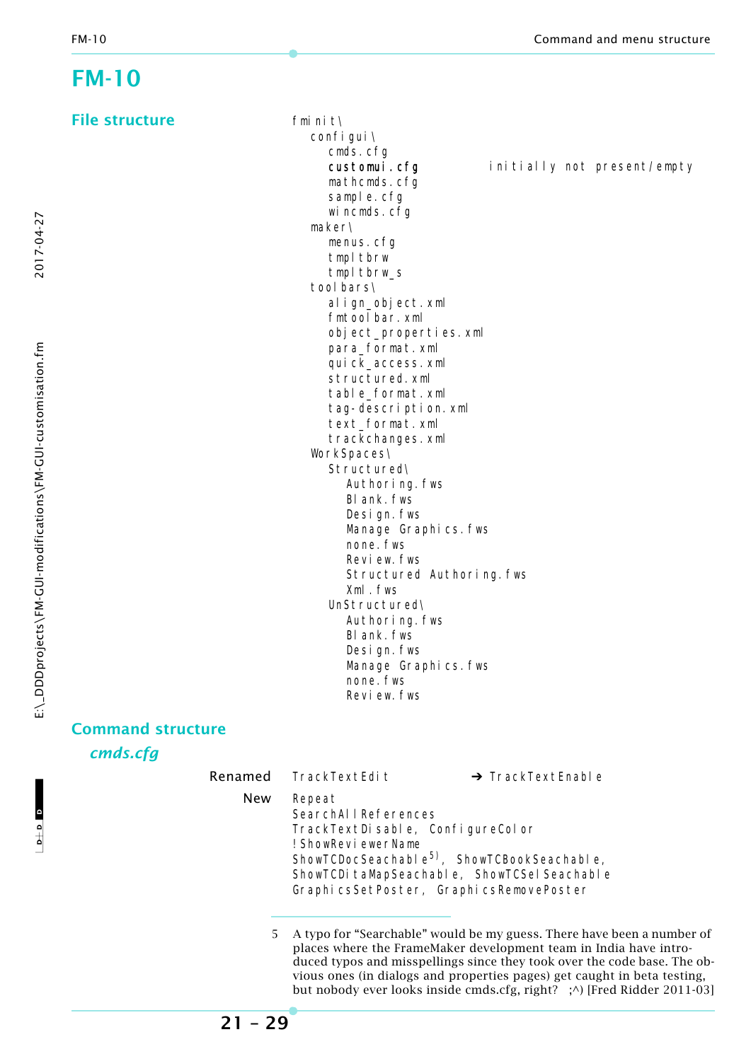### <span id="page-28-0"></span>**FM-10**

**File structure** 

|        | fminit\               |                           |                   |                             |  |
|--------|-----------------------|---------------------------|-------------------|-----------------------------|--|
|        | confi gui \           |                           |                   |                             |  |
|        | cmds.cfg              |                           |                   |                             |  |
|        | customui.cfg          |                           |                   | initially not present/empty |  |
|        | mathcmds.cfg          |                           |                   |                             |  |
|        | sample.cfg            |                           |                   |                             |  |
|        | wincmds.cfg           |                           |                   |                             |  |
|        | maker\                |                           |                   |                             |  |
|        | menus.cfg             |                           |                   |                             |  |
|        | tmpl tbrw             |                           |                   |                             |  |
|        | tmpl tbrw_s           |                           |                   |                             |  |
|        | tool bars\            |                           |                   |                             |  |
|        | align_object.xml      |                           |                   |                             |  |
|        | fmtool bar. xml       |                           |                   |                             |  |
|        | object_properties.xml |                           |                   |                             |  |
|        | para_format.xml       |                           |                   |                             |  |
|        | quick_access.xml      |                           |                   |                             |  |
|        | structured. xml       |                           |                   |                             |  |
|        | table_format.xml      |                           |                   |                             |  |
|        | tag-description.xml   |                           |                   |                             |  |
|        | text_format.xml       |                           |                   |                             |  |
|        | trackchanges.xml      |                           |                   |                             |  |
|        | WorkSpaces\           |                           |                   |                             |  |
|        | Structured\           |                           |                   |                             |  |
|        | Authoring. fws        |                           |                   |                             |  |
|        | BI ank. fws           |                           |                   |                             |  |
|        | Design. fws           |                           |                   |                             |  |
|        | Manage Graphics. fws  |                           |                   |                             |  |
|        | none. fws             |                           |                   |                             |  |
|        | Review. fws           |                           |                   |                             |  |
|        |                       | Structured Authoring. fws |                   |                             |  |
|        | Xml.fws               |                           |                   |                             |  |
|        | UnStructured\         |                           |                   |                             |  |
|        | Authoring. fws        |                           |                   |                             |  |
|        | BI ank. fws           |                           |                   |                             |  |
|        | Design. fws           |                           |                   |                             |  |
|        | Manage Graphics. fws  |                           |                   |                             |  |
|        | none. fws             |                           |                   |                             |  |
|        | Review, fws           |                           |                   |                             |  |
| ucture |                       |                           |                   |                             |  |
|        |                       |                           |                   |                             |  |
|        | Renamed TrackTextEdit |                           |                   |                             |  |
|        |                       |                           | → TrackTextEnable |                             |  |

**Command stru** 

*cmds.cfg*

|            | Renamed TrackTextEdit                                                                   | $\rightarrow$ TrackTextEnable                                                                                                                      |
|------------|-----------------------------------------------------------------------------------------|----------------------------------------------------------------------------------------------------------------------------------------------------|
| <b>New</b> | Repeat<br>SearchAllReferences<br>TrackTextDisable, ConfigureColor<br>! ShowReviewerName | ShowTCDocSeachable <sup>5)</sup> , ShowTCBookSeachable,<br>ShowTCDi taMapSeachable, ShowTCSel Seachable<br>GraphicsSetPoster, GraphicsRemovePoster |
|            |                                                                                         | A type for "Searchable" would be my guess. There have been                                                                                         |

5 A typo for "Searchable" would be my guess. There have been a number of places where the FrameMaker development team in India have introduced typos and misspellings since they took over the code base. The obvious ones (in dialogs and properties pages) get caught in beta testing, but nobody ever looks inside cmds.cfg, right? ;^) [Fred Ridder 2011-03]

2017-04-27

**21 – 29**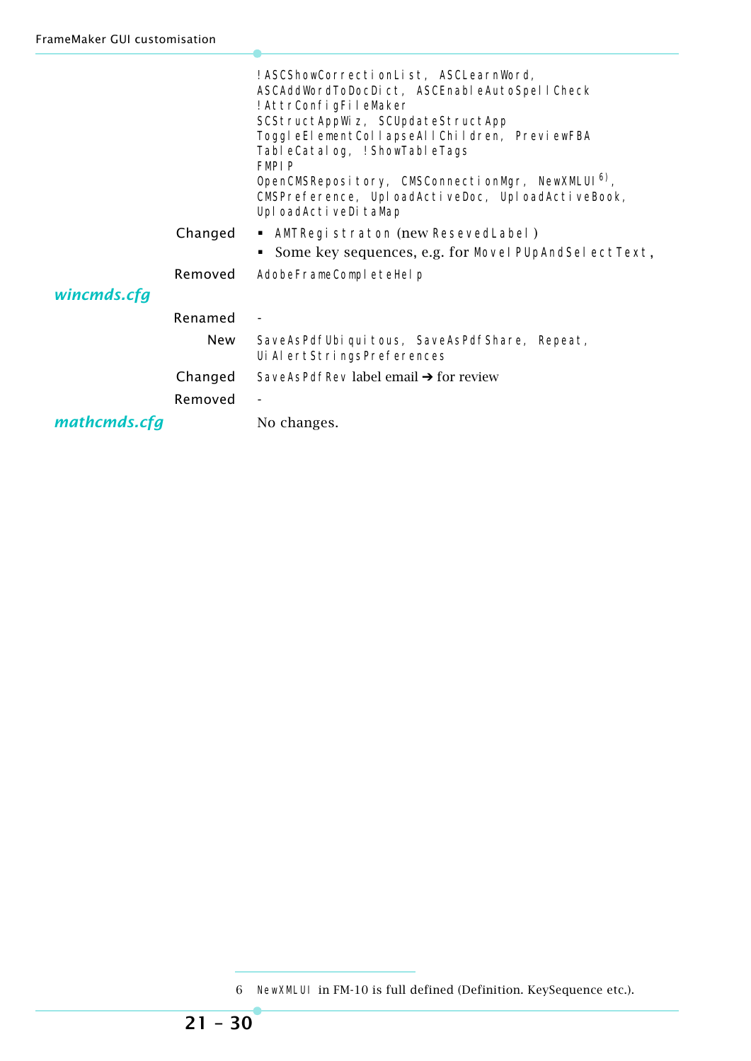|              |            | ! ASCShowCorrectionList, ASCLearnWord,<br>ASCAddWordToDocDict, ASCEnableAutoSpellCheck<br>! AttrConfigFileMaker<br>SCStructAppWiz, SCUpdateStructApp<br>ToggleElementCollapseAllChildren, PreviewFBA<br>TableCatalog, ! ShowTableTags<br><b>FMPIP</b><br>OpenCMSRepository, CMSConnectionMgr, NewXMLUI <sup>6)</sup> ,<br>CMSPreference, UploadActiveDoc, UploadActiveBook,<br>Upl oadActi veDi taMap |
|--------------|------------|-------------------------------------------------------------------------------------------------------------------------------------------------------------------------------------------------------------------------------------------------------------------------------------------------------------------------------------------------------------------------------------------------------|
|              | Changed    | • AMTRegistraton (new ResevedLabel)                                                                                                                                                                                                                                                                                                                                                                   |
|              |            | Some key sequences, e.g. for Movel PUpAndSel ectText,                                                                                                                                                                                                                                                                                                                                                 |
|              | Removed    | AdobeFrameCompleteHelp                                                                                                                                                                                                                                                                                                                                                                                |
| wincmds.cfg  |            |                                                                                                                                                                                                                                                                                                                                                                                                       |
|              | Renamed    |                                                                                                                                                                                                                                                                                                                                                                                                       |
|              | <b>New</b> | SaveAsPdfUbi qui tous, SaveAsPdfShare, Repeat,<br>Ui Al ertStri ngsPreferences                                                                                                                                                                                                                                                                                                                        |
|              | Changed    | SaveAsPdfRev label email $\rightarrow$ for review                                                                                                                                                                                                                                                                                                                                                     |
|              | Removed    |                                                                                                                                                                                                                                                                                                                                                                                                       |
| mathcmds.cfg |            | No changes.                                                                                                                                                                                                                                                                                                                                                                                           |

<sup>6</sup> NewXMLUI in FM-10 is full defined (Definition. KeySequence etc.).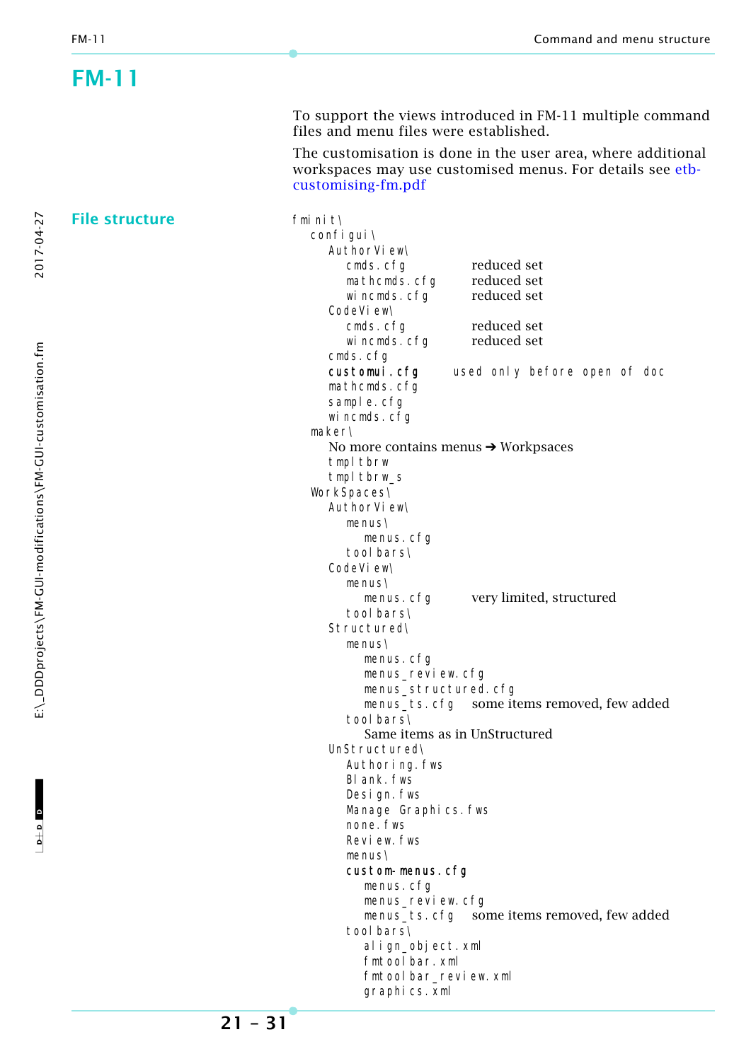<span id="page-30-0"></span>

| FM-11                 |                                                                                                                                                 |
|-----------------------|-------------------------------------------------------------------------------------------------------------------------------------------------|
|                       | To support the views introduced in FM-11 multiple command<br>files and menu files were established.                                             |
|                       | The customisation is done in the user area, where additional<br>workspaces may use customised menus. For details see etb-<br>customising-fm.pdf |
| <b>File structure</b> | fminit\                                                                                                                                         |
|                       | confi gui \                                                                                                                                     |
|                       | AuthorView\                                                                                                                                     |
|                       | reduced set<br>cmds.cfg                                                                                                                         |
|                       | reduced set<br>mathcmds.cfg<br>reduced set                                                                                                      |
|                       | wincmds.cfg<br>CodeVi ew\                                                                                                                       |
|                       | reduced set<br>cmds.cfg                                                                                                                         |
|                       | reduced set<br>wincmds.cfg                                                                                                                      |
|                       | cmds.cfg                                                                                                                                        |
|                       | customui.cfg<br>used only before open of doc                                                                                                    |
|                       | mathcmds.cfg                                                                                                                                    |
|                       | sample.cfg                                                                                                                                      |
|                       | wincmds.cfg                                                                                                                                     |
|                       | maker\                                                                                                                                          |
|                       | No more contains menus $\rightarrow$ Workpsaces<br>tmpl tbrw                                                                                    |
|                       | tmpl tbrw_s                                                                                                                                     |
|                       | WorkSpaces\                                                                                                                                     |
|                       | AuthorView\                                                                                                                                     |
|                       | $menus\$                                                                                                                                        |
|                       | menus.cfg                                                                                                                                       |
|                       | tool bars\                                                                                                                                      |
|                       | CodeVi ew\                                                                                                                                      |
|                       | $menus\$                                                                                                                                        |
|                       | very limited, structured<br>menus.cfg<br>tool bars\                                                                                             |
|                       | Structured\                                                                                                                                     |
|                       | menus\                                                                                                                                          |
|                       | menus.cfg                                                                                                                                       |
|                       | menus_review.cfg                                                                                                                                |
|                       | menus_structured.cfg                                                                                                                            |
|                       |                                                                                                                                                 |
|                       | tool bars\                                                                                                                                      |
|                       | Same items as in UnStructured<br>UnStructured\                                                                                                  |
|                       | Authoring. fws                                                                                                                                  |
|                       | BI ank. fws                                                                                                                                     |
|                       | Design. fws                                                                                                                                     |
|                       | Manage Graphics. fws                                                                                                                            |
|                       | none. fws                                                                                                                                       |
|                       | Review. fws                                                                                                                                     |
|                       | $menus\$                                                                                                                                        |
|                       | custom-menus.cfg                                                                                                                                |
|                       | menus. cfg<br>menus_review.cfg                                                                                                                  |
|                       | menus_ts. cfg some items removed, few added                                                                                                     |
|                       | tool bars\                                                                                                                                      |
|                       | align_object.xml                                                                                                                                |
|                       | fmtool bar. xml                                                                                                                                 |
|                       | fmtool bar_review.xml                                                                                                                           |
|                       | graphics. xml                                                                                                                                   |

 $D + D$   $D$ 

 $-1$ 

**21 – 31**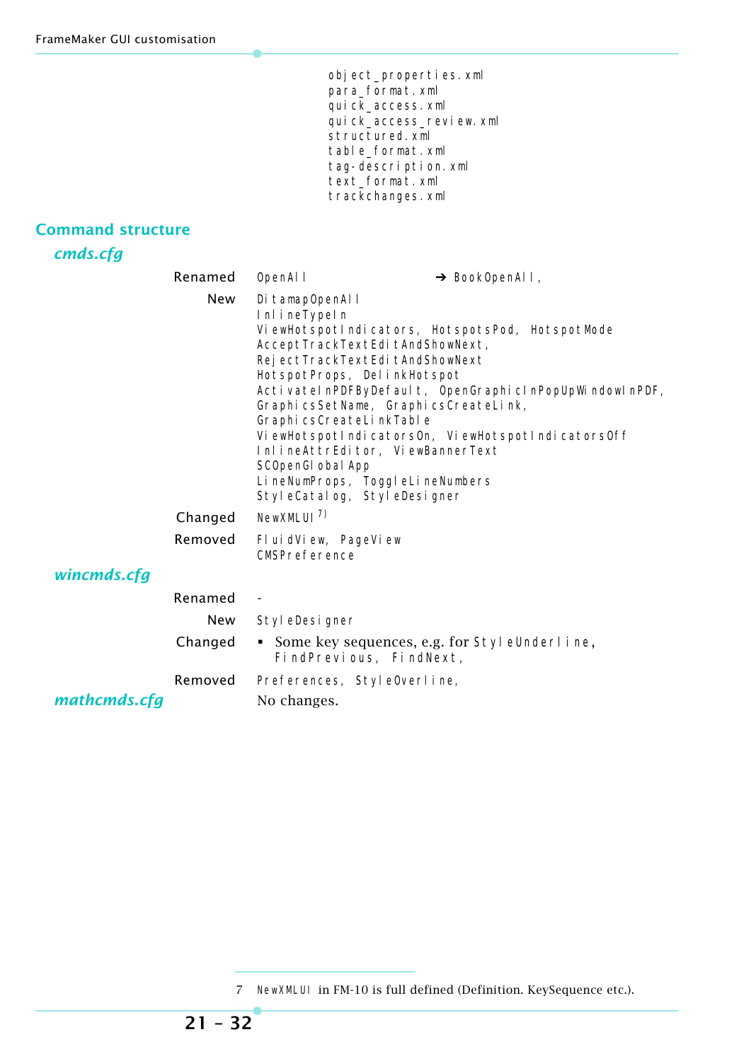object\_properties.xml para\_format.xml quick\_access.xml quick\_access\_review.xml structured.xml table\_format.xml tag-description.xml text\_format.xml trackchanges.xml

### **Command structure**

*cmds.cfg*

|              | Renamed | OpenAI I                                                                                                                                                                                                                                                                                                                                                                                                                                                                                                                          | → Book0penAll, |  |
|--------------|---------|-----------------------------------------------------------------------------------------------------------------------------------------------------------------------------------------------------------------------------------------------------------------------------------------------------------------------------------------------------------------------------------------------------------------------------------------------------------------------------------------------------------------------------------|----------------|--|
|              | New     | Di tamapOpenAl I<br>InlineTypeIn<br>ViewHotspotlndicators, HotspotsPod, HotspotMode<br>AcceptTrackTextEditAndShowNext,<br>Rej ectTrackTextEdi tAndShowNext<br>HotspotProps, DelinkHotspot<br>ActivatelnPDFByDefault, OpenGraphiclnPopUpWindowlnPDF,<br>GraphicsSetName, GraphicsCreateLink,<br>Graphi csCreateLi nkTable<br>ViewHotspotlndicatorsOn, ViewHotspotlndicatorsOff<br>InlineAttrEditor, ViewBannerText<br>SCOpenGI obal App<br>LineNumProps, ToggleLineNumbers<br>StyleCatalog, StyleDesigner<br>NewXMLUI <sup>7</sup> |                |  |
|              | Changed |                                                                                                                                                                                                                                                                                                                                                                                                                                                                                                                                   |                |  |
|              | Removed | FluidView, PageView<br>CMSPreference                                                                                                                                                                                                                                                                                                                                                                                                                                                                                              |                |  |
| wincmds.cfg  |         |                                                                                                                                                                                                                                                                                                                                                                                                                                                                                                                                   |                |  |
|              | Renamed | $\overline{\phantom{a}}$                                                                                                                                                                                                                                                                                                                                                                                                                                                                                                          |                |  |
|              | New     | Styl eDesigner                                                                                                                                                                                                                                                                                                                                                                                                                                                                                                                    |                |  |
|              | Changed | Some key sequences, e.g. for Styl eUnderline,<br>FindPrevious, FindNext,                                                                                                                                                                                                                                                                                                                                                                                                                                                          |                |  |
|              | Removed | Preferences, Style0verline,                                                                                                                                                                                                                                                                                                                                                                                                                                                                                                       |                |  |
| mathcmds.cfg |         | No changes.                                                                                                                                                                                                                                                                                                                                                                                                                                                                                                                       |                |  |

<sup>7</sup> NewXMLUI in FM-10 is full defined (Definition. KeySequence etc.).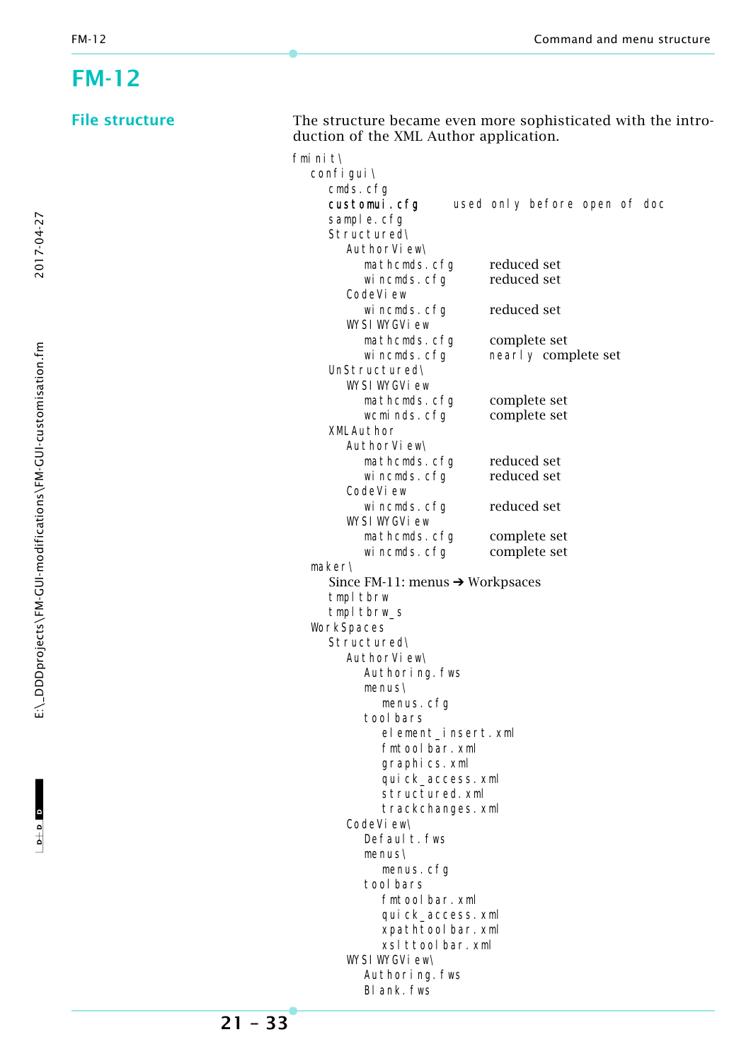2017-04-27

### <span id="page-32-0"></span>**FM-12**

| <b>File structure</b> | duction of the XML Author application.      | The structure became even more sophisticated with the intro- |
|-----------------------|---------------------------------------------|--------------------------------------------------------------|
|                       | fmi ni t\                                   |                                                              |
|                       | confi gui \                                 |                                                              |
|                       | cmds.cfg                                    |                                                              |
|                       | customui.cfg                                | used only before open of doc                                 |
|                       | sample.cfg                                  |                                                              |
|                       | Structured\                                 |                                                              |
|                       | AuthorView\                                 |                                                              |
|                       | mathcmds.cfg                                | reduced set                                                  |
|                       | wincmds.cfg                                 | reduced set                                                  |
|                       | CodeVi ew                                   |                                                              |
|                       | wincmds.cfg<br>WYSI WYGVi ew                | reduced set                                                  |
|                       | mathcmds.cfg                                | complete set                                                 |
|                       | wincmds.cfg                                 | nearly complete set                                          |
|                       | UnStructured\                               |                                                              |
|                       | WYSI WYGVi ew                               |                                                              |
|                       | mathcmds.cfg                                | complete set                                                 |
|                       | wcminds.cfg                                 | complete set                                                 |
|                       | XMLAuthor                                   |                                                              |
|                       | AuthorView\                                 |                                                              |
|                       | mathcmds.cfg                                | reduced set                                                  |
|                       | wincmds.cfg<br>CodeVi ew                    | reduced set                                                  |
|                       | wincmds.cfg                                 | reduced set                                                  |
|                       | WYSI WYGVi ew                               |                                                              |
|                       | mathcmds.cfg                                | complete set                                                 |
|                       | wincmds.cfg                                 | complete set                                                 |
|                       | maker\                                      |                                                              |
|                       | Since FM-11: menus $\rightarrow$ Workpsaces |                                                              |
|                       | tmpl tbrw                                   |                                                              |
|                       | tmpl tbrw_s                                 |                                                              |
|                       | WorkSpaces                                  |                                                              |
|                       | Structured\                                 |                                                              |
|                       | AuthorView\                                 |                                                              |
|                       | Authoring. fws                              |                                                              |
|                       | menus\                                      |                                                              |
|                       | menus. cfg                                  |                                                              |
|                       | tool bars                                   |                                                              |
|                       | element_insert.xml<br>fmtool bar. xml       |                                                              |
|                       | graphics.xml                                |                                                              |
|                       | qui ck_access. xml                          |                                                              |
|                       | structured.xml                              |                                                              |
|                       | trackchanges.xml                            |                                                              |
|                       | CodeVi ew\                                  |                                                              |
|                       | Defaul t. fws                               |                                                              |
|                       | menus\                                      |                                                              |
|                       | menus. cfg                                  |                                                              |
|                       | tool bars                                   |                                                              |
|                       | fmtool bar. xml                             |                                                              |
|                       | qui ck_access. xml                          |                                                              |
|                       | xpathtool bar. xml                          |                                                              |
|                       | xsl ttool bar. xml                          |                                                              |
|                       | WYSI WYGVi ew\                              |                                                              |
|                       | Authoring. fws<br>BI ank. fws               |                                                              |
|                       |                                             |                                                              |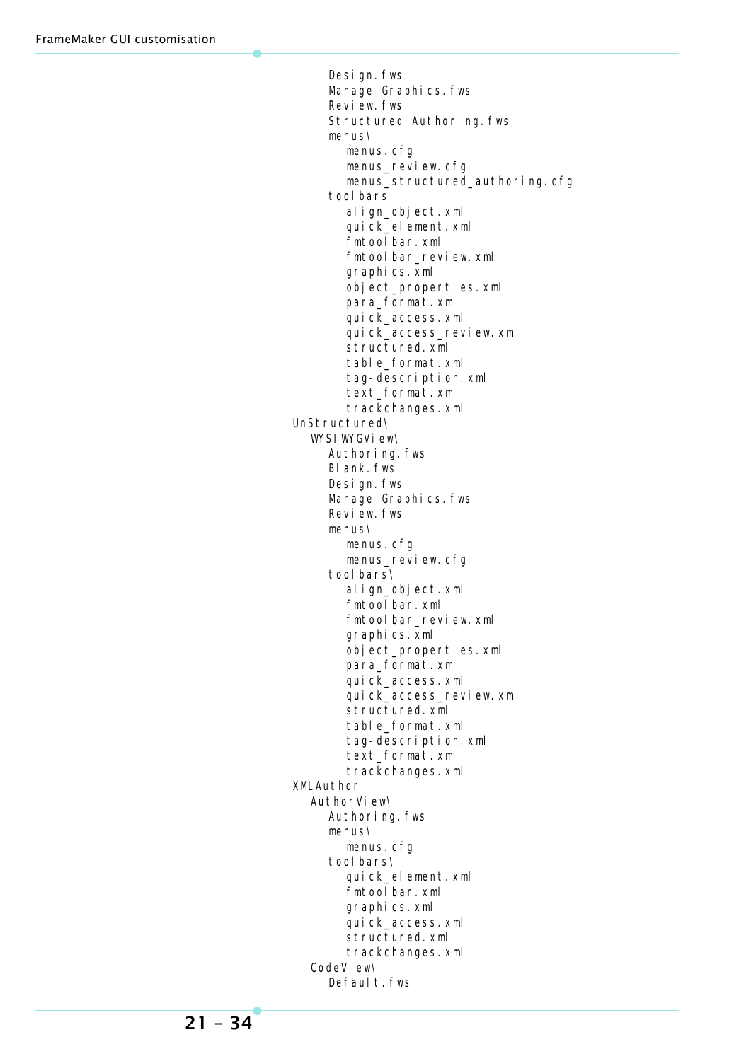Design.fws Manage Graphics.fws Review.fws Structured Authoring.fws menus\ menus.cfg menus\_review.cfg menus\_structured\_authoring.cfg tool bars align\_object.xml quick\_element.xml fmtoolbar.xml fmtoolbar\_review.xml graphics.xml object\_properties.xml para\_format.xml quick\_access.xml quick\_access\_review.xml structured.xml table\_format.xml tag-description.xml text\_format.xml trackchanges.xml UnStructured\ WYSIWYGView\ Authoring.fws Blank.fws Design.fws Manage Graphics.fws Review. fws menus\ menus.cfg menus\_review.cfg tool bars\ align\_object.xml fmtoolbar.xml fmtoolbar\_review.xml graphics.xml object\_properties.xml para\_format.xml quick\_access.xml quick\_access\_review.xml structured.xml table\_format.xml tag-description.xml text\_format.xml trackchanges.xml XMLAuthor AuthorView\ Authoring.fws menus\ menus.cfg tool bars\ quick\_element.xml fmtoolbar.xml graphics.xml quick\_access.xml structured.xml trackchanges.xml CodeView\ Defaul t. fws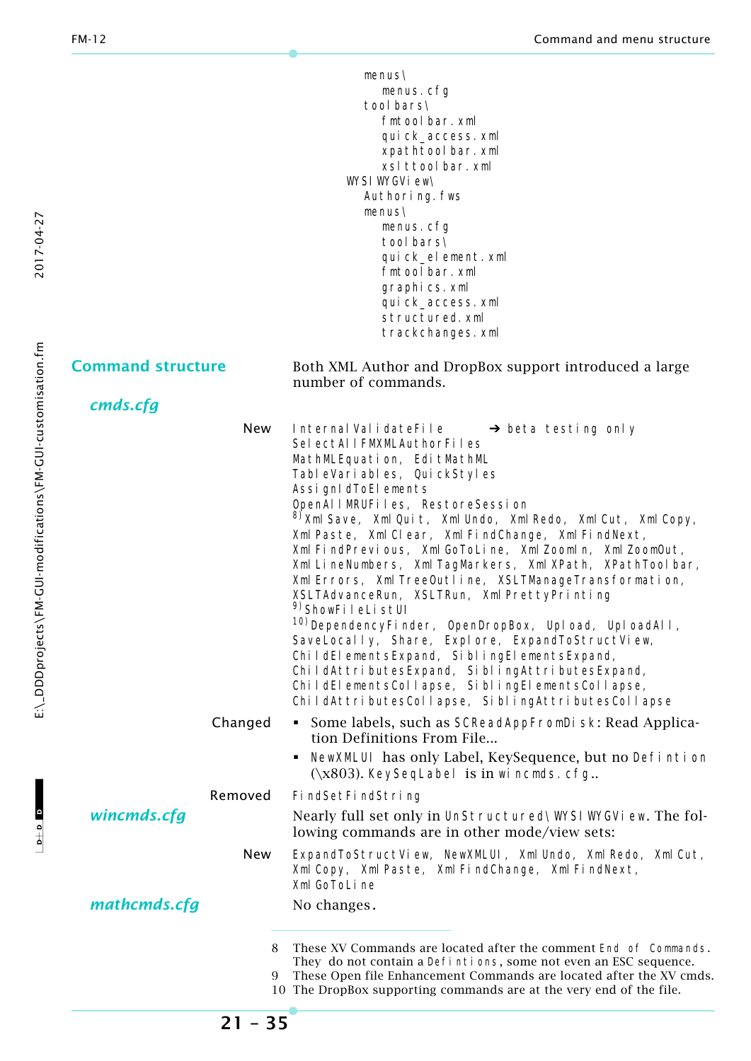|                          | $menus\$                                                                                                                         |  |  |
|--------------------------|----------------------------------------------------------------------------------------------------------------------------------|--|--|
|                          | menus.cfg                                                                                                                        |  |  |
| tool bars\               |                                                                                                                                  |  |  |
|                          | fmtool bar. xml                                                                                                                  |  |  |
|                          | qui ck_access. xml                                                                                                               |  |  |
|                          | xpathtool bar. xml                                                                                                               |  |  |
|                          | xsl ttool bar. xml                                                                                                               |  |  |
|                          | WYSI WYGVi ew\                                                                                                                   |  |  |
|                          | Authoring. fws                                                                                                                   |  |  |
|                          | $menus\$                                                                                                                         |  |  |
|                          | menus.cfg                                                                                                                        |  |  |
|                          | tool bars\                                                                                                                       |  |  |
|                          | quick_element.xml                                                                                                                |  |  |
|                          | fmtool bar. xml                                                                                                                  |  |  |
|                          | graphics.xml                                                                                                                     |  |  |
|                          | quick_access.xml                                                                                                                 |  |  |
|                          | structured. xml                                                                                                                  |  |  |
|                          | trackchanges.xml                                                                                                                 |  |  |
| <b>Command structure</b> | Both XML Author and DropBox support introduced a large<br>number of commands.                                                    |  |  |
| cmds.cfg                 |                                                                                                                                  |  |  |
|                          |                                                                                                                                  |  |  |
| New                      | Internal ValidateFile<br>$\rightarrow$ beta testing only                                                                         |  |  |
|                          | SelectAllFMXMLAuthorFiles                                                                                                        |  |  |
|                          | MathMLEquation, EditMathML                                                                                                       |  |  |
|                          | TableVariables, QuickStyles                                                                                                      |  |  |
|                          | AssignIdToElements                                                                                                               |  |  |
|                          | OpenAllMRUFiles, RestoreSession                                                                                                  |  |  |
|                          | <sup>8)</sup> Xml Save, Xml Quit, Xml Undo, Xml Redo, Xml Cut, Xml Copy,<br>Xml Paste, Xml Clear, Xml FindChange, Xml FindNext,  |  |  |
|                          | Xml FindPrevious, Xml GoToLine, Xml Zoomln, Xml ZoomOut,                                                                         |  |  |
|                          |                                                                                                                                  |  |  |
|                          | Xml LineNumbers, Xml TagMarkers, Xml XPath, XPathToolbar,                                                                        |  |  |
|                          | Xml Errors, Xml TreeOutline, XSLTManageTransformation,                                                                           |  |  |
|                          | XSLTAdvanceRun, XSLTRun, Xml PrettyPrinting<br><sup>9)</sup> ShowFileListUI                                                      |  |  |
|                          | <sup>10)</sup> DependencyFinder, OpenDropBox, Upload, UploadAll,                                                                 |  |  |
|                          | SaveLocally, Share, Explore, ExpandToStructView,                                                                                 |  |  |
|                          |                                                                                                                                  |  |  |
|                          | ChildElementsExpand, SiblingElementsExpand,                                                                                      |  |  |
|                          | ChildAttributesExpand, SiblingAttributesExpand,                                                                                  |  |  |
|                          | ChildElementsCollapse, SiblingElementsCollapse,                                                                                  |  |  |
|                          | ChildAttributesCollapse, SiblingAttributesCollapse                                                                               |  |  |
| Changed                  | • Some labels, such as SCReadAppFromDi sk: Read Applica-<br>tion Definitions From File                                           |  |  |
|                          | NewXMLUI has only Label, KeySequence, but no Defintion<br>$(\x803)$ . KeySeqLabel is in wi ncmds. cfg                            |  |  |
| Removed                  | Fi ndSetFi ndStri ng                                                                                                             |  |  |
| wincmds.cfg              | Nearly full set only in UnStructured\WYSIWYGVi ew. The fol-                                                                      |  |  |
|                          | lowing commands are in other mode/view sets:                                                                                     |  |  |
| New                      | ExpandToStructView, NewXMLUI, Xml Undo, Xml Redo, Xml Cut,<br>Xml Copy, Xml Paste, Xml FindChange, Xml FindNext,<br>Xml GoToLine |  |  |
| mathcmds.cfg             | No changes.                                                                                                                      |  |  |
|                          |                                                                                                                                  |  |  |
| 8                        | These XV Commands are located after the comment End of Commands.                                                                 |  |  |
|                          | They do not contain a Defintions, some not even an ESC sequence.                                                                 |  |  |
| 9                        | These Open file Enhancement Commands are located after the XV cmds.                                                              |  |  |
|                          | 10 The DropBox supporting commands are at the very end of the file.                                                              |  |  |

2017-04-27

**21 – 35**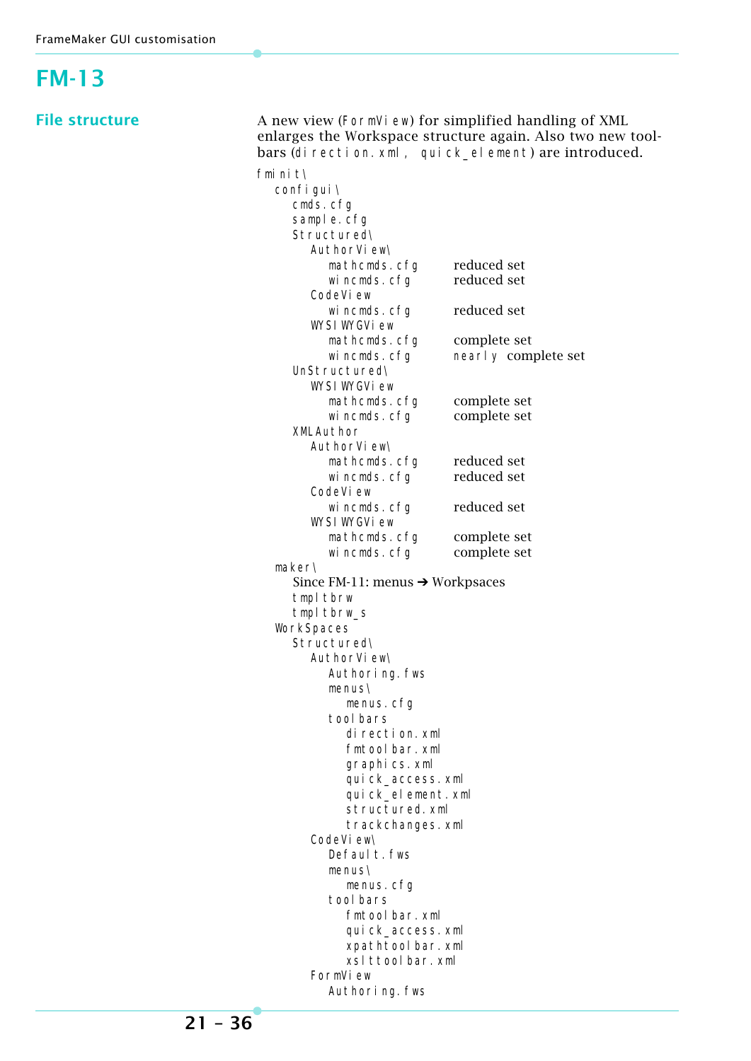#### <span id="page-35-0"></span>FrameMaker GUI customisation **FM-13 File structure** A new view (FormVi ew) for simplified handling of XML enlarges the Workspace structure again. Also two new toolbars (direction. xml, quick\_element) are introduced. fminit\ configui\ cmds.cfg sample.cfg Structured\ AuthorView\ mathcmds.cfg reduced set wincmds.cfg reduced set CodeV<sub>i</sub> ew wincmds.cfg reduced set WYSI WYGView mathcmds.cfg complete set wincmds.cfg nearly complete set UnStructured\ WYSI WYGView mathcmds.cfg complete set<br>wincmds.cfg complete set wincmds.cfg XMLAuthor AuthorView\ mathcmds.cfg reduced set<br>wincmds.cfa reduced set wincmds.cfg CodeV<sub>iew</sub> wincmds.cfa reduced set WYSI WYGView mathcmds.cfg complete set wincmds.cfg complete set maker\ Since FM-11: menus  $\rightarrow$  Workpsaces tmpl tbrw tmpl tbrw\_s **WorkSpaces** Structured\ AuthorView\ Authoring.fws menus\ menus.cfg tool bars direction.xml fmtoolbar.xml graphics.xml quick\_access.xml quick\_element.xml structured.xml trackchanges.xml CodeView\ Defaul t. fws menus\ menus.cfg tool bars

fmtoolbar.xml quick\_access.xml xpathtoolbar.xml xslttoolbar.xml

Authoring.fws

FormV<sub>i</sub>ew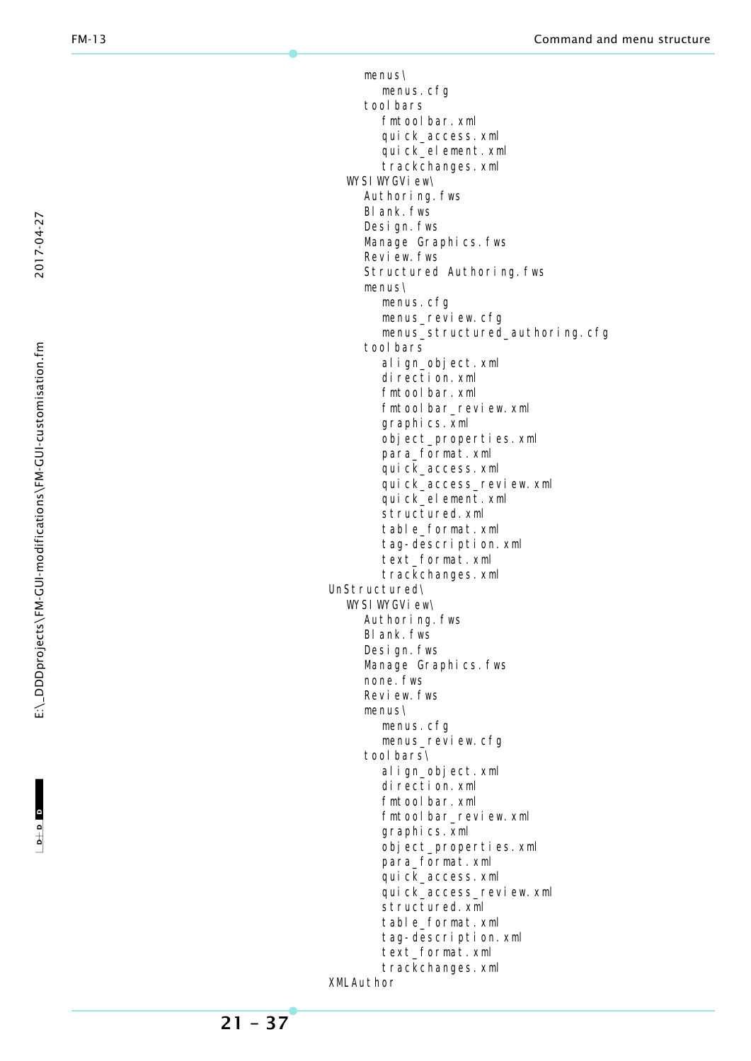menus\ menus.cfg tool bars fmtool bar. xml quick\_access.xml quick\_element.xml trackchanges.xml WYSI WYGView\ Authoring.fws Blank.fws Design.fws Manage Graphics. fws Review. fws Structured Authoring.fws menus\ menus.cfg menus\_review.cfg menus\_structured\_authoring.cfg tool bars align\_object.xml direction.xml fmtoolbar.xml fmtool bar\_review.xml graphics.xml object\_properties.xml para\_format.xml quick\_access.xml quick\_access\_review.xml quick\_element.xml structured.xml table\_format.xml tag-description.xml text\_format.xml trackchanges.xml UnStructured\ WYSI WYGView\ Authoring.fws Blank.fws Design.fws Manage Graphics.fws none.fws Review. fws menus\ menus.cfg menus\_review.cfg tool bars\ align\_object.xml direction.xml fmtool bar. xml fmtool bar\_review.xml graphics.xml object\_properties.xml para\_format.xml quick\_access.xml quick\_access\_review.xml structured.xml table\_format.xml tag-description.xml text\_format.xml trackchanges.xml XMLAuthor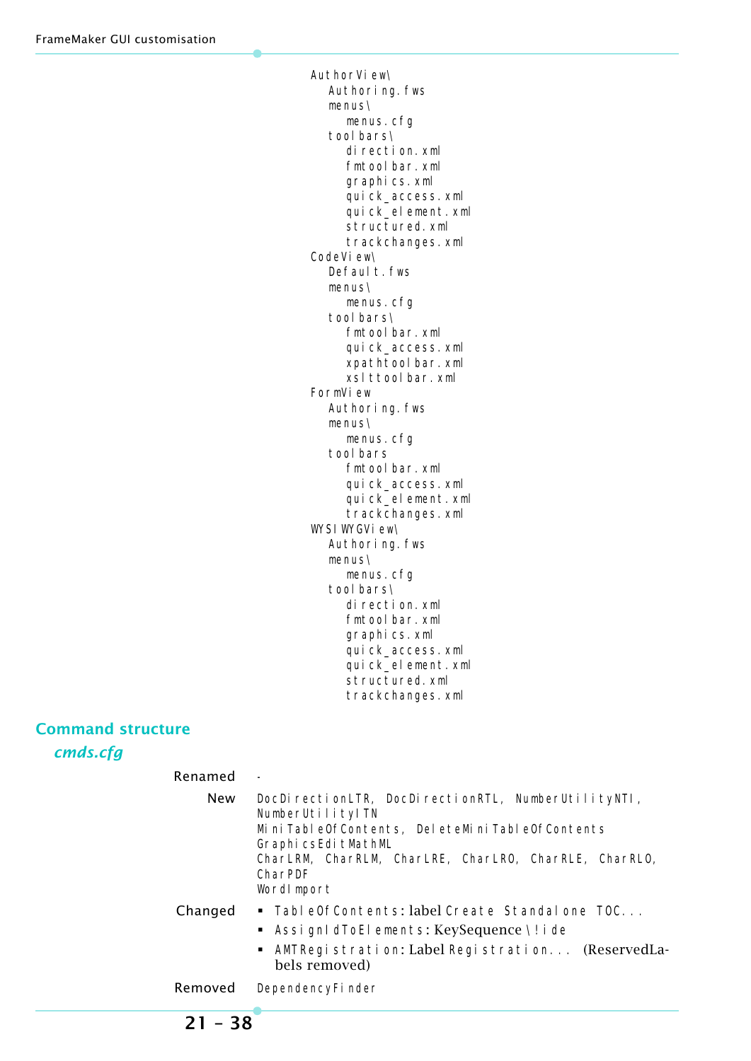AuthorView\ Authoring.fws menus\ menus.cfg tool bars\ direction.xml fmtoolbar.xml graphics.xml quick\_access.xml quick\_element.xml structured.xml trackchanges.xml CodeView\ Defaul t. fws menus\ menus.cfg tool bars\ fmtoolbar.xml quick\_access.xml xpathtool bar. xml xslttoolbar.xml FormView Authoring.fws menus\ menus.cfg tool bars fmtoolbar.xml quick\_access.xml quick\_element.xml trackchanges.xml WYSI WYGView\ Authoring.fws menus\ menus.cfg tool bars\ direction.xml fmtoolbar.xml graphics.xml quick\_access.xml quick\_element.xml structured.xml trackchanges.xml

#### **Command structure**

*cmds.cfg*

| Renamed |                                                                                                                                                                                                                                     |
|---------|-------------------------------------------------------------------------------------------------------------------------------------------------------------------------------------------------------------------------------------|
| New     | DocDirectionLTR, DocDirectionRTL, NumberUtilityNTI,<br>NumberUtilityITN<br>MiniTableOfContents, DeleteMiniTableOfContents<br>Graphi csEdi tMathML<br>CharLRM, CharRLM, CharLRE, CharLRO, CharRLE, CharRLO,<br>CharPDF<br>Wordlmport |
| Changed | $\bullet$ Table Of Contents: label Create Standal one TOC<br>AssignIdToElements: KeySequence \!ide<br>п.<br>AMTRegi strati on: Label Regi strati on (ReservedLa-<br>٠<br>bels removed)                                              |
| Removed | DependencyFinder                                                                                                                                                                                                                    |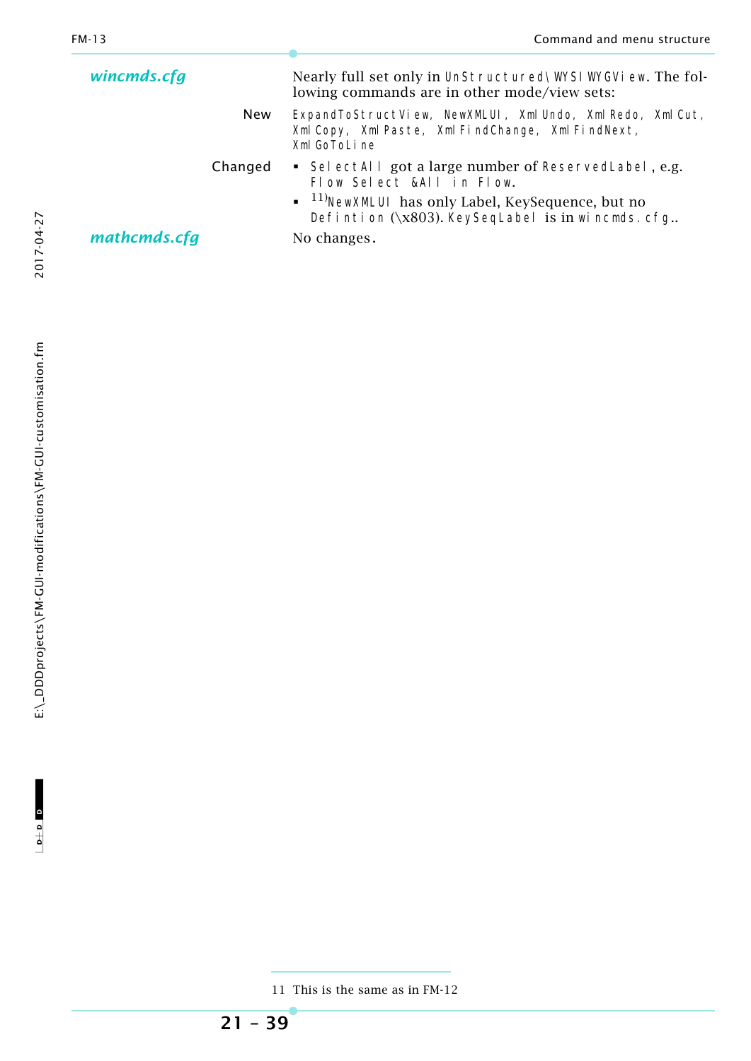| wincmds.cfg                           |  | Nearly full set only in UnStructured\WYSIWYGVi ew. The fol-<br>lowing commands are in other mode/view sets:                                                                                                        |
|---------------------------------------|--|--------------------------------------------------------------------------------------------------------------------------------------------------------------------------------------------------------------------|
| <b>New</b><br>Xml GoToLine<br>Changed |  | ExpandToStructView, NewXMLUI, Xml Undo, Xml Redo, Xml Cut,<br>Xml Copy, Xml Paste, Xml FindChange, Xml FindNext,                                                                                                   |
|                                       |  | • SelectAll got a large number of ReservedLabel, e.g.<br>Flow Select &All in Flow.<br>$\bullet$ <sup>11)</sup> NewXMLUI has only Label, KeySequence, but no<br>Defintion $(\x03)$ . KeySeqLabel is in wincmds. cfg |
| mathcmds.cfg                          |  | No changes.                                                                                                                                                                                                        |

2017-04-27

<sup>11</sup> This is the same as in FM-12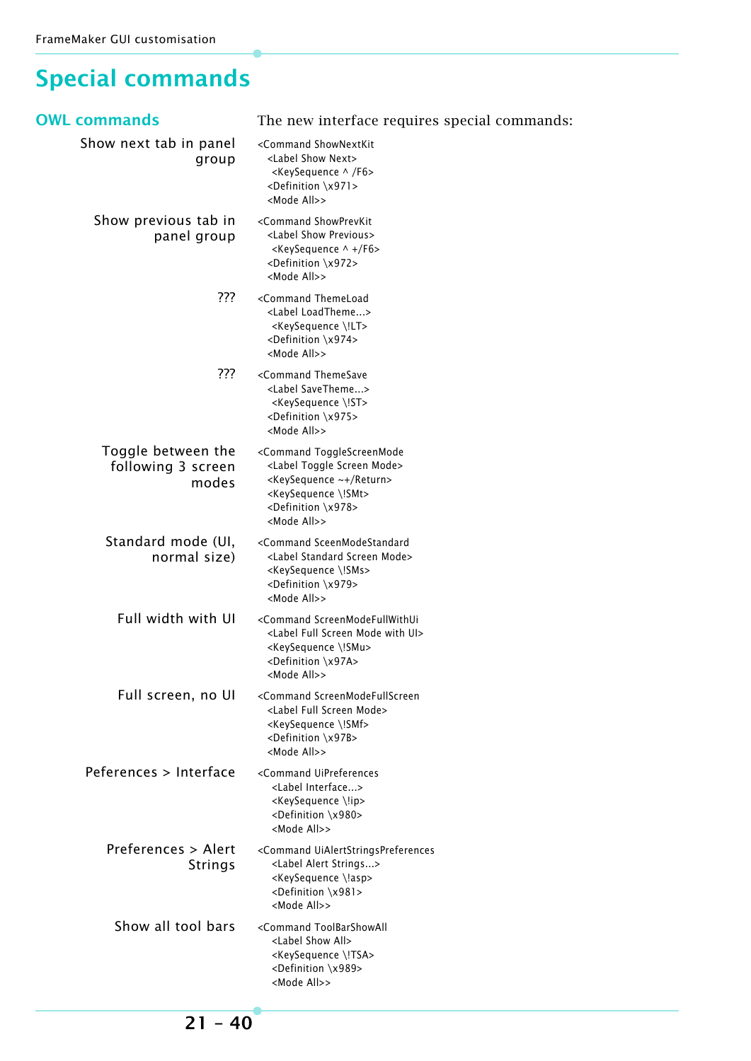### <span id="page-39-0"></span>**Special commands**

| OWL commands                                      | The new interface requires special commands:                                                                                                                                                                                               |
|---------------------------------------------------|--------------------------------------------------------------------------------------------------------------------------------------------------------------------------------------------------------------------------------------------|
| Show next tab in panel<br>group                   | <command shownextkit<br=""/> <label next="" show=""><br/><keysequence ^="" f6=""><br/><definition \x971=""><br/><mode all="">&gt;</mode></definition></keysequence></label>                                                                |
| Show previous tab in<br>panel group               | <command showprevkit<br=""/> <label previous="" show=""><br/><keysequence +="" ^="" f6=""><br/><definition \x972=""><br/><mode all="">&gt;</mode></definition></keysequence></label>                                                       |
| ???                                               | <command themeload<br=""/> <label loadtheme=""><br/><keysequence \!lt=""><br/><definition \x974=""><br/><mode all="">&gt;</mode></definition></keysequence></label>                                                                        |
| ???                                               | <command themesave<br=""/> <label savetheme=""><br/><keysequence \!st=""><br/><definition \x975=""><br/><mode all="">&gt;</mode></definition></keysequence></label>                                                                        |
| Toggle between the<br>following 3 screen<br>modes | <command togglescreenmode<br=""/> <label mode="" screen="" toggle=""><br/><keysequence return="" ~+=""><br/><keysequence \!smt=""><br/><definition \x978=""><br/><mode all="">&gt;</mode></definition></keysequence></keysequence></label> |
| Standard mode (UI,<br>normal size)                | <command sceenmodestandard<br=""/> <label mode="" screen="" standard=""><br/><keysequence \!sms=""><br/><definition \x979=""><br/><mode all="">&gt;</mode></definition></keysequence></label>                                              |
| Full width with UI                                | <command screenmodefullwithui<br=""/> <label full="" mode="" screen="" ui="" with=""><br/><keysequence \!smu=""><br/><definition \x97a=""><br/><mode all="">&gt;</mode></definition></keysequence></label>                                 |
| Full screen, no UI                                | <command screenmodefullscreen<br=""/> <label full="" mode="" screen=""><br/><keysequence \!smf=""><br/><definition \x97b=""><br/><mode all="">&gt;</mode></definition></keysequence></label>                                               |
| Peferences > Interface                            | <command uipreferences<br=""/> <label interface=""><br/><keysequence \!ip=""><br/><definition \x980=""><br/><mode all="">&gt;</mode></definition></keysequence></label>                                                                    |
| Preferences > Alert<br><b>Strings</b>             | <command uialertstringspreferences<br=""/> <label alert="" strings=""><br/><keysequence \!asp=""><br/><definition \x981=""><br/><mode all="">&gt;</mode></definition></keysequence></label>                                                |
| Show all tool bars                                | <command toolbarshowall<br=""/> <label all="" show=""><br/><keysequence \!tsa=""><br/><definition \x989=""><br/><mode all="">&gt;</mode></definition></keysequence></label>                                                                |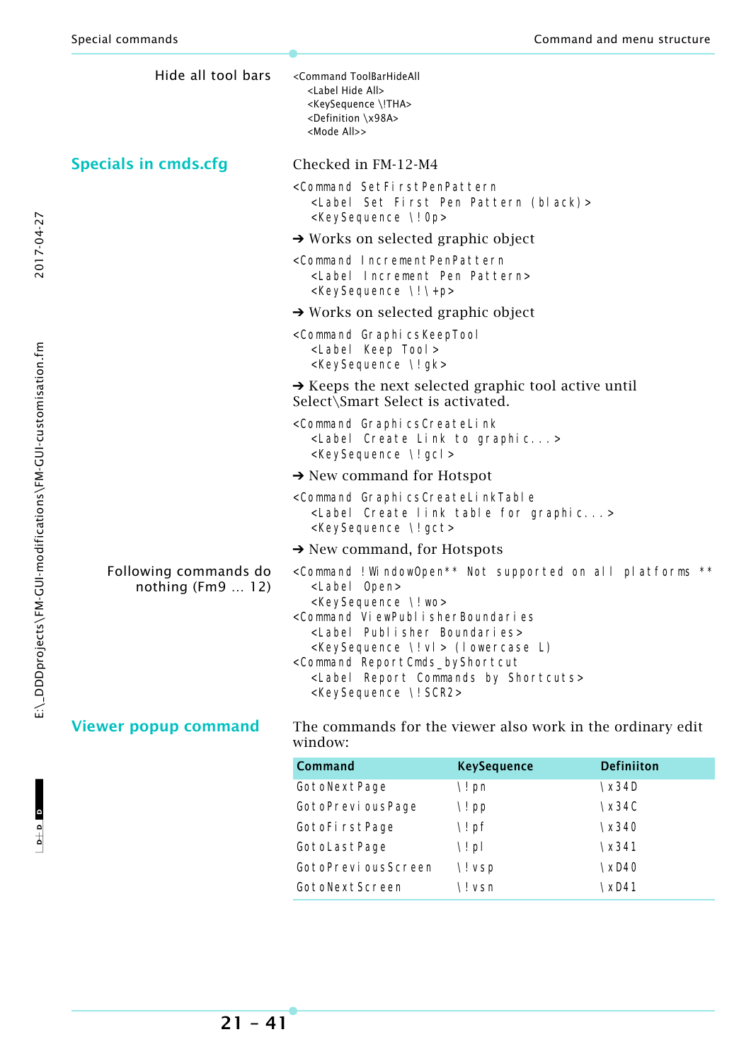| Hide all tool bars                         | <command toolbarhideall<br=""/> <label all="" hide=""><br/><keysequence \!tha=""><br/><definition \x98a=""><br/><mode all="">&gt;</mode></definition></keysequence></label>                                                                                                                                                                                                                                                                                   |
|--------------------------------------------|---------------------------------------------------------------------------------------------------------------------------------------------------------------------------------------------------------------------------------------------------------------------------------------------------------------------------------------------------------------------------------------------------------------------------------------------------------------|
| <b>Specials in cmds.cfg</b>                | Checked in FM-12-M4                                                                                                                                                                                                                                                                                                                                                                                                                                           |
|                                            | <command setfirstpenpattern<br=""/> <label (black)="" first="" pattern="" pen="" set=""><br/><keysequence 0p="" \!=""></keysequence></label>                                                                                                                                                                                                                                                                                                                  |
|                                            | $\rightarrow$ Works on selected graphic object                                                                                                                                                                                                                                                                                                                                                                                                                |
|                                            | <command incrementpenpattern<br=""/> <label increment="" pattern="" pen=""><br/><keysequence \!\+p=""></keysequence></label>                                                                                                                                                                                                                                                                                                                                  |
|                                            | $\rightarrow$ Works on selected graphic object                                                                                                                                                                                                                                                                                                                                                                                                                |
|                                            | <command graphicskeeptool<br=""/> <label keep="" tool=""><br/><keysequence \!="" gk=""></keysequence></label>                                                                                                                                                                                                                                                                                                                                                 |
|                                            | $\rightarrow$ Keeps the next selected graphic tool active until<br>Select\Smart Select is activated.                                                                                                                                                                                                                                                                                                                                                          |
|                                            | <command graphicscreatelink<br=""/> <label create="" graphic="" link="" to=""><br/><keysequence \!="" gcl=""></keysequence></label>                                                                                                                                                                                                                                                                                                                           |
|                                            | $\rightarrow$ New command for Hotspot                                                                                                                                                                                                                                                                                                                                                                                                                         |
|                                            | <command graphicscreatelinktable<br=""/> <label create="" for="" graphic="" link="" table=""><br/><keysequence \!gct=""></keysequence></label>                                                                                                                                                                                                                                                                                                                |
|                                            | $\rightarrow$ New command, for Hotspots                                                                                                                                                                                                                                                                                                                                                                                                                       |
| Following commands do<br>nothing $(Fm912)$ | <command !="" **<br="" all="" not="" on="" platforms="" supported="" windowopen**=""/> <label open=""><br/><keysequence \!="" wo=""><br/><command viewpublisherboundaries<br=""/><label boundaries="" publisher=""><br/><keysequence \!="" vl=""> (l owercase L)<br/><command reportcmds_byshortcut<br=""/><label by="" commands="" report="" shortcuts=""><br/><keysequence \!="" scr2=""></keysequence></label></keysequence></label></keysequence></label> |
| <b>Viewer popup command</b>                | The commands for the viewer also work in the ordinary edit                                                                                                                                                                                                                                                                                                                                                                                                    |

window:

| Command            | <b>KeySequence</b> | <b>Definiiton</b> |
|--------------------|--------------------|-------------------|
| GotoNextPage       | \! pn              | $\x34D$           |
| GotoPrevi ousPage  | \! pp              | $\x34C$           |
| GotoFirstPage      | $\iota$ ! pf       | $\x340$           |
| GotoLastPage       | $\setminus$ ! pl   | $\x341$           |
| GotoPreviousScreen | \! vsp             | $\chi$ D40        |
| GotoNextScreen     | \! vsn             | \xD41             |

2017-04-27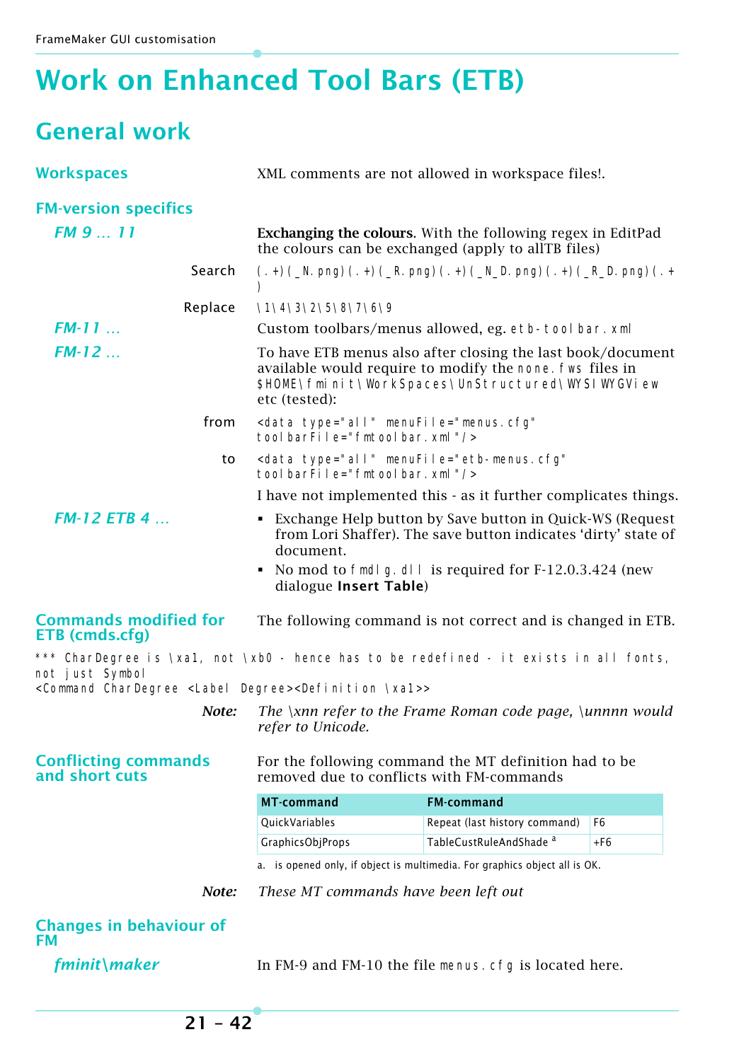# <span id="page-41-0"></span>**Work on Enhanced Tool Bars (ETB)**

### <span id="page-41-1"></span>**General work**

| <b>Workspaces</b>                                                                                                                                           | XML comments are not allowed in workspace files!.                                                                         |                                                                                                                                                                              |                |
|-------------------------------------------------------------------------------------------------------------------------------------------------------------|---------------------------------------------------------------------------------------------------------------------------|------------------------------------------------------------------------------------------------------------------------------------------------------------------------------|----------------|
| <b>FM-version specifics</b>                                                                                                                                 |                                                                                                                           |                                                                                                                                                                              |                |
| <b>FM 9  11</b>                                                                                                                                             | <b>Exchanging the colours.</b> With the following regex in EditPad<br>the colours can be exchanged (apply to allTB files) |                                                                                                                                                                              |                |
| Search                                                                                                                                                      | $(.+)$ (_N. png) $(.+)$ (_R. png) $(.+)$ (_N_D. png) $(.+)$ (_R_D. png) $(.+)$<br>$\mathcal{Y}$                           |                                                                                                                                                                              |                |
| Replace                                                                                                                                                     | \1\4\3\2\5\8\7\6\9                                                                                                        |                                                                                                                                                                              |                |
| $FM-11$                                                                                                                                                     |                                                                                                                           | Custom toolbars/menus allowed, eg. etb-tool bar. xml                                                                                                                         |                |
| $FM-12$                                                                                                                                                     | etc (tested):                                                                                                             | To have ETB menus also after closing the last book/document<br>available would require to modify the none. Fws files in<br>\$HOME\fminit\WorkSpaces\UnStructured\WYSIWYGView |                |
| from                                                                                                                                                        | <data <br="" menufile="menus.cfg" type="all">tool barFile="fmtool bar. xml"/&gt;</data>                                   |                                                                                                                                                                              |                |
| to                                                                                                                                                          | <data <br="" menufile="etb-menus.cfg" type="all">tool barFile="fmtool bar. xml"/&gt;</data>                               |                                                                                                                                                                              |                |
|                                                                                                                                                             |                                                                                                                           | I have not implemented this - as it further complicates things.                                                                                                              |                |
| $FM-12 ETB 4 $<br>• Exchange Help button by Save button in Quick-WS (Request<br>from Lori Shaffer). The save button indicates 'dirty' state of<br>document. |                                                                                                                           |                                                                                                                                                                              |                |
|                                                                                                                                                             | dialogue Insert Table)                                                                                                    | No mod to fmdl g. dl l is required for F-12.0.3.424 (new                                                                                                                     |                |
| <b>Commands modified for</b><br>The following command is not correct and is changed in ETB.<br>ETB (cmds.cfg)                                               |                                                                                                                           |                                                                                                                                                                              |                |
| *** CharDegree is \xa1, not \xb0 - hence has to be redefined - it exists in all fonts,<br>not just Symbol                                                   |                                                                                                                           |                                                                                                                                                                              |                |
| <command <label="" chardegree="" degree=""/> <definition \xa1="">&gt;</definition>                                                                          |                                                                                                                           |                                                                                                                                                                              |                |
| Note:                                                                                                                                                       | The $\lambda$ xnn refer to the Frame Roman code page, $\lambda$ unnnn would<br>refer to Unicode.                          |                                                                                                                                                                              |                |
| <b>Conflicting commands</b><br>and short cuts                                                                                                               | For the following command the MT definition had to be<br>removed due to conflicts with FM-commands                        |                                                                                                                                                                              |                |
|                                                                                                                                                             | <b>MT-command</b>                                                                                                         | <b>FM-command</b>                                                                                                                                                            |                |
|                                                                                                                                                             | QuickVariables                                                                                                            | Repeat (last history command)                                                                                                                                                | F <sub>6</sub> |
|                                                                                                                                                             | <b>GraphicsObjProps</b>                                                                                                   | TableCustRuleAndShade <sup>a</sup>                                                                                                                                           | +F6            |
|                                                                                                                                                             |                                                                                                                           | a. is opened only, if object is multimedia. For graphics object all is OK.                                                                                                   |                |
| Note:                                                                                                                                                       | These MT commands have been left out                                                                                      |                                                                                                                                                                              |                |
| <b>Changes in behaviour of</b><br><b>FM</b>                                                                                                                 |                                                                                                                           |                                                                                                                                                                              |                |
| fminit\maker<br>In FM-9 and FM-10 the file menus. cfg is located here.                                                                                      |                                                                                                                           |                                                                                                                                                                              |                |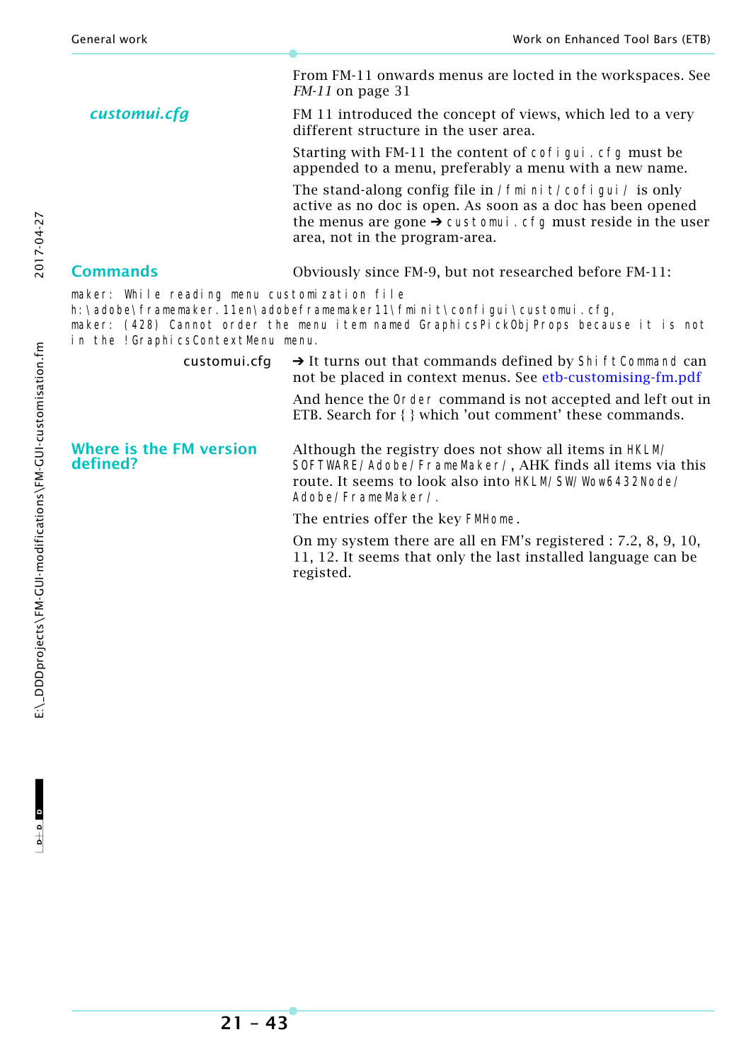|                                                                                                                                                                                                                                                              | From FM-11 onwards menus are locted in the workspaces. See<br>$FM-11$ on page 31                                                                                                                                                       |  |  |
|--------------------------------------------------------------------------------------------------------------------------------------------------------------------------------------------------------------------------------------------------------------|----------------------------------------------------------------------------------------------------------------------------------------------------------------------------------------------------------------------------------------|--|--|
| customui.cfg                                                                                                                                                                                                                                                 | FM 11 introduced the concept of views, which led to a very<br>different structure in the user area.                                                                                                                                    |  |  |
|                                                                                                                                                                                                                                                              | Starting with FM-11 the content of cofi gui . cfg must be<br>appended to a menu, preferably a menu with a new name.                                                                                                                    |  |  |
|                                                                                                                                                                                                                                                              | The stand-along config file in / fmi ni t/cofi gui / is only<br>active as no doc is open. As soon as a doc has been opened<br>the menus are gone $\rightarrow$ customui. cfg must reside in the user<br>area, not in the program-area. |  |  |
| <b>Commands</b>                                                                                                                                                                                                                                              | Obviously since FM-9, but not researched before FM-11:                                                                                                                                                                                 |  |  |
| maker: While reading menu customization file<br>h: \adobe\framemaker. 11en\adobeframemaker11\fmi ni t\confi gui \customui.cfg,<br>maker: (428) Cannot order the menu item named GraphicsPickObjProps because it is not<br>in the ! GraphicsContextMenu menu. |                                                                                                                                                                                                                                        |  |  |
| customui.cfg                                                                                                                                                                                                                                                 | $\rightarrow$ It turns out that commands defined by Shi ft Command can<br>not be placed in context menus. See etb-customising-fm.pdf                                                                                                   |  |  |
|                                                                                                                                                                                                                                                              | And hence the Order command is not accepted and left out in<br>ETB. Search for { } which 'out comment' these commands.                                                                                                                 |  |  |
| <b>Where is the FM version</b><br>defined?                                                                                                                                                                                                                   | Although the registry does not show all items in HKLM/<br>SOFTWARE/Adobe/FrameMaker/, AHK finds all items via this<br>route. It seems to look also into HKLM/SW/Wow6432Node/<br>Adobe/FrameMaker/.                                     |  |  |
|                                                                                                                                                                                                                                                              | The entries offer the key FMHome.                                                                                                                                                                                                      |  |  |
|                                                                                                                                                                                                                                                              | On my system there are all en FM's registered : 7.2, 8, 9, 10,<br>11, 12. It seems that only the last installed language can be<br>registed.                                                                                           |  |  |

2017-04-27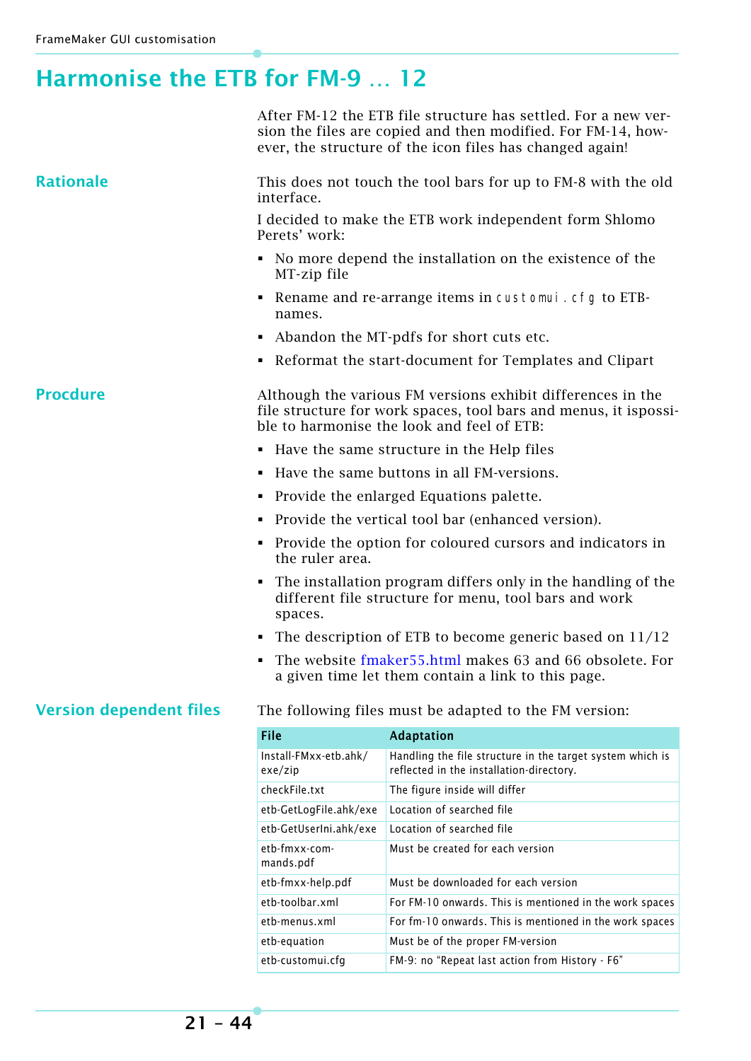### <span id="page-43-0"></span>**Harmonise the ETB for FM-9 … 12**

|                                |                                                                                                                                                                               | After FM-12 the ETB file structure has settled. For a new ver-<br>sion the files are copied and then modified. For FM-14, how-<br>ever, the structure of the icon files has changed again! |  |  |
|--------------------------------|-------------------------------------------------------------------------------------------------------------------------------------------------------------------------------|--------------------------------------------------------------------------------------------------------------------------------------------------------------------------------------------|--|--|
| <b>Rationale</b>               | This does not touch the tool bars for up to FM-8 with the old<br>interface.                                                                                                   |                                                                                                                                                                                            |  |  |
|                                | Perets' work:                                                                                                                                                                 | I decided to make the ETB work independent form Shlomo                                                                                                                                     |  |  |
|                                | MT-zip file                                                                                                                                                                   | • No more depend the installation on the existence of the                                                                                                                                  |  |  |
|                                | ٠<br>names.                                                                                                                                                                   | Rename and re-arrange items in customui. cfg to ETB-                                                                                                                                       |  |  |
|                                | Abandon the MT-pdfs for short cuts etc.<br>٠                                                                                                                                  |                                                                                                                                                                                            |  |  |
|                                | • Reformat the start-document for Templates and Clipart                                                                                                                       |                                                                                                                                                                                            |  |  |
| <b>Procdure</b>                | Although the various FM versions exhibit differences in the<br>file structure for work spaces, tool bars and menus, it ispossi-<br>ble to harmonise the look and feel of ETB: |                                                                                                                                                                                            |  |  |
|                                |                                                                                                                                                                               | • Have the same structure in the Help files                                                                                                                                                |  |  |
|                                | Have the same buttons in all FM-versions.                                                                                                                                     |                                                                                                                                                                                            |  |  |
|                                | Provide the enlarged Equations palette.<br>٠                                                                                                                                  |                                                                                                                                                                                            |  |  |
|                                | Provide the vertical tool bar (enhanced version).                                                                                                                             |                                                                                                                                                                                            |  |  |
|                                | Provide the option for coloured cursors and indicators in<br>٠<br>the ruler area.                                                                                             |                                                                                                                                                                                            |  |  |
|                                | The installation program differs only in the handling of the<br>٠<br>different file structure for menu, tool bars and work<br>spaces.                                         |                                                                                                                                                                                            |  |  |
|                                | The description of ETB to become generic based on $11/12$<br>٠                                                                                                                |                                                                                                                                                                                            |  |  |
|                                |                                                                                                                                                                               | • The website fmaker 55.html makes 63 and 66 obsolete. For<br>a given time let them contain a link to this page.                                                                           |  |  |
| <b>Version dependent files</b> |                                                                                                                                                                               | The following files must be adapted to the FM version:                                                                                                                                     |  |  |
|                                | File                                                                                                                                                                          | <b>Adaptation</b>                                                                                                                                                                          |  |  |
|                                | Install-FMxx-etb.ahk/<br>$ex$ e $/z$ ip                                                                                                                                       | Handling the file structure in the target system which is<br>reflected in the installation-directory.                                                                                      |  |  |
|                                | checkFile.txt                                                                                                                                                                 | The figure inside will differ                                                                                                                                                              |  |  |
|                                | etb-GetLogFile.ahk/exe                                                                                                                                                        | Location of searched file                                                                                                                                                                  |  |  |
|                                | etb-GetUserIni.ahk/exe                                                                                                                                                        | Location of searched file                                                                                                                                                                  |  |  |
|                                | etb-fmxx-com-<br>mands.pdf                                                                                                                                                    | Must be created for each version                                                                                                                                                           |  |  |
|                                | etb-fmxx-help.pdf                                                                                                                                                             | Must be downloaded for each version                                                                                                                                                        |  |  |
|                                | etb-toolbar.xml                                                                                                                                                               | For FM-10 onwards. This is mentioned in the work spaces                                                                                                                                    |  |  |
|                                | etb-menus.xml                                                                                                                                                                 | For fm-10 onwards. This is mentioned in the work spaces                                                                                                                                    |  |  |
|                                | etb-equation                                                                                                                                                                  | Must be of the proper FM-version                                                                                                                                                           |  |  |
|                                | etb-customui.cfg                                                                                                                                                              | FM-9: no "Repeat last action from History - F6"                                                                                                                                            |  |  |
|                                |                                                                                                                                                                               |                                                                                                                                                                                            |  |  |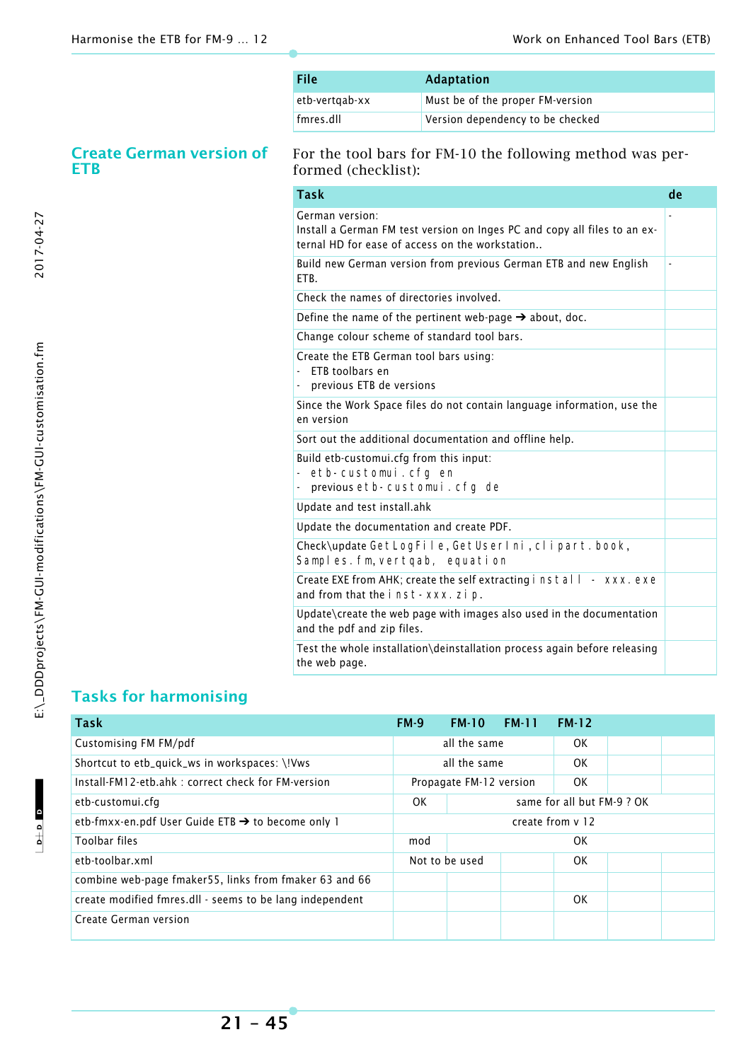| File           | <b>Adaptation</b>                |
|----------------|----------------------------------|
| etb-vertgab-xx | Must be of the proper FM-version |
| fmres.dll      | Version dependency to be checked |

#### **Create German version of ETB**

For the tool bars for FM-10 the following method was performed (checklist):

| <b>Task</b>                                                                                                                                     | de |
|-------------------------------------------------------------------------------------------------------------------------------------------------|----|
| German version:<br>Install a German FM test version on Inges PC and copy all files to an ex-<br>ternal HD for ease of access on the workstation |    |
| Build new German version from previous German ETB and new English<br>FTB.                                                                       | ÷, |
| Check the names of directories involved.                                                                                                        |    |
| Define the name of the pertinent web-page $\rightarrow$ about, doc.                                                                             |    |
| Change colour scheme of standard tool bars.                                                                                                     |    |
| Create the ETB German tool bars using:<br>FTB toolbars en<br>previous ETB de versions                                                           |    |
| Since the Work Space files do not contain language information, use the<br>en version                                                           |    |
| Sort out the additional documentation and offline help.                                                                                         |    |
| Build etb-customui.cfg from this input:<br>etb-customui.cfg en<br>$\frac{1}{2}$<br>previous etb-customui.cfg de                                 |    |
| Update and test install.ahk                                                                                                                     |    |
| Update the documentation and create PDF.                                                                                                        |    |
| Check\update GetLogFile, GetUserIni, clipart. book,<br>Samples. fm, vertqab, equation                                                           |    |
| Create EXE from AHK; create the self extracting i nstal I - XXX. exe<br>and from that the inst-xxx. zip.                                        |    |
| Update\create the web page with images also used in the documentation<br>and the pdf and zip files.                                             |    |
| Test the whole installation\deinstallation process again before releasing<br>the web page.                                                      |    |

### **Tasks for harmonising**

| <b>Task</b>                                              | <b>FM-9</b> | <b>FM-10</b>            | <b>FM-11</b> | <b>FM-12</b>               |  |
|----------------------------------------------------------|-------------|-------------------------|--------------|----------------------------|--|
| Customising FM FM/pdf                                    |             | all the same            |              | 0K                         |  |
| Shortcut to etb_quick_ws in workspaces: \!Vws            |             | all the same            |              | 0K                         |  |
| Install-FM12-etb.ahk: correct check for FM-version       |             | Propagate FM-12 version |              | 0K                         |  |
| etb-customui.cfg                                         | 0K          |                         |              | same for all but FM-9 ? OK |  |
| etb-fmxx-en.pdf User Guide ETB → to become only 1        |             |                         |              | create from y 12           |  |
| Toolbar files                                            | mod         |                         |              | 0K                         |  |
| etb-toolbar.xml                                          |             | Not to be used          |              | 0K                         |  |
| combine web-page fmaker55, links from fmaker 63 and 66   |             |                         |              |                            |  |
| create modified fmres.dll - seems to be lang independent |             |                         |              | OK.                        |  |
| Create German version                                    |             |                         |              |                            |  |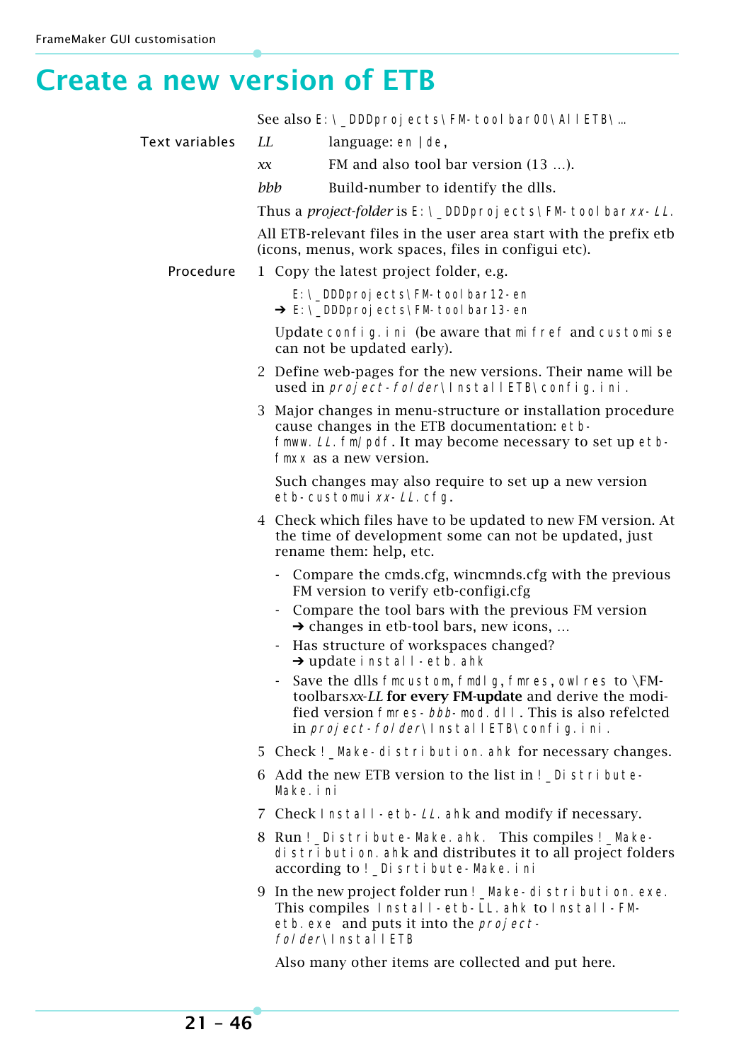### <span id="page-45-0"></span>**Create a new version of ETB**

|                |                                                                                                                          | See also E: \_DDDproj ects\FM-tool bar00\AllETB\                                                                                                                                                                                         |
|----------------|--------------------------------------------------------------------------------------------------------------------------|------------------------------------------------------------------------------------------------------------------------------------------------------------------------------------------------------------------------------------------|
| Text variables | LI.                                                                                                                      | language: $en   de$ ,                                                                                                                                                                                                                    |
|                | X X                                                                                                                      | FM and also tool bar version (13 ).                                                                                                                                                                                                      |
|                | bbb                                                                                                                      | Build-number to identify the dlls.                                                                                                                                                                                                       |
|                |                                                                                                                          | Thus a <i>project-folder</i> is E: \_DDDproj ects\FM-tool barxx- <i>LL</i> .                                                                                                                                                             |
|                | All ETB-relevant files in the user area start with the prefix etb<br>(icons, menus, work spaces, files in configui etc). |                                                                                                                                                                                                                                          |
| Procedure      |                                                                                                                          | 1 Copy the latest project folder, e.g.                                                                                                                                                                                                   |
|                |                                                                                                                          | E: \_DDDproj ects\FM-tool bar12-en<br>→ E: \_DDDproj ects\FM-tool bar13-en                                                                                                                                                               |
|                |                                                                                                                          | Update config. ini (be aware that mi fref and customise<br>can not be updated early).                                                                                                                                                    |
|                |                                                                                                                          | 2 Define web-pages for the new versions. Their name will be<br>used in <i>project-folder</i> \InstallETB\config.ini.                                                                                                                     |
|                |                                                                                                                          | 3 Major changes in menu-structure or installation procedure<br>cause changes in the ETB documentation: etb-<br>fmww. LL. fm/pdf. It may become necessary to set up etb-<br>fmxx as a new version.                                        |
|                |                                                                                                                          | Such changes may also require to set up a new version<br>etb-customui xx-LL.cfg.                                                                                                                                                         |
|                |                                                                                                                          | 4 Check which files have to be updated to new FM version. At<br>the time of development some can not be updated, just<br>rename them: help, etc.                                                                                         |
|                |                                                                                                                          | - Compare the cmds.cfg, wincmnds.cfg with the previous<br>FM version to verify etb-configi.cfg                                                                                                                                           |
|                |                                                                                                                          | Compare the tool bars with the previous FM version<br>$\rightarrow$ changes in etb-tool bars, new icons,                                                                                                                                 |
|                |                                                                                                                          | Has structure of workspaces changed?<br>$\rightarrow$ update install-etb. ahk                                                                                                                                                            |
|                |                                                                                                                          | Save the dlls fmcustom, fmdl g, fmres, owl res to \FM-<br>toolbarsxx-LL for every FM-update and derive the modi-<br>fied version fmres- <i>bbb</i> -mod. dll. This is also refelcted<br>in <i>project-folder</i> \lnstallETB\config.ini. |
|                |                                                                                                                          | 5 Check ! _Make-di stri buti on. ahk for necessary changes.                                                                                                                                                                              |
|                | Make. i ni                                                                                                               | 6 Add the new ETB version to the list in ! Di stribute-                                                                                                                                                                                  |
|                |                                                                                                                          | 7 Check Install-etb-LL ahk and modify if necessary.                                                                                                                                                                                      |
|                |                                                                                                                          | 8 Run ! _Distribute-Make.ahk. This compiles ! _Make-<br>di stri buti on. ahk and distributes it to all project folders<br>according to ! _Di srti bute-Make. i ni                                                                        |
|                |                                                                                                                          | 9 In the new project folder run ! _Make-distribution. exe.<br>This compiles Install-etb-LL. ahk to Install-FM-<br>etb. exe and puts it into the <i>project</i> -<br>folder\InstallETB                                                    |
|                |                                                                                                                          | Also many other items are collected and put here.                                                                                                                                                                                        |